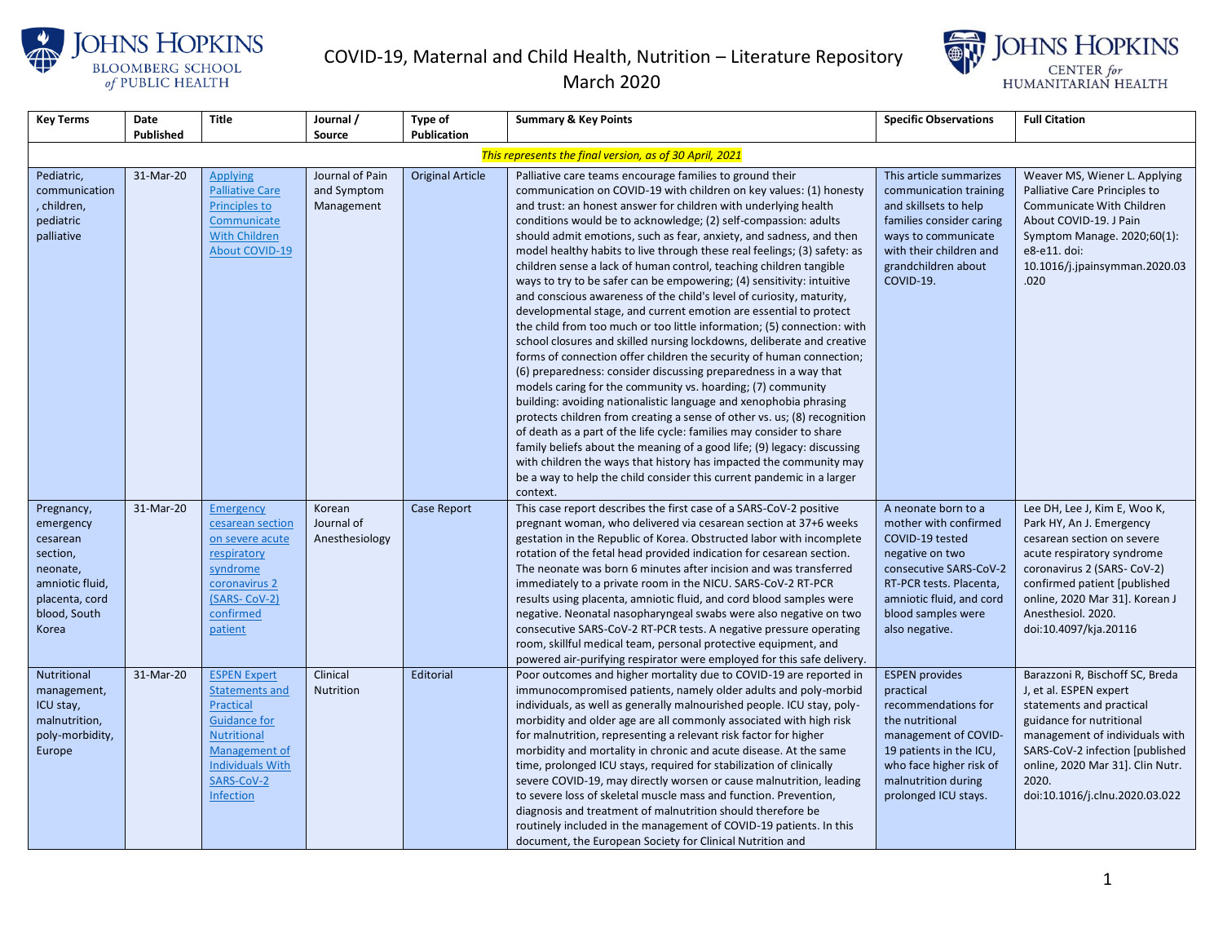



March 2020

| <b>Key Terms</b>                                                                                                                         | Date                   | <b>Title</b>                                                                                                                                                       | Journal /                                          | Type of                  | <b>Summary &amp; Key Points</b>                                                                                                                                                                                                                                                                                                                                                                                                                                                                                                                                                                                                                                                                                                                                                                                                                                                                                                                                                                                                                                                                                                                                                                                                                                                                                                                                                                                                                                                                                                                    | <b>Specific Observations</b>                                                                                                                                                                                                         | <b>Full Citation</b>                                                                                                                                                                                                                                                                                    |
|------------------------------------------------------------------------------------------------------------------------------------------|------------------------|--------------------------------------------------------------------------------------------------------------------------------------------------------------------|----------------------------------------------------|--------------------------|----------------------------------------------------------------------------------------------------------------------------------------------------------------------------------------------------------------------------------------------------------------------------------------------------------------------------------------------------------------------------------------------------------------------------------------------------------------------------------------------------------------------------------------------------------------------------------------------------------------------------------------------------------------------------------------------------------------------------------------------------------------------------------------------------------------------------------------------------------------------------------------------------------------------------------------------------------------------------------------------------------------------------------------------------------------------------------------------------------------------------------------------------------------------------------------------------------------------------------------------------------------------------------------------------------------------------------------------------------------------------------------------------------------------------------------------------------------------------------------------------------------------------------------------------|--------------------------------------------------------------------------------------------------------------------------------------------------------------------------------------------------------------------------------------|---------------------------------------------------------------------------------------------------------------------------------------------------------------------------------------------------------------------------------------------------------------------------------------------------------|
|                                                                                                                                          | Published              |                                                                                                                                                                    | Source                                             | <b>Publication</b>       |                                                                                                                                                                                                                                                                                                                                                                                                                                                                                                                                                                                                                                                                                                                                                                                                                                                                                                                                                                                                                                                                                                                                                                                                                                                                                                                                                                                                                                                                                                                                                    |                                                                                                                                                                                                                                      |                                                                                                                                                                                                                                                                                                         |
|                                                                                                                                          |                        |                                                                                                                                                                    |                                                    |                          | This represents the final version, as of 30 April, 2021                                                                                                                                                                                                                                                                                                                                                                                                                                                                                                                                                                                                                                                                                                                                                                                                                                                                                                                                                                                                                                                                                                                                                                                                                                                                                                                                                                                                                                                                                            |                                                                                                                                                                                                                                      |                                                                                                                                                                                                                                                                                                         |
| Pediatric,<br>communication<br>children,<br>pediatric<br>palliative                                                                      | 31-Mar-20              | <b>Applying</b><br><b>Palliative Care</b><br>Principles to<br>Communicate<br><b>With Children</b><br><b>About COVID-19</b>                                         | Journal of Pain<br>and Symptom<br>Management       | <b>Original Article</b>  | Palliative care teams encourage families to ground their<br>communication on COVID-19 with children on key values: (1) honesty<br>and trust: an honest answer for children with underlying health<br>conditions would be to acknowledge; (2) self-compassion: adults<br>should admit emotions, such as fear, anxiety, and sadness, and then<br>model healthy habits to live through these real feelings; (3) safety: as<br>children sense a lack of human control, teaching children tangible<br>ways to try to be safer can be empowering; (4) sensitivity: intuitive<br>and conscious awareness of the child's level of curiosity, maturity,<br>developmental stage, and current emotion are essential to protect<br>the child from too much or too little information; (5) connection: with<br>school closures and skilled nursing lockdowns, deliberate and creative<br>forms of connection offer children the security of human connection;<br>(6) preparedness: consider discussing preparedness in a way that<br>models caring for the community vs. hoarding; (7) community<br>building: avoiding nationalistic language and xenophobia phrasing<br>protects children from creating a sense of other vs. us; (8) recognition<br>of death as a part of the life cycle: families may consider to share<br>family beliefs about the meaning of a good life; (9) legacy: discussing<br>with children the ways that history has impacted the community may<br>be a way to help the child consider this current pandemic in a larger<br>context. | This article summarizes<br>communication training<br>and skillsets to help<br>families consider caring<br>ways to communicate<br>with their children and<br>grandchildren about<br>COVID-19.                                         | Weaver MS, Wiener L. Applying<br>Palliative Care Principles to<br>Communicate With Children<br>About COVID-19. J Pain<br>Symptom Manage. 2020;60(1):<br>e8-e11. doi:<br>10.1016/j.jpainsymman.2020.03<br>.020                                                                                           |
| Pregnancy,<br>emergency<br>cesarean<br>section,<br>neonate,<br>amniotic fluid,<br>placenta, cord<br>blood, South<br>Korea<br>Nutritional | 31-Mar-20<br>31-Mar-20 | <b>Emergency</b><br>cesarean section<br>on severe acute<br>respiratory<br>syndrome<br>coronavirus 2<br>(SARS-CoV-2)<br>confirmed<br>patient<br><b>ESPEN Expert</b> | Korean<br>Journal of<br>Anesthesiology<br>Clinical | Case Report<br>Editorial | This case report describes the first case of a SARS-CoV-2 positive<br>pregnant woman, who delivered via cesarean section at 37+6 weeks<br>gestation in the Republic of Korea. Obstructed labor with incomplete<br>rotation of the fetal head provided indication for cesarean section.<br>The neonate was born 6 minutes after incision and was transferred<br>immediately to a private room in the NICU. SARS-CoV-2 RT-PCR<br>results using placenta, amniotic fluid, and cord blood samples were<br>negative. Neonatal nasopharyngeal swabs were also negative on two<br>consecutive SARS-CoV-2 RT-PCR tests. A negative pressure operating<br>room, skillful medical team, personal protective equipment, and<br>powered air-purifying respirator were employed for this safe delivery.<br>Poor outcomes and higher mortality due to COVID-19 are reported in                                                                                                                                                                                                                                                                                                                                                                                                                                                                                                                                                                                                                                                                                   | A neonate born to a<br>mother with confirmed<br>COVID-19 tested<br>negative on two<br>consecutive SARS-CoV-2<br>RT-PCR tests. Placenta,<br>amniotic fluid, and cord<br>blood samples were<br>also negative.<br><b>ESPEN</b> provides | Lee DH, Lee J, Kim E, Woo K,<br>Park HY, An J. Emergency<br>cesarean section on severe<br>acute respiratory syndrome<br>coronavirus 2 (SARS- CoV-2)<br>confirmed patient [published<br>online, 2020 Mar 31]. Korean J<br>Anesthesiol. 2020.<br>doi:10.4097/kja.20116<br>Barazzoni R, Bischoff SC, Breda |
| management,<br>ICU stay,<br>malnutrition,<br>poly-morbidity,<br>Europe                                                                   |                        | <b>Statements and</b><br>Practical<br><b>Guidance for</b><br><b>Nutritional</b><br>Management of<br><b>Individuals With</b><br>SARS-CoV-2<br>Infection             | <b>Nutrition</b>                                   |                          | immunocompromised patients, namely older adults and poly-morbid<br>individuals, as well as generally malnourished people. ICU stay, poly-<br>morbidity and older age are all commonly associated with high risk<br>for malnutrition, representing a relevant risk factor for higher<br>morbidity and mortality in chronic and acute disease. At the same<br>time, prolonged ICU stays, required for stabilization of clinically<br>severe COVID-19, may directly worsen or cause malnutrition, leading<br>to severe loss of skeletal muscle mass and function. Prevention,<br>diagnosis and treatment of malnutrition should therefore be<br>routinely included in the management of COVID-19 patients. In this<br>document, the European Society for Clinical Nutrition and                                                                                                                                                                                                                                                                                                                                                                                                                                                                                                                                                                                                                                                                                                                                                                       | practical<br>recommendations for<br>the nutritional<br>management of COVID-<br>19 patients in the ICU,<br>who face higher risk of<br>malnutrition during<br>prolonged ICU stays.                                                     | J, et al. ESPEN expert<br>statements and practical<br>guidance for nutritional<br>management of individuals with<br>SARS-CoV-2 infection [published<br>online, 2020 Mar 31]. Clin Nutr.<br>2020.<br>doi:10.1016/j.clnu.2020.03.022                                                                      |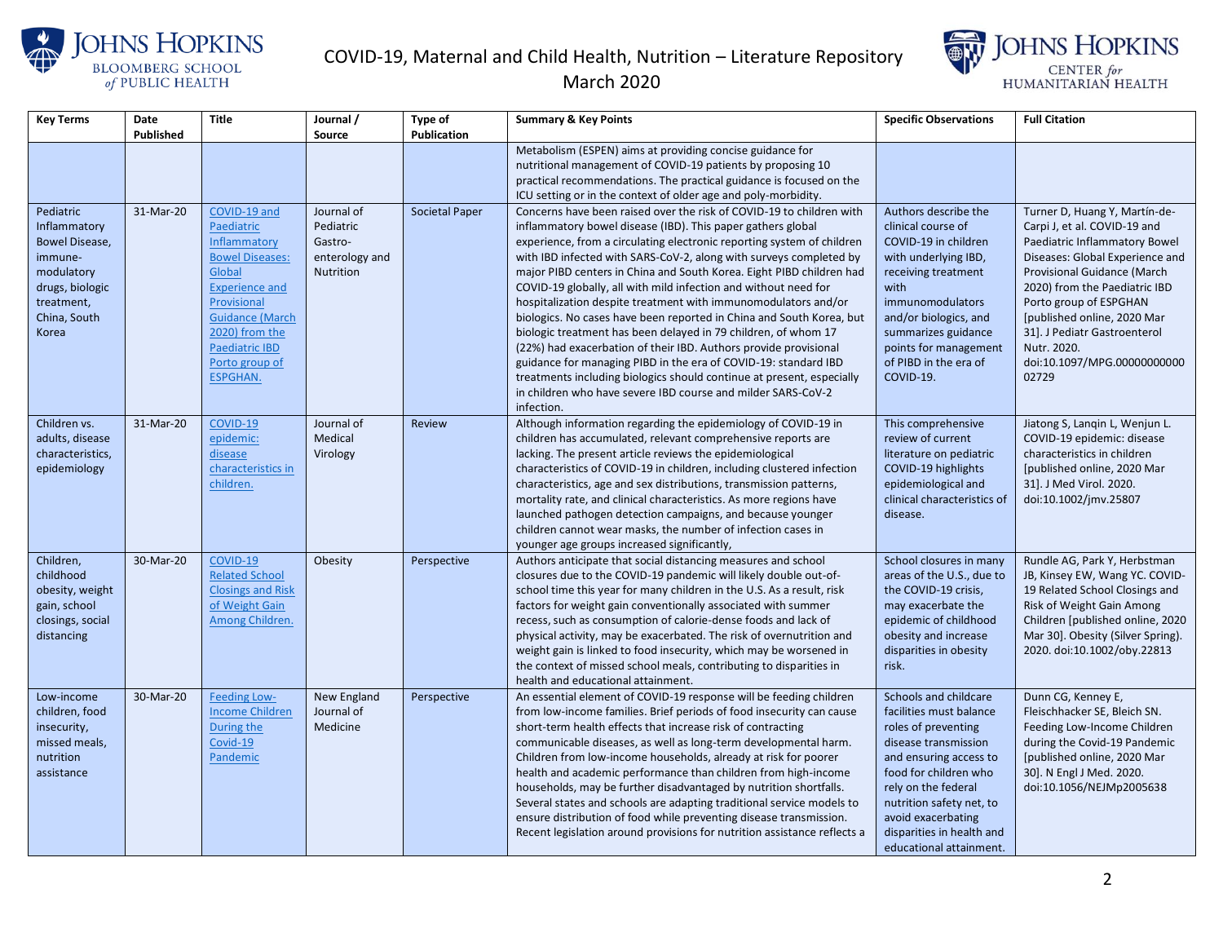



| <b>Key Terms</b>           | Date      | Title                                    | Journal /      | Type of               | <b>Summary &amp; Key Points</b>                                                                                                    | <b>Specific Observations</b>                    | <b>Full Citation</b>                                        |
|----------------------------|-----------|------------------------------------------|----------------|-----------------------|------------------------------------------------------------------------------------------------------------------------------------|-------------------------------------------------|-------------------------------------------------------------|
|                            | Published |                                          | Source         | <b>Publication</b>    |                                                                                                                                    |                                                 |                                                             |
|                            |           |                                          |                |                       | Metabolism (ESPEN) aims at providing concise guidance for                                                                          |                                                 |                                                             |
|                            |           |                                          |                |                       | nutritional management of COVID-19 patients by proposing 10                                                                        |                                                 |                                                             |
|                            |           |                                          |                |                       | practical recommendations. The practical guidance is focused on the                                                                |                                                 |                                                             |
|                            |           |                                          |                |                       | ICU setting or in the context of older age and poly-morbidity.                                                                     |                                                 |                                                             |
| Pediatric                  | 31-Mar-20 | COVID-19 and                             | Journal of     | <b>Societal Paper</b> | Concerns have been raised over the risk of COVID-19 to children with                                                               | Authors describe the                            | Turner D, Huang Y, Martín-de-                               |
| Inflammatory               |           | Paediatric                               | Pediatric      |                       | inflammatory bowel disease (IBD). This paper gathers global                                                                        | clinical course of                              | Carpi J, et al. COVID-19 and                                |
| Bowel Disease,             |           | Inflammatory                             | Gastro-        |                       | experience, from a circulating electronic reporting system of children                                                             | COVID-19 in children                            | Paediatric Inflammatory Bowel                               |
| immune-                    |           | <b>Bowel Diseases:</b>                   | enterology and |                       | with IBD infected with SARS-CoV-2, along with surveys completed by                                                                 | with underlying IBD,                            | Diseases: Global Experience and                             |
| modulatory                 |           | Global                                   | Nutrition      |                       | major PIBD centers in China and South Korea. Eight PIBD children had                                                               | receiving treatment                             | Provisional Guidance (March                                 |
| drugs, biologic            |           | <b>Experience and</b>                    |                |                       | COVID-19 globally, all with mild infection and without need for                                                                    | with                                            | 2020) from the Paediatric IBD                               |
| treatment,                 |           | Provisional                              |                |                       | hospitalization despite treatment with immunomodulators and/or                                                                     | immunomodulators                                | Porto group of ESPGHAN                                      |
| China, South               |           | <b>Guidance (March</b><br>2020) from the |                |                       | biologics. No cases have been reported in China and South Korea, but                                                               | and/or biologics, and                           | [published online, 2020 Mar                                 |
| Korea                      |           | Paediatric IBD                           |                |                       | biologic treatment has been delayed in 79 children, of whom 17<br>(22%) had exacerbation of their IBD. Authors provide provisional | summarizes guidance<br>points for management    | 31]. J Pediatr Gastroenterol<br>Nutr. 2020.                 |
|                            |           | Porto group of                           |                |                       | guidance for managing PIBD in the era of COVID-19: standard IBD                                                                    | of PIBD in the era of                           | doi:10.1097/MPG.00000000000                                 |
|                            |           | <b>ESPGHAN.</b>                          |                |                       | treatments including biologics should continue at present, especially                                                              | COVID-19.                                       | 02729                                                       |
|                            |           |                                          |                |                       | in children who have severe IBD course and milder SARS-CoV-2                                                                       |                                                 |                                                             |
|                            |           |                                          |                |                       | infection.                                                                                                                         |                                                 |                                                             |
| Children vs.               | 31-Mar-20 | COVID-19                                 | Journal of     | <b>Review</b>         | Although information regarding the epidemiology of COVID-19 in                                                                     | This comprehensive                              | Jiatong S, Langin L, Wenjun L.                              |
| adults, disease            |           | epidemic:                                | Medical        |                       | children has accumulated, relevant comprehensive reports are                                                                       | review of current                               | COVID-19 epidemic: disease                                  |
| characteristics,           |           | disease                                  | Virology       |                       | lacking. The present article reviews the epidemiological                                                                           | literature on pediatric                         | characteristics in children                                 |
| epidemiology               |           | characteristics in                       |                |                       | characteristics of COVID-19 in children, including clustered infection                                                             | COVID-19 highlights                             | [published online, 2020 Mar                                 |
|                            |           | children.                                |                |                       | characteristics, age and sex distributions, transmission patterns,                                                                 | epidemiological and                             | 31]. J Med Virol. 2020.                                     |
|                            |           |                                          |                |                       | mortality rate, and clinical characteristics. As more regions have                                                                 | clinical characteristics of                     | doi:10.1002/jmv.25807                                       |
|                            |           |                                          |                |                       | launched pathogen detection campaigns, and because younger                                                                         | disease.                                        |                                                             |
|                            |           |                                          |                |                       | children cannot wear masks, the number of infection cases in                                                                       |                                                 |                                                             |
|                            |           |                                          |                |                       | younger age groups increased significantly,                                                                                        |                                                 |                                                             |
| Children,                  | 30-Mar-20 | COVID-19                                 | Obesity        | Perspective           | Authors anticipate that social distancing measures and school                                                                      | School closures in many                         | Rundle AG, Park Y, Herbstman                                |
| childhood                  |           | <b>Related School</b>                    |                |                       | closures due to the COVID-19 pandemic will likely double out-of-                                                                   | areas of the U.S., due to                       | JB, Kinsey EW, Wang YC. COVID-                              |
| obesity, weight            |           | <b>Closings and Risk</b>                 |                |                       | school time this year for many children in the U.S. As a result, risk                                                              | the COVID-19 crisis,                            | 19 Related School Closings and                              |
| gain, school               |           | of Weight Gain                           |                |                       | factors for weight gain conventionally associated with summer                                                                      | may exacerbate the                              | Risk of Weight Gain Among                                   |
| closings, social           |           | Among Children.                          |                |                       | recess, such as consumption of calorie-dense foods and lack of                                                                     | epidemic of childhood                           | Children [published online, 2020                            |
| distancing                 |           |                                          |                |                       | physical activity, may be exacerbated. The risk of overnutrition and                                                               | obesity and increase                            | Mar 30]. Obesity (Silver Spring).                           |
|                            |           |                                          |                |                       | weight gain is linked to food insecurity, which may be worsened in                                                                 | disparities in obesity                          | 2020. doi:10.1002/oby.22813                                 |
|                            |           |                                          |                |                       | the context of missed school meals, contributing to disparities in                                                                 | risk.                                           |                                                             |
|                            |           |                                          |                |                       | health and educational attainment.                                                                                                 |                                                 |                                                             |
| Low-income                 | 30-Mar-20 | Feeding Low-                             | New England    | Perspective           | An essential element of COVID-19 response will be feeding children                                                                 | Schools and childcare                           | Dunn CG, Kenney E,                                          |
| children, food             |           | <b>Income Children</b>                   | Journal of     |                       | from low-income families. Brief periods of food insecurity can cause                                                               | facilities must balance                         | Fleischhacker SE, Bleich SN.                                |
| insecurity,                |           | During the<br>Covid-19                   | Medicine       |                       | short-term health effects that increase risk of contracting                                                                        | roles of preventing                             | Feeding Low-Income Children                                 |
| missed meals,<br>nutrition |           | Pandemic                                 |                |                       | communicable diseases, as well as long-term developmental harm.                                                                    | disease transmission                            | during the Covid-19 Pandemic<br>[published online, 2020 Mar |
| assistance                 |           |                                          |                |                       | Children from low-income households, already at risk for poorer<br>health and academic performance than children from high-income  | and ensuring access to<br>food for children who | 30]. N Engl J Med. 2020.                                    |
|                            |           |                                          |                |                       | households, may be further disadvantaged by nutrition shortfalls.                                                                  | rely on the federal                             | doi:10.1056/NEJMp2005638                                    |
|                            |           |                                          |                |                       | Several states and schools are adapting traditional service models to                                                              | nutrition safety net, to                        |                                                             |
|                            |           |                                          |                |                       | ensure distribution of food while preventing disease transmission.                                                                 | avoid exacerbating                              |                                                             |
|                            |           |                                          |                |                       | Recent legislation around provisions for nutrition assistance reflects a                                                           | disparities in health and                       |                                                             |
|                            |           |                                          |                |                       |                                                                                                                                    | educational attainment.                         |                                                             |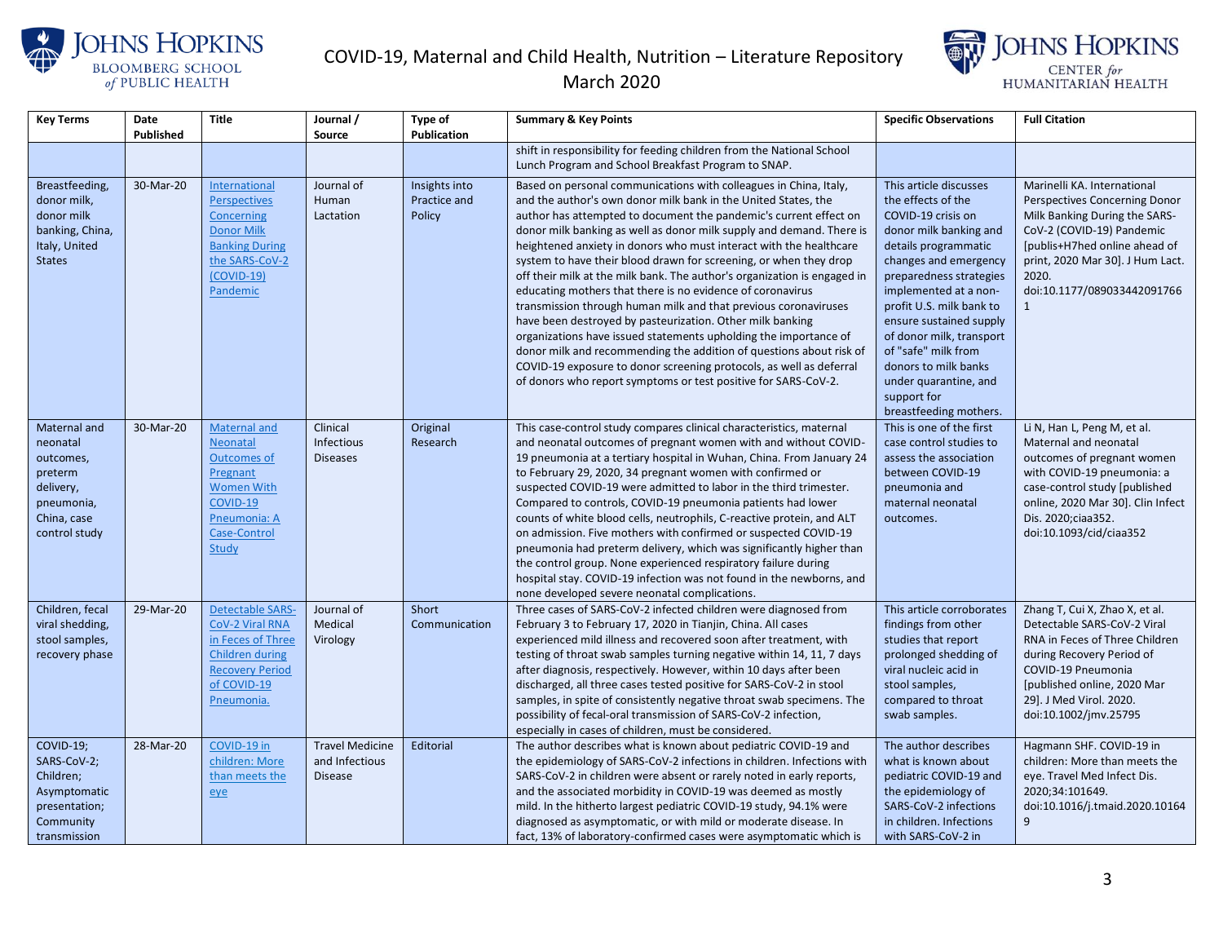



| <b>Key Terms</b> | Date      | <b>Title</b>                         | Journal /              | <b>Type of</b> | <b>Summary &amp; Key Points</b>                                                                                                            | <b>Specific Observations</b>                   | <b>Full Citation</b>                                        |
|------------------|-----------|--------------------------------------|------------------------|----------------|--------------------------------------------------------------------------------------------------------------------------------------------|------------------------------------------------|-------------------------------------------------------------|
|                  | Published |                                      | <b>Source</b>          | Publication    |                                                                                                                                            |                                                |                                                             |
|                  |           |                                      |                        |                | shift in responsibility for feeding children from the National School                                                                      |                                                |                                                             |
|                  |           |                                      |                        |                | Lunch Program and School Breakfast Program to SNAP.                                                                                        |                                                |                                                             |
| Breastfeeding,   | 30-Mar-20 | International                        | Journal of             | Insights into  | Based on personal communications with colleagues in China, Italy,                                                                          | This article discusses                         | Marinelli KA. International                                 |
| donor milk,      |           | <b>Perspectives</b>                  | Human                  | Practice and   | and the author's own donor milk bank in the United States, the                                                                             | the effects of the                             | Perspectives Concerning Donor                               |
| donor milk       |           | Concerning                           | Lactation              | Policy         | author has attempted to document the pandemic's current effect on                                                                          | COVID-19 crisis on                             | Milk Banking During the SARS-                               |
| banking, China,  |           | <b>Donor Milk</b>                    |                        |                | donor milk banking as well as donor milk supply and demand. There is                                                                       | donor milk banking and                         | CoV-2 (COVID-19) Pandemic                                   |
| Italy, United    |           | <b>Banking During</b>                |                        |                | heightened anxiety in donors who must interact with the healthcare                                                                         | details programmatic                           | [publis+H7hed online ahead of                               |
| <b>States</b>    |           | the SARS-CoV-2                       |                        |                | system to have their blood drawn for screening, or when they drop                                                                          | changes and emergency                          | print, 2020 Mar 30]. J Hum Lact.                            |
|                  |           | $(COVID-19)$                         |                        |                | off their milk at the milk bank. The author's organization is engaged in                                                                   | preparedness strategies                        | 2020.                                                       |
|                  |           | Pandemic                             |                        |                | educating mothers that there is no evidence of coronavirus                                                                                 | implemented at a non-                          | doi:10.1177/089033442091766                                 |
|                  |           |                                      |                        |                | transmission through human milk and that previous coronaviruses                                                                            | profit U.S. milk bank to                       | 1                                                           |
|                  |           |                                      |                        |                | have been destroyed by pasteurization. Other milk banking                                                                                  | ensure sustained supply                        |                                                             |
|                  |           |                                      |                        |                | organizations have issued statements upholding the importance of                                                                           | of donor milk, transport                       |                                                             |
|                  |           |                                      |                        |                | donor milk and recommending the addition of questions about risk of                                                                        | of "safe" milk from                            |                                                             |
|                  |           |                                      |                        |                | COVID-19 exposure to donor screening protocols, as well as deferral                                                                        | donors to milk banks                           |                                                             |
|                  |           |                                      |                        |                | of donors who report symptoms or test positive for SARS-CoV-2.                                                                             | under quarantine, and<br>support for           |                                                             |
|                  |           |                                      |                        |                |                                                                                                                                            | breastfeeding mothers.                         |                                                             |
| Maternal and     | 30-Mar-20 | <b>Maternal and</b>                  | Clinical               | Original       | This case-control study compares clinical characteristics, maternal                                                                        | This is one of the first                       | Li N, Han L, Peng M, et al.                                 |
| neonatal         |           | <b>Neonatal</b>                      | <b>Infectious</b>      | Research       | and neonatal outcomes of pregnant women with and without COVID-                                                                            | case control studies to                        | Maternal and neonatal                                       |
| outcomes,        |           | <b>Outcomes of</b>                   | <b>Diseases</b>        |                | 19 pneumonia at a tertiary hospital in Wuhan, China. From January 24                                                                       | assess the association                         | outcomes of pregnant women                                  |
| preterm          |           | Pregnant                             |                        |                | to February 29, 2020, 34 pregnant women with confirmed or                                                                                  | between COVID-19                               | with COVID-19 pneumonia: a                                  |
| delivery,        |           | <b>Women With</b>                    |                        |                | suspected COVID-19 were admitted to labor in the third trimester.                                                                          | pneumonia and                                  | case-control study [published                               |
| pneumonia,       |           | COVID-19                             |                        |                | Compared to controls, COVID-19 pneumonia patients had lower                                                                                | maternal neonatal                              | online, 2020 Mar 30]. Clin Infect                           |
| China, case      |           | Pneumonia: A                         |                        |                | counts of white blood cells, neutrophils, C-reactive protein, and ALT                                                                      | outcomes.                                      | Dis. 2020; ciaa 352.                                        |
| control study    |           | Case-Control                         |                        |                | on admission. Five mothers with confirmed or suspected COVID-19                                                                            |                                                | doi:10.1093/cid/ciaa352                                     |
|                  |           | Study                                |                        |                | pneumonia had preterm delivery, which was significantly higher than                                                                        |                                                |                                                             |
|                  |           |                                      |                        |                | the control group. None experienced respiratory failure during                                                                             |                                                |                                                             |
|                  |           |                                      |                        |                | hospital stay. COVID-19 infection was not found in the newborns, and                                                                       |                                                |                                                             |
|                  |           |                                      |                        |                | none developed severe neonatal complications.                                                                                              |                                                |                                                             |
| Children, fecal  | 29-Mar-20 | <b>Detectable SARS-</b>              | Journal of             | Short          | Three cases of SARS-CoV-2 infected children were diagnosed from                                                                            | This article corroborates                      | Zhang T, Cui X, Zhao X, et al.                              |
| viral shedding,  |           | CoV-2 Viral RNA                      | Medical                | Communication  | February 3 to February 17, 2020 in Tianjin, China. All cases                                                                               | findings from other                            | Detectable SARS-CoV-2 Viral                                 |
| stool samples,   |           | in Feces of Three<br>Children during | Virology               |                | experienced mild illness and recovered soon after treatment, with<br>testing of throat swab samples turning negative within 14, 11, 7 days | studies that report                            | RNA in Feces of Three Children<br>during Recovery Period of |
| recovery phase   |           | <b>Recovery Period</b>               |                        |                | after diagnosis, respectively. However, within 10 days after been                                                                          | prolonged shedding of<br>viral nucleic acid in | COVID-19 Pneumonia                                          |
|                  |           | of COVID-19                          |                        |                | discharged, all three cases tested positive for SARS-CoV-2 in stool                                                                        | stool samples,                                 | [published online, 2020 Mar                                 |
|                  |           | Pneumonia.                           |                        |                | samples, in spite of consistently negative throat swab specimens. The                                                                      | compared to throat                             | 29]. J Med Virol. 2020.                                     |
|                  |           |                                      |                        |                | possibility of fecal-oral transmission of SARS-CoV-2 infection,                                                                            | swab samples.                                  | doi:10.1002/jmv.25795                                       |
|                  |           |                                      |                        |                | especially in cases of children, must be considered.                                                                                       |                                                |                                                             |
| COVID-19;        | 28-Mar-20 | COVID-19 in                          | <b>Travel Medicine</b> | Editorial      | The author describes what is known about pediatric COVID-19 and                                                                            | The author describes                           | Hagmann SHF. COVID-19 in                                    |
| SARS-CoV-2;      |           | children: More                       | and Infectious         |                | the epidemiology of SARS-CoV-2 infections in children. Infections with                                                                     | what is known about                            | children: More than meets the                               |
| Children;        |           | than meets the                       | <b>Disease</b>         |                | SARS-CoV-2 in children were absent or rarely noted in early reports,                                                                       | pediatric COVID-19 and                         | eye. Travel Med Infect Dis.                                 |
| Asymptomatic     |           | eye                                  |                        |                | and the associated morbidity in COVID-19 was deemed as mostly                                                                              | the epidemiology of                            | 2020;34:101649.                                             |
| presentation;    |           |                                      |                        |                | mild. In the hitherto largest pediatric COVID-19 study, 94.1% were                                                                         | SARS-CoV-2 infections                          | doi:10.1016/j.tmaid.2020.10164                              |
| Community        |           |                                      |                        |                | diagnosed as asymptomatic, or with mild or moderate disease. In                                                                            | in children. Infections                        | 9                                                           |
| transmission     |           |                                      |                        |                | fact, 13% of laboratory-confirmed cases were asymptomatic which is                                                                         | with SARS-CoV-2 in                             |                                                             |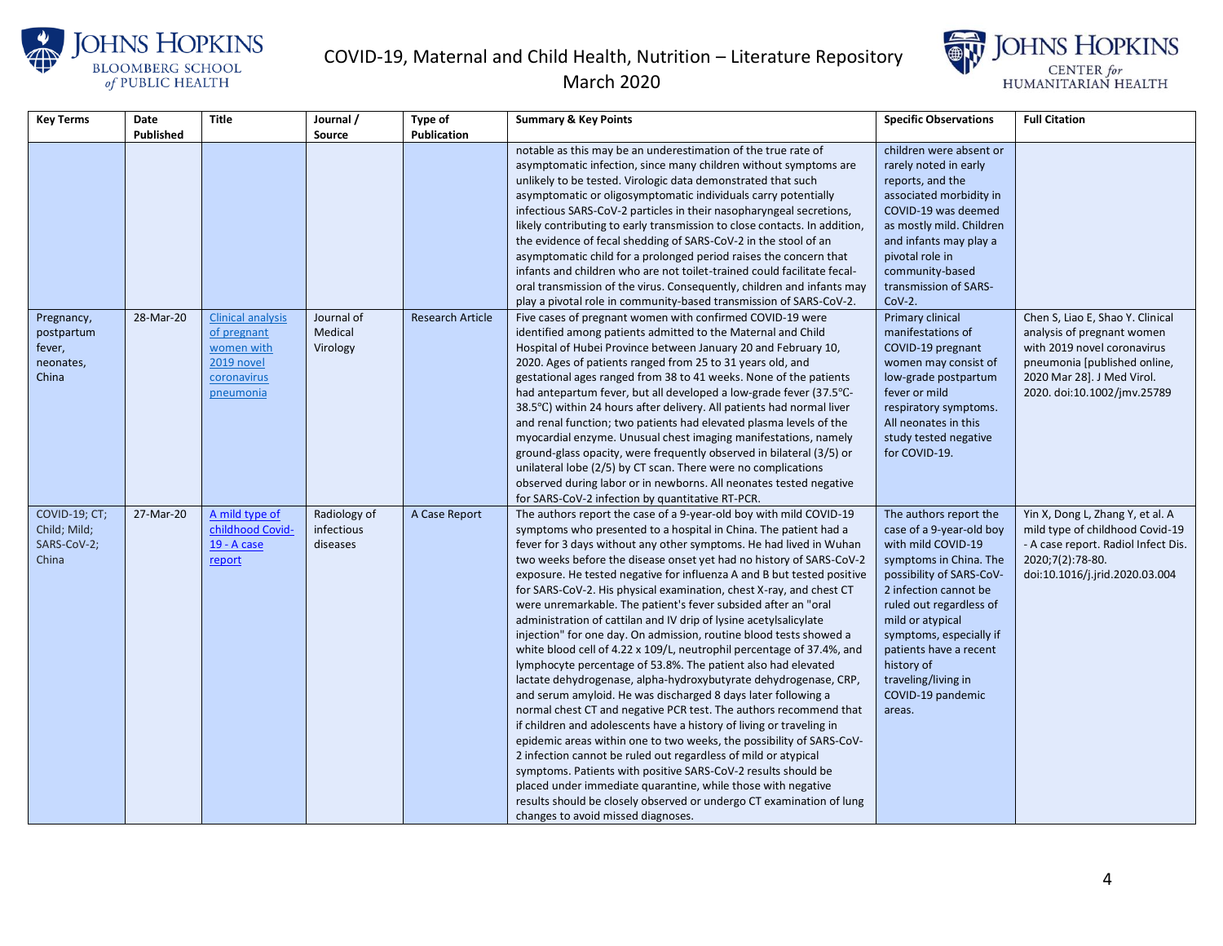



| <b>Key Terms</b> | Date      | <b>Title</b>             | Journal /    | Type of                 | <b>Summary &amp; Key Points</b>                                                                                                     | <b>Specific Observations</b>                     | <b>Full Citation</b>                |
|------------------|-----------|--------------------------|--------------|-------------------------|-------------------------------------------------------------------------------------------------------------------------------------|--------------------------------------------------|-------------------------------------|
|                  | Published |                          | Source       | Publication             |                                                                                                                                     |                                                  |                                     |
|                  |           |                          |              |                         | notable as this may be an underestimation of the true rate of<br>asymptomatic infection, since many children without symptoms are   | children were absent or<br>rarely noted in early |                                     |
|                  |           |                          |              |                         | unlikely to be tested. Virologic data demonstrated that such                                                                        | reports, and the                                 |                                     |
|                  |           |                          |              |                         | asymptomatic or oligosymptomatic individuals carry potentially                                                                      | associated morbidity in                          |                                     |
|                  |           |                          |              |                         | infectious SARS-CoV-2 particles in their nasopharyngeal secretions,                                                                 | COVID-19 was deemed                              |                                     |
|                  |           |                          |              |                         | likely contributing to early transmission to close contacts. In addition,                                                           | as mostly mild. Children                         |                                     |
|                  |           |                          |              |                         | the evidence of fecal shedding of SARS-CoV-2 in the stool of an                                                                     | and infants may play a                           |                                     |
|                  |           |                          |              |                         | asymptomatic child for a prolonged period raises the concern that                                                                   | pivotal role in                                  |                                     |
|                  |           |                          |              |                         | infants and children who are not toilet-trained could facilitate fecal-                                                             | community-based                                  |                                     |
|                  |           |                          |              |                         | oral transmission of the virus. Consequently, children and infants may                                                              | transmission of SARS-                            |                                     |
|                  |           |                          |              |                         | play a pivotal role in community-based transmission of SARS-CoV-2.                                                                  | $Cov-2$ .                                        |                                     |
| Pregnancy,       | 28-Mar-20 | <b>Clinical analysis</b> | Journal of   | <b>Research Article</b> | Five cases of pregnant women with confirmed COVID-19 were                                                                           | Primary clinical                                 | Chen S, Liao E, Shao Y. Clinical    |
| postpartum       |           | of pregnant              | Medical      |                         | identified among patients admitted to the Maternal and Child                                                                        | manifestations of                                | analysis of pregnant women          |
| fever,           |           | women with               | Virology     |                         | Hospital of Hubei Province between January 20 and February 10,                                                                      | COVID-19 pregnant                                | with 2019 novel coronavirus         |
| neonates,        |           | 2019 novel               |              |                         | 2020. Ages of patients ranged from 25 to 31 years old, and                                                                          | women may consist of                             | pneumonia [published online,        |
| China            |           | coronavirus              |              |                         | gestational ages ranged from 38 to 41 weeks. None of the patients                                                                   | low-grade postpartum                             | 2020 Mar 28]. J Med Virol.          |
|                  |           | pneumonia                |              |                         | had antepartum fever, but all developed a low-grade fever (37.5°C-                                                                  | fever or mild                                    | 2020. doi:10.1002/jmv.25789         |
|                  |           |                          |              |                         | 38.5°C) within 24 hours after delivery. All patients had normal liver                                                               | respiratory symptoms.                            |                                     |
|                  |           |                          |              |                         | and renal function; two patients had elevated plasma levels of the                                                                  | All neonates in this                             |                                     |
|                  |           |                          |              |                         | myocardial enzyme. Unusual chest imaging manifestations, namely                                                                     | study tested negative                            |                                     |
|                  |           |                          |              |                         | ground-glass opacity, were frequently observed in bilateral (3/5) or                                                                | for COVID-19.                                    |                                     |
|                  |           |                          |              |                         | unilateral lobe (2/5) by CT scan. There were no complications<br>observed during labor or in newborns. All neonates tested negative |                                                  |                                     |
|                  |           |                          |              |                         | for SARS-CoV-2 infection by quantitative RT-PCR.                                                                                    |                                                  |                                     |
| COVID-19; CT;    | 27-Mar-20 | A mild type of           | Radiology of | A Case Report           | The authors report the case of a 9-year-old boy with mild COVID-19                                                                  | The authors report the                           | Yin X, Dong L, Zhang Y, et al. A    |
| Child; Mild;     |           | childhood Covid-         | infectious   |                         | symptoms who presented to a hospital in China. The patient had a                                                                    | case of a 9-year-old boy                         | mild type of childhood Covid-19     |
| SARS-CoV-2;      |           | 19 - A case              | diseases     |                         | fever for 3 days without any other symptoms. He had lived in Wuhan                                                                  | with mild COVID-19                               | - A case report. Radiol Infect Dis. |
| China            |           | report                   |              |                         | two weeks before the disease onset yet had no history of SARS-CoV-2                                                                 | symptoms in China. The                           | 2020;7(2):78-80.                    |
|                  |           |                          |              |                         | exposure. He tested negative for influenza A and B but tested positive                                                              | possibility of SARS-CoV-                         | doi:10.1016/j.jrid.2020.03.004      |
|                  |           |                          |              |                         | for SARS-CoV-2. His physical examination, chest X-ray, and chest CT                                                                 | 2 infection cannot be                            |                                     |
|                  |           |                          |              |                         | were unremarkable. The patient's fever subsided after an "oral                                                                      | ruled out regardless of                          |                                     |
|                  |           |                          |              |                         | administration of cattilan and IV drip of lysine acetylsalicylate                                                                   | mild or atypical                                 |                                     |
|                  |           |                          |              |                         | injection" for one day. On admission, routine blood tests showed a                                                                  | symptoms, especially if                          |                                     |
|                  |           |                          |              |                         | white blood cell of 4.22 x 109/L, neutrophil percentage of 37.4%, and                                                               | patients have a recent                           |                                     |
|                  |           |                          |              |                         | lymphocyte percentage of 53.8%. The patient also had elevated                                                                       | history of                                       |                                     |
|                  |           |                          |              |                         | lactate dehydrogenase, alpha-hydroxybutyrate dehydrogenase, CRP,                                                                    | traveling/living in                              |                                     |
|                  |           |                          |              |                         | and serum amyloid. He was discharged 8 days later following a                                                                       | COVID-19 pandemic                                |                                     |
|                  |           |                          |              |                         | normal chest CT and negative PCR test. The authors recommend that                                                                   | areas.                                           |                                     |
|                  |           |                          |              |                         | if children and adolescents have a history of living or traveling in                                                                |                                                  |                                     |
|                  |           |                          |              |                         | epidemic areas within one to two weeks, the possibility of SARS-CoV-                                                                |                                                  |                                     |
|                  |           |                          |              |                         | 2 infection cannot be ruled out regardless of mild or atypical                                                                      |                                                  |                                     |
|                  |           |                          |              |                         | symptoms. Patients with positive SARS-CoV-2 results should be                                                                       |                                                  |                                     |
|                  |           |                          |              |                         | placed under immediate quarantine, while those with negative                                                                        |                                                  |                                     |
|                  |           |                          |              |                         | results should be closely observed or undergo CT examination of lung                                                                |                                                  |                                     |
|                  |           |                          |              |                         | changes to avoid missed diagnoses.                                                                                                  |                                                  |                                     |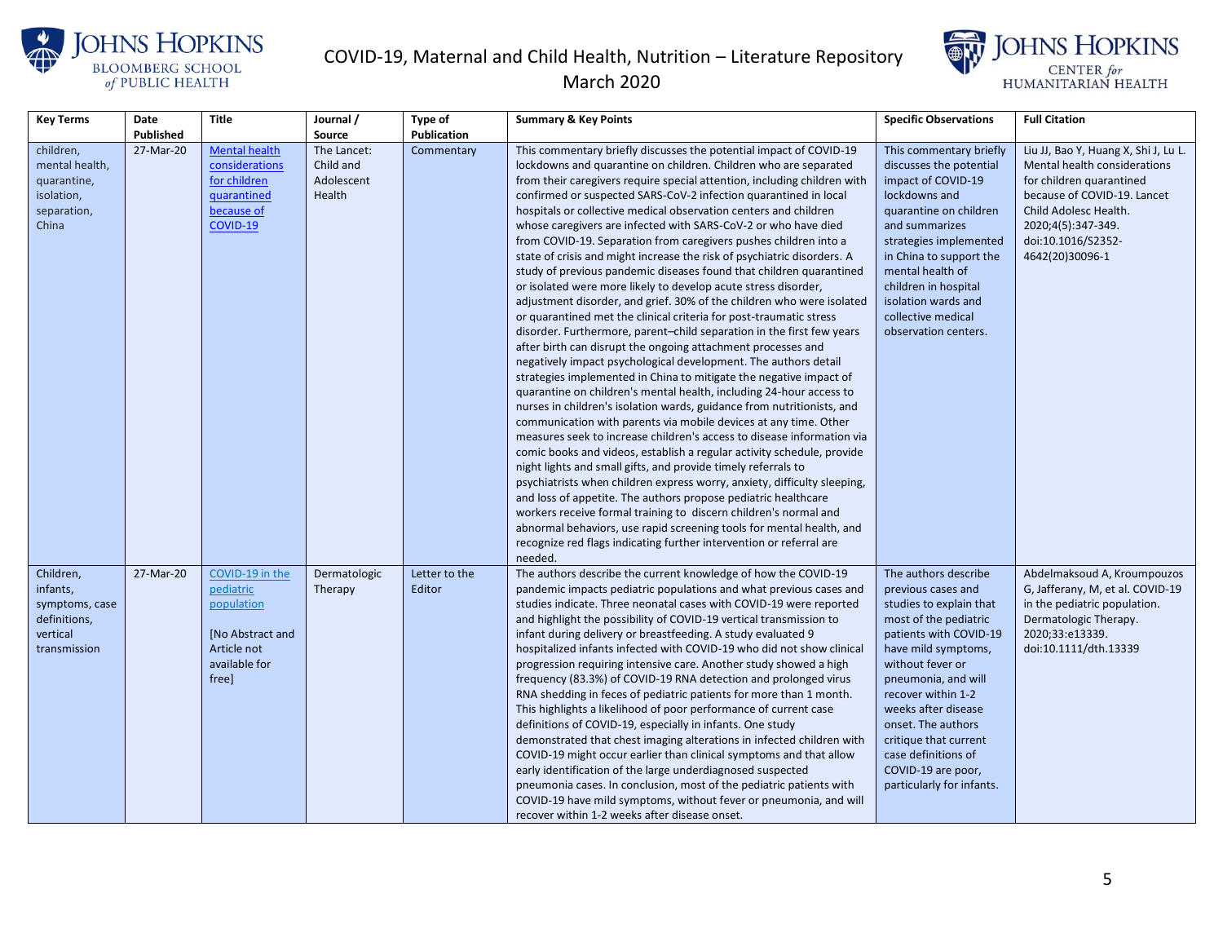



| <b>Key Terms</b>                                                                    | Date      | <b>Title</b>                                                                                           | Journal /                                        | Type of                 | <b>Summary &amp; Key Points</b>                                                                                                                                                                                                                                                                                                                                                                                                                                                                                                                                                                                                                                                                                                                                                                                                                                                                                                                                                                                                                                                                                                                                                                                                                                                                                                                                                                                                                                                                                                                                                                                                                                                                                                                                                                                                                                                                                                                                             | <b>Specific Observations</b>                                                                                                                                                                                                                                                                                                                                     | <b>Full Citation</b>                                                                                                                                                                                                    |
|-------------------------------------------------------------------------------------|-----------|--------------------------------------------------------------------------------------------------------|--------------------------------------------------|-------------------------|-----------------------------------------------------------------------------------------------------------------------------------------------------------------------------------------------------------------------------------------------------------------------------------------------------------------------------------------------------------------------------------------------------------------------------------------------------------------------------------------------------------------------------------------------------------------------------------------------------------------------------------------------------------------------------------------------------------------------------------------------------------------------------------------------------------------------------------------------------------------------------------------------------------------------------------------------------------------------------------------------------------------------------------------------------------------------------------------------------------------------------------------------------------------------------------------------------------------------------------------------------------------------------------------------------------------------------------------------------------------------------------------------------------------------------------------------------------------------------------------------------------------------------------------------------------------------------------------------------------------------------------------------------------------------------------------------------------------------------------------------------------------------------------------------------------------------------------------------------------------------------------------------------------------------------------------------------------------------------|------------------------------------------------------------------------------------------------------------------------------------------------------------------------------------------------------------------------------------------------------------------------------------------------------------------------------------------------------------------|-------------------------------------------------------------------------------------------------------------------------------------------------------------------------------------------------------------------------|
|                                                                                     | Published |                                                                                                        | Source                                           | Publication             |                                                                                                                                                                                                                                                                                                                                                                                                                                                                                                                                                                                                                                                                                                                                                                                                                                                                                                                                                                                                                                                                                                                                                                                                                                                                                                                                                                                                                                                                                                                                                                                                                                                                                                                                                                                                                                                                                                                                                                             |                                                                                                                                                                                                                                                                                                                                                                  |                                                                                                                                                                                                                         |
| children,<br>mental health,<br>quarantine,<br>isolation,<br>separation,<br>China    | 27-Mar-20 | <b>Mental health</b><br>considerations<br>for children<br>quarantined<br>because of<br>COVID-19        | The Lancet:<br>Child and<br>Adolescent<br>Health | Commentary              | This commentary briefly discusses the potential impact of COVID-19<br>lockdowns and quarantine on children. Children who are separated<br>from their caregivers require special attention, including children with<br>confirmed or suspected SARS-CoV-2 infection quarantined in local<br>hospitals or collective medical observation centers and children<br>whose caregivers are infected with SARS-CoV-2 or who have died<br>from COVID-19. Separation from caregivers pushes children into a<br>state of crisis and might increase the risk of psychiatric disorders. A<br>study of previous pandemic diseases found that children quarantined<br>or isolated were more likely to develop acute stress disorder,<br>adjustment disorder, and grief. 30% of the children who were isolated<br>or quarantined met the clinical criteria for post-traumatic stress<br>disorder. Furthermore, parent-child separation in the first few years<br>after birth can disrupt the ongoing attachment processes and<br>negatively impact psychological development. The authors detail<br>strategies implemented in China to mitigate the negative impact of<br>quarantine on children's mental health, including 24-hour access to<br>nurses in children's isolation wards, guidance from nutritionists, and<br>communication with parents via mobile devices at any time. Other<br>measures seek to increase children's access to disease information via<br>comic books and videos, establish a regular activity schedule, provide<br>night lights and small gifts, and provide timely referrals to<br>psychiatrists when children express worry, anxiety, difficulty sleeping,<br>and loss of appetite. The authors propose pediatric healthcare<br>workers receive formal training to discern children's normal and<br>abnormal behaviors, use rapid screening tools for mental health, and<br>recognize red flags indicating further intervention or referral are<br>needed. | This commentary briefly<br>discusses the potential<br>impact of COVID-19<br>lockdowns and<br>quarantine on children<br>and summarizes<br>strategies implemented<br>in China to support the<br>mental health of<br>children in hospital<br>isolation wards and<br>collective medical<br>observation centers.                                                      | Liu JJ, Bao Y, Huang X, Shi J, Lu L.<br>Mental health considerations<br>for children quarantined<br>because of COVID-19. Lancet<br>Child Adolesc Health.<br>2020;4(5):347-349.<br>doi:10.1016/S2352-<br>4642(20)30096-1 |
| Children,<br>infants,<br>symptoms, case<br>definitions,<br>vertical<br>transmission | 27-Mar-20 | COVID-19 in the<br>pediatric<br>population<br>[No Abstract and<br>Article not<br>available for<br>free | Dermatologic<br>Therapy                          | Letter to the<br>Editor | The authors describe the current knowledge of how the COVID-19<br>pandemic impacts pediatric populations and what previous cases and<br>studies indicate. Three neonatal cases with COVID-19 were reported<br>and highlight the possibility of COVID-19 vertical transmission to<br>infant during delivery or breastfeeding. A study evaluated 9<br>hospitalized infants infected with COVID-19 who did not show clinical<br>progression requiring intensive care. Another study showed a high<br>frequency (83.3%) of COVID-19 RNA detection and prolonged virus<br>RNA shedding in feces of pediatric patients for more than 1 month.<br>This highlights a likelihood of poor performance of current case<br>definitions of COVID-19, especially in infants. One study<br>demonstrated that chest imaging alterations in infected children with<br>COVID-19 might occur earlier than clinical symptoms and that allow<br>early identification of the large underdiagnosed suspected<br>pneumonia cases. In conclusion, most of the pediatric patients with<br>COVID-19 have mild symptoms, without fever or pneumonia, and will<br>recover within 1-2 weeks after disease onset.                                                                                                                                                                                                                                                                                                                                                                                                                                                                                                                                                                                                                                                                                                                                                                                          | The authors describe<br>previous cases and<br>studies to explain that<br>most of the pediatric<br>patients with COVID-19<br>have mild symptoms,<br>without fever or<br>pneumonia, and will<br>recover within 1-2<br>weeks after disease<br>onset. The authors<br>critique that current<br>case definitions of<br>COVID-19 are poor,<br>particularly for infants. | Abdelmaksoud A, Kroumpouzos<br>G, Jafferany, M, et al. COVID-19<br>in the pediatric population.<br>Dermatologic Therapy.<br>2020;33:e13339.<br>doi:10.1111/dth.13339                                                    |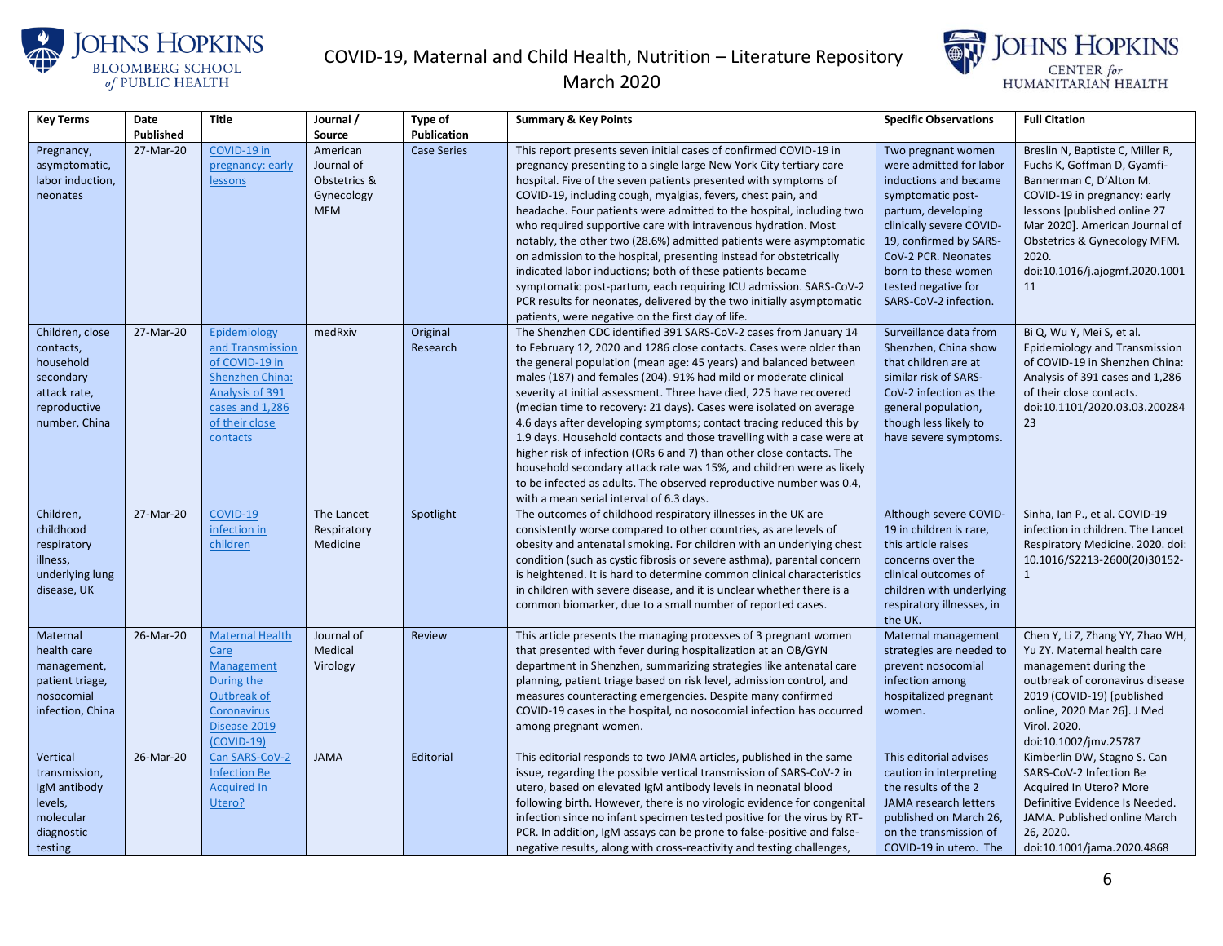



| <b>Key Terms</b>                                                                                        | Date      | <b>Title</b>                                                                                                                                     | Journal /                                                          | Type of              | <b>Summary &amp; Key Points</b>                                                                                                                                                                                                                                                                                                                                                                                                                                                                                                                                                                                                                                                                                                                                                                                                                  | <b>Specific Observations</b>                                                                                                                                                                                                                                          | <b>Full Citation</b>                                                                                                                                                                                                                                                          |
|---------------------------------------------------------------------------------------------------------|-----------|--------------------------------------------------------------------------------------------------------------------------------------------------|--------------------------------------------------------------------|----------------------|--------------------------------------------------------------------------------------------------------------------------------------------------------------------------------------------------------------------------------------------------------------------------------------------------------------------------------------------------------------------------------------------------------------------------------------------------------------------------------------------------------------------------------------------------------------------------------------------------------------------------------------------------------------------------------------------------------------------------------------------------------------------------------------------------------------------------------------------------|-----------------------------------------------------------------------------------------------------------------------------------------------------------------------------------------------------------------------------------------------------------------------|-------------------------------------------------------------------------------------------------------------------------------------------------------------------------------------------------------------------------------------------------------------------------------|
|                                                                                                         | Published |                                                                                                                                                  | Source                                                             | Publication          |                                                                                                                                                                                                                                                                                                                                                                                                                                                                                                                                                                                                                                                                                                                                                                                                                                                  |                                                                                                                                                                                                                                                                       |                                                                                                                                                                                                                                                                               |
| Pregnancy,<br>asymptomatic,<br>labor induction,<br>neonates                                             | 27-Mar-20 | COVID-19 in<br>pregnancy: early<br>lessons                                                                                                       | American<br>Journal of<br>Obstetrics &<br>Gynecology<br><b>MFM</b> | <b>Case Series</b>   | This report presents seven initial cases of confirmed COVID-19 in<br>pregnancy presenting to a single large New York City tertiary care<br>hospital. Five of the seven patients presented with symptoms of<br>COVID-19, including cough, myalgias, fevers, chest pain, and<br>headache. Four patients were admitted to the hospital, including two<br>who required supportive care with intravenous hydration. Most<br>notably, the other two (28.6%) admitted patients were asymptomatic<br>on admission to the hospital, presenting instead for obstetrically<br>indicated labor inductions; both of these patients became<br>symptomatic post-partum, each requiring ICU admission. SARS-CoV-2<br>PCR results for neonates, delivered by the two initially asymptomatic<br>patients, were negative on the first day of life.                  | Two pregnant women<br>were admitted for labor<br>inductions and became<br>symptomatic post-<br>partum, developing<br>clinically severe COVID-<br>19, confirmed by SARS-<br>CoV-2 PCR. Neonates<br>born to these women<br>tested negative for<br>SARS-CoV-2 infection. | Breslin N, Baptiste C, Miller R,<br>Fuchs K, Goffman D, Gyamfi-<br>Bannerman C, D'Alton M.<br>COVID-19 in pregnancy: early<br>lessons [published online 27<br>Mar 2020]. American Journal of<br>Obstetrics & Gynecology MFM.<br>2020.<br>doi:10.1016/j.ajogmf.2020.1001<br>11 |
| Children, close<br>contacts,<br>household<br>secondary<br>attack rate,<br>reproductive<br>number, China | 27-Mar-20 | Epidemiology<br>and Transmission<br>of COVID-19 in<br><b>Shenzhen China:</b><br>Analysis of 391<br>cases and 1,286<br>of their close<br>contacts | medRxiv                                                            | Original<br>Research | The Shenzhen CDC identified 391 SARS-CoV-2 cases from January 14<br>to February 12, 2020 and 1286 close contacts. Cases were older than<br>the general population (mean age: 45 years) and balanced between<br>males (187) and females (204). 91% had mild or moderate clinical<br>severity at initial assessment. Three have died, 225 have recovered<br>(median time to recovery: 21 days). Cases were isolated on average<br>4.6 days after developing symptoms; contact tracing reduced this by<br>1.9 days. Household contacts and those travelling with a case were at<br>higher risk of infection (ORs 6 and 7) than other close contacts. The<br>household secondary attack rate was 15%, and children were as likely<br>to be infected as adults. The observed reproductive number was 0.4,<br>with a mean serial interval of 6.3 days. | Surveillance data from<br>Shenzhen, China show<br>that children are at<br>similar risk of SARS-<br>CoV-2 infection as the<br>general population,<br>though less likely to<br>have severe symptoms.                                                                    | Bi Q, Wu Y, Mei S, et al.<br>Epidemiology and Transmission<br>of COVID-19 in Shenzhen China:<br>Analysis of 391 cases and 1,286<br>of their close contacts.<br>doi:10.1101/2020.03.03.200284<br>23                                                                            |
| Children,<br>childhood<br>respiratory<br>illness,<br>underlying lung<br>disease, UK                     | 27-Mar-20 | COVID-19<br>infection in<br>children                                                                                                             | The Lancet<br>Respiratory<br>Medicine                              | Spotlight            | The outcomes of childhood respiratory illnesses in the UK are<br>consistently worse compared to other countries, as are levels of<br>obesity and antenatal smoking. For children with an underlying chest<br>condition (such as cystic fibrosis or severe asthma), parental concern<br>is heightened. It is hard to determine common clinical characteristics<br>in children with severe disease, and it is unclear whether there is a<br>common biomarker, due to a small number of reported cases.                                                                                                                                                                                                                                                                                                                                             | Although severe COVID-<br>19 in children is rare,<br>this article raises<br>concerns over the<br>clinical outcomes of<br>children with underlying<br>respiratory illnesses, in<br>the UK.                                                                             | Sinha, Ian P., et al. COVID-19<br>infection in children. The Lancet<br>Respiratory Medicine. 2020. doi:<br>10.1016/S2213-2600(20)30152-<br>$\mathbf{1}$                                                                                                                       |
| Maternal<br>health care<br>management,<br>patient triage,<br>nosocomial<br>infection, China             | 26-Mar-20 | <b>Maternal Health</b><br>Care<br>Management<br>During the<br>Outbreak of<br><b>Coronavirus</b><br>Disease 2019<br>$(COVID-19)$                  | Journal of<br>Medical<br>Virology                                  | <b>Review</b>        | This article presents the managing processes of 3 pregnant women<br>that presented with fever during hospitalization at an OB/GYN<br>department in Shenzhen, summarizing strategies like antenatal care<br>planning, patient triage based on risk level, admission control, and<br>measures counteracting emergencies. Despite many confirmed<br>COVID-19 cases in the hospital, no nosocomial infection has occurred<br>among pregnant women.                                                                                                                                                                                                                                                                                                                                                                                                   | Maternal management<br>strategies are needed to<br>prevent nosocomial<br>infection among<br>hospitalized pregnant<br>women.                                                                                                                                           | Chen Y, Li Z, Zhang YY, Zhao WH,<br>Yu ZY. Maternal health care<br>management during the<br>outbreak of coronavirus disease<br>2019 (COVID-19) [published<br>online, 2020 Mar 26]. J Med<br>Virol. 2020.<br>doi:10.1002/jmv.25787                                             |
| Vertical<br>transmission,<br>IgM antibody<br>levels,<br>molecular<br>diagnostic<br>testing              | 26-Mar-20 | Can SARS-CoV-2<br><b>Infection Be</b><br><b>Acquired In</b><br>Utero?                                                                            | <b>JAMA</b>                                                        | Editorial            | This editorial responds to two JAMA articles, published in the same<br>issue, regarding the possible vertical transmission of SARS-CoV-2 in<br>utero, based on elevated IgM antibody levels in neonatal blood<br>following birth. However, there is no virologic evidence for congenital<br>infection since no infant specimen tested positive for the virus by RT-<br>PCR. In addition, IgM assays can be prone to false-positive and false-<br>negative results, along with cross-reactivity and testing challenges,                                                                                                                                                                                                                                                                                                                           | This editorial advises<br>caution in interpreting<br>the results of the 2<br>JAMA research letters<br>published on March 26,<br>on the transmission of<br>COVID-19 in utero. The                                                                                      | Kimberlin DW, Stagno S. Can<br>SARS-CoV-2 Infection Be<br>Acquired In Utero? More<br>Definitive Evidence Is Needed.<br>JAMA. Published online March<br>26, 2020.<br>doi:10.1001/jama.2020.4868                                                                                |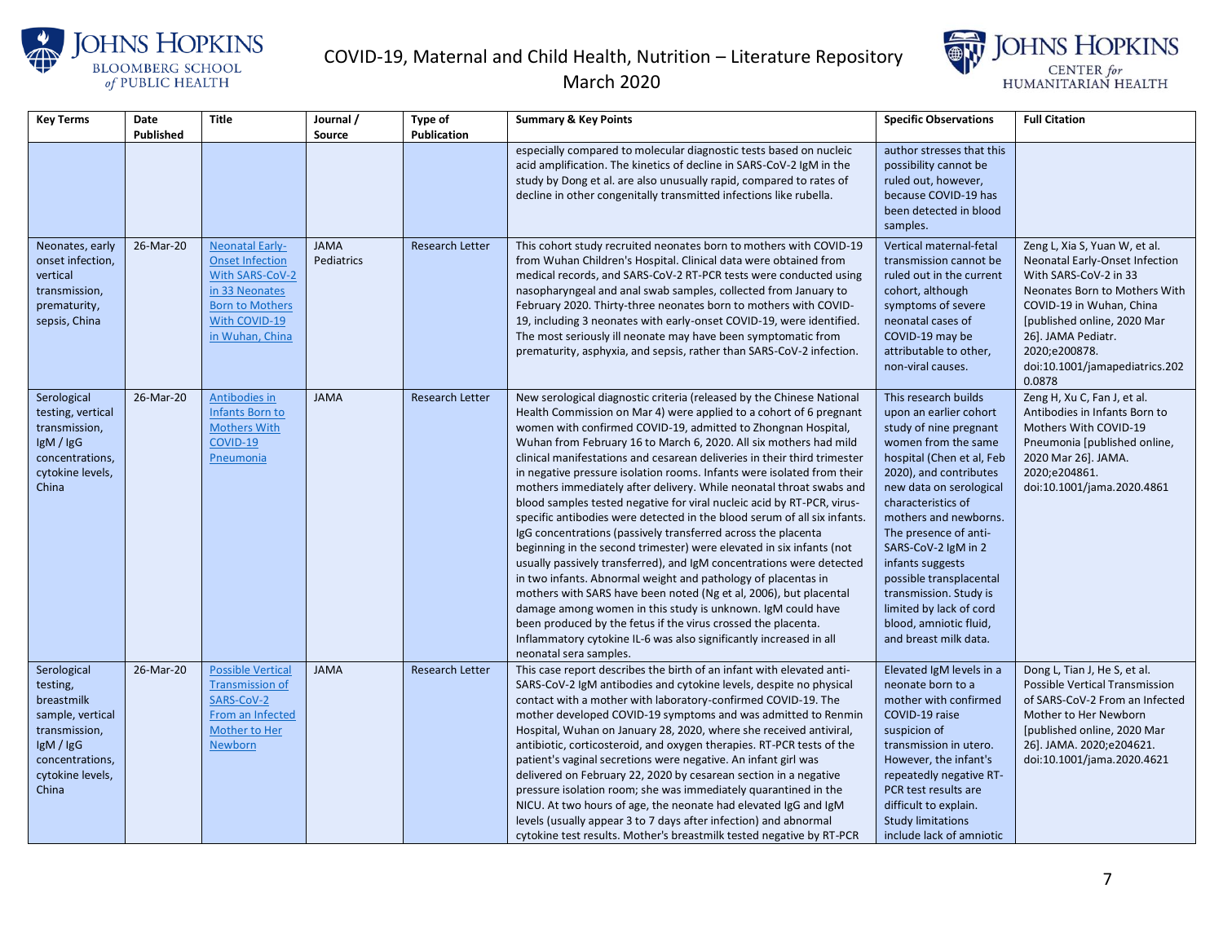





| <b>Key Terms</b>                                                                                                                        | Date      | <b>Title</b>                                                                                                                                        | Journal /                 | Type of                | <b>Summary &amp; Key Points</b>                                                                                                                                                                                                                                                                                                                                                                                                                                                                                                                                                                                                                                                                                                                                                                                                                                                                                                                                                                                                                                                                                                                                                                                                                             | <b>Specific Observations</b>                                                                                                                                                                                                                                                                                                                                                                                                            | <b>Full Citation</b>                                                                                                                                                                                                                                                    |
|-----------------------------------------------------------------------------------------------------------------------------------------|-----------|-----------------------------------------------------------------------------------------------------------------------------------------------------|---------------------------|------------------------|-------------------------------------------------------------------------------------------------------------------------------------------------------------------------------------------------------------------------------------------------------------------------------------------------------------------------------------------------------------------------------------------------------------------------------------------------------------------------------------------------------------------------------------------------------------------------------------------------------------------------------------------------------------------------------------------------------------------------------------------------------------------------------------------------------------------------------------------------------------------------------------------------------------------------------------------------------------------------------------------------------------------------------------------------------------------------------------------------------------------------------------------------------------------------------------------------------------------------------------------------------------|-----------------------------------------------------------------------------------------------------------------------------------------------------------------------------------------------------------------------------------------------------------------------------------------------------------------------------------------------------------------------------------------------------------------------------------------|-------------------------------------------------------------------------------------------------------------------------------------------------------------------------------------------------------------------------------------------------------------------------|
|                                                                                                                                         | Published |                                                                                                                                                     | Source                    | Publication            |                                                                                                                                                                                                                                                                                                                                                                                                                                                                                                                                                                                                                                                                                                                                                                                                                                                                                                                                                                                                                                                                                                                                                                                                                                                             |                                                                                                                                                                                                                                                                                                                                                                                                                                         |                                                                                                                                                                                                                                                                         |
|                                                                                                                                         |           |                                                                                                                                                     |                           |                        | especially compared to molecular diagnostic tests based on nucleic<br>acid amplification. The kinetics of decline in SARS-CoV-2 IgM in the<br>study by Dong et al. are also unusually rapid, compared to rates of<br>decline in other congenitally transmitted infections like rubella.                                                                                                                                                                                                                                                                                                                                                                                                                                                                                                                                                                                                                                                                                                                                                                                                                                                                                                                                                                     | author stresses that this<br>possibility cannot be<br>ruled out, however,<br>because COVID-19 has<br>been detected in blood<br>samples.                                                                                                                                                                                                                                                                                                 |                                                                                                                                                                                                                                                                         |
| Neonates, early<br>onset infection,<br>vertical<br>transmission,<br>prematurity,<br>sepsis, China                                       | 26-Mar-20 | <b>Neonatal Early-</b><br><b>Onset Infection</b><br>With SARS-CoV-2<br>in 33 Neonates<br><b>Born to Mothers</b><br>With COVID-19<br>in Wuhan, China | <b>JAMA</b><br>Pediatrics | <b>Research Letter</b> | This cohort study recruited neonates born to mothers with COVID-19<br>from Wuhan Children's Hospital. Clinical data were obtained from<br>medical records, and SARS-CoV-2 RT-PCR tests were conducted using<br>nasopharyngeal and anal swab samples, collected from January to<br>February 2020. Thirty-three neonates born to mothers with COVID-<br>19, including 3 neonates with early-onset COVID-19, were identified.<br>The most seriously ill neonate may have been symptomatic from<br>prematurity, asphyxia, and sepsis, rather than SARS-CoV-2 infection.                                                                                                                                                                                                                                                                                                                                                                                                                                                                                                                                                                                                                                                                                         | Vertical maternal-fetal<br>transmission cannot be<br>ruled out in the current<br>cohort, although<br>symptoms of severe<br>neonatal cases of<br>COVID-19 may be<br>attributable to other,<br>non-viral causes.                                                                                                                                                                                                                          | Zeng L, Xia S, Yuan W, et al.<br>Neonatal Early-Onset Infection<br>With SARS-CoV-2 in 33<br>Neonates Born to Mothers With<br>COVID-19 in Wuhan, China<br>[published online, 2020 Mar<br>26]. JAMA Pediatr.<br>2020;e200878.<br>doi:10.1001/jamapediatrics.202<br>0.0878 |
| Serological<br>testing, vertical<br>transmission,<br>lgM / lgG<br>concentrations,<br>cytokine levels,<br>China                          | 26-Mar-20 | Antibodies in<br>Infants Born to<br><b>Mothers With</b><br>COVID-19<br>Pneumonia                                                                    | <b>JAMA</b>               | <b>Research Letter</b> | New serological diagnostic criteria (released by the Chinese National<br>Health Commission on Mar 4) were applied to a cohort of 6 pregnant<br>women with confirmed COVID-19, admitted to Zhongnan Hospital,<br>Wuhan from February 16 to March 6, 2020. All six mothers had mild<br>clinical manifestations and cesarean deliveries in their third trimester<br>in negative pressure isolation rooms. Infants were isolated from their<br>mothers immediately after delivery. While neonatal throat swabs and<br>blood samples tested negative for viral nucleic acid by RT-PCR, virus-<br>specific antibodies were detected in the blood serum of all six infants.<br>IgG concentrations (passively transferred across the placenta<br>beginning in the second trimester) were elevated in six infants (not<br>usually passively transferred), and IgM concentrations were detected<br>in two infants. Abnormal weight and pathology of placentas in<br>mothers with SARS have been noted (Ng et al, 2006), but placental<br>damage among women in this study is unknown. IgM could have<br>been produced by the fetus if the virus crossed the placenta.<br>Inflammatory cytokine IL-6 was also significantly increased in all<br>neonatal sera samples. | This research builds<br>upon an earlier cohort<br>study of nine pregnant<br>women from the same<br>hospital (Chen et al, Feb<br>2020), and contributes<br>new data on serological<br>characteristics of<br>mothers and newborns.<br>The presence of anti-<br>SARS-CoV-2 IgM in 2<br>infants suggests<br>possible transplacental<br>transmission. Study is<br>limited by lack of cord<br>blood, amniotic fluid,<br>and breast milk data. | Zeng H, Xu C, Fan J, et al.<br>Antibodies in Infants Born to<br>Mothers With COVID-19<br>Pneumonia [published online,<br>2020 Mar 26]. JAMA.<br>2020;e204861.<br>doi:10.1001/jama.2020.4861                                                                             |
| Serological<br>testing,<br>breastmilk<br>sample, vertical<br>transmission,<br>IgM / IgG<br>concentrations,<br>cytokine levels,<br>China | 26-Mar-20 | <b>Possible Vertical</b><br><b>Transmission of</b><br>SARS-CoV-2<br>From an Infected<br>Mother to Her<br>Newborn                                    | <b>JAMA</b>               | <b>Research Letter</b> | This case report describes the birth of an infant with elevated anti-<br>SARS-CoV-2 IgM antibodies and cytokine levels, despite no physical<br>contact with a mother with laboratory-confirmed COVID-19. The<br>mother developed COVID-19 symptoms and was admitted to Renmin<br>Hospital, Wuhan on January 28, 2020, where she received antiviral,<br>antibiotic, corticosteroid, and oxygen therapies. RT-PCR tests of the<br>patient's vaginal secretions were negative. An infant girl was<br>delivered on February 22, 2020 by cesarean section in a negative<br>pressure isolation room; she was immediately quarantined in the<br>NICU. At two hours of age, the neonate had elevated IgG and IgM<br>levels (usually appear 3 to 7 days after infection) and abnormal<br>cytokine test results. Mother's breastmilk tested negative by RT-PCR                                                                                                                                                                                                                                                                                                                                                                                                        | Elevated IgM levels in a<br>neonate born to a<br>mother with confirmed<br>COVID-19 raise<br>suspicion of<br>transmission in utero.<br>However, the infant's<br>repeatedly negative RT-<br>PCR test results are<br>difficult to explain.<br><b>Study limitations</b><br>include lack of amniotic                                                                                                                                         | Dong L, Tian J, He S, et al.<br><b>Possible Vertical Transmission</b><br>of SARS-CoV-2 From an Infected<br>Mother to Her Newborn<br>[published online, 2020 Mar<br>26]. JAMA. 2020;e204621.<br>doi:10.1001/jama.2020.4621                                               |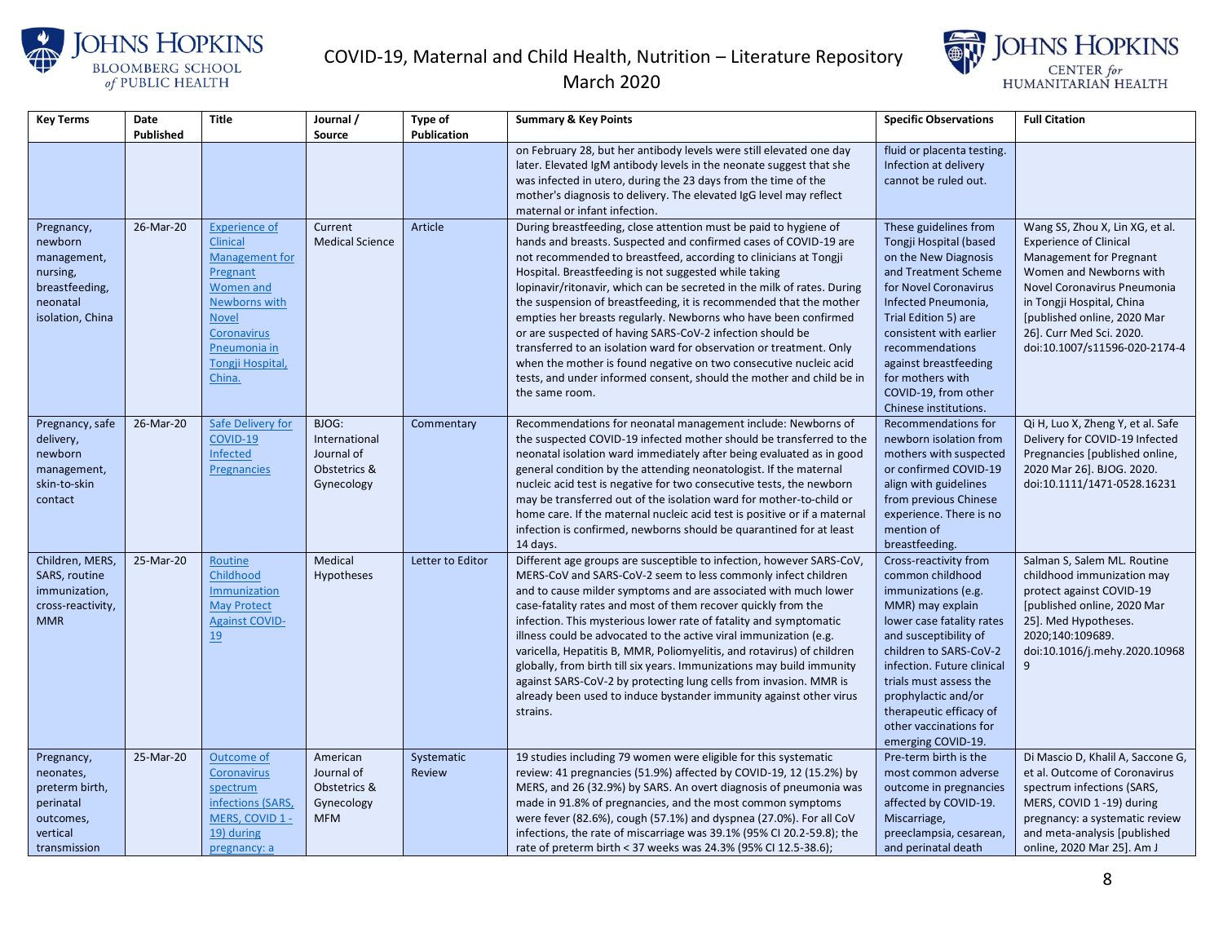





| <b>Key Terms</b>                                                                                   | Date<br>Published | <b>Title</b>                                                                                                                                                                                         | Journal /<br>Source                                                | Type of<br>Publication | <b>Summary &amp; Key Points</b>                                                                                                                                                                                                                                                                                                                                                                                                                                                                                                                                                                                                                                                                                                                                                          | <b>Specific Observations</b>                                                                                                                                                                                                                                                                                                   | <b>Full Citation</b>                                                                                                                                                                                                                                                           |
|----------------------------------------------------------------------------------------------------|-------------------|------------------------------------------------------------------------------------------------------------------------------------------------------------------------------------------------------|--------------------------------------------------------------------|------------------------|------------------------------------------------------------------------------------------------------------------------------------------------------------------------------------------------------------------------------------------------------------------------------------------------------------------------------------------------------------------------------------------------------------------------------------------------------------------------------------------------------------------------------------------------------------------------------------------------------------------------------------------------------------------------------------------------------------------------------------------------------------------------------------------|--------------------------------------------------------------------------------------------------------------------------------------------------------------------------------------------------------------------------------------------------------------------------------------------------------------------------------|--------------------------------------------------------------------------------------------------------------------------------------------------------------------------------------------------------------------------------------------------------------------------------|
|                                                                                                    |                   |                                                                                                                                                                                                      |                                                                    |                        | on February 28, but her antibody levels were still elevated one day<br>later. Elevated IgM antibody levels in the neonate suggest that she<br>was infected in utero, during the 23 days from the time of the<br>mother's diagnosis to delivery. The elevated IgG level may reflect<br>maternal or infant infection.                                                                                                                                                                                                                                                                                                                                                                                                                                                                      | fluid or placenta testing.<br>Infection at delivery<br>cannot be ruled out.                                                                                                                                                                                                                                                    |                                                                                                                                                                                                                                                                                |
| Pregnancy,<br>newborn<br>management,<br>nursing,<br>breastfeeding,<br>neonatal<br>isolation, China | 26-Mar-20         | <b>Experience of</b><br><b>Clinical</b><br><b>Management for</b><br>Pregnant<br><b>Women and</b><br>Newborns with<br><b>Novel</b><br>Coronavirus<br>Pneumonia in<br><b>Tongji Hospital</b><br>China. | Current<br><b>Medical Science</b>                                  | Article                | During breastfeeding, close attention must be paid to hygiene of<br>hands and breasts. Suspected and confirmed cases of COVID-19 are<br>not recommended to breastfeed, according to clinicians at Tongji<br>Hospital. Breastfeeding is not suggested while taking<br>lopinavir/ritonavir, which can be secreted in the milk of rates. During<br>the suspension of breastfeeding, it is recommended that the mother<br>empties her breasts regularly. Newborns who have been confirmed<br>or are suspected of having SARS-CoV-2 infection should be<br>transferred to an isolation ward for observation or treatment. Only<br>when the mother is found negative on two consecutive nucleic acid<br>tests, and under informed consent, should the mother and child be in<br>the same room. | These guidelines from<br>Tongji Hospital (based<br>on the New Diagnosis<br>and Treatment Scheme<br>for Novel Coronavirus<br>Infected Pneumonia,<br>Trial Edition 5) are<br>consistent with earlier<br>recommendations<br>against breastfeeding<br>for mothers with<br>COVID-19, from other<br>Chinese institutions.            | Wang SS, Zhou X, Lin XG, et al.<br><b>Experience of Clinical</b><br>Management for Pregnant<br>Women and Newborns with<br>Novel Coronavirus Pneumonia<br>in Tongji Hospital, China<br>[published online, 2020 Mar<br>26]. Curr Med Sci. 2020.<br>doi:10.1007/s11596-020-2174-4 |
| Pregnancy, safe<br>delivery,<br>newborn<br>management,<br>skin-to-skin<br>contact                  | 26-Mar-20         | Safe Delivery for<br>COVID-19<br>Infected<br>Pregnancies                                                                                                                                             | BJOG:<br>International<br>Journal of<br>Obstetrics &<br>Gynecology | Commentary             | Recommendations for neonatal management include: Newborns of<br>the suspected COVID-19 infected mother should be transferred to the<br>neonatal isolation ward immediately after being evaluated as in good<br>general condition by the attending neonatologist. If the maternal<br>nucleic acid test is negative for two consecutive tests, the newborn<br>may be transferred out of the isolation ward for mother-to-child or<br>home care. If the maternal nucleic acid test is positive or if a maternal<br>infection is confirmed, newborns should be quarantined for at least<br>14 days.                                                                                                                                                                                          | Recommendations for<br>newborn isolation from<br>mothers with suspected<br>or confirmed COVID-19<br>align with guidelines<br>from previous Chinese<br>experience. There is no<br>mention of<br>breastfeeding.                                                                                                                  | Qi H, Luo X, Zheng Y, et al. Safe<br>Delivery for COVID-19 Infected<br>Pregnancies [published online,<br>2020 Mar 26]. BJOG. 2020.<br>doi:10.1111/1471-0528.16231                                                                                                              |
| Children, MERS,<br>SARS, routine<br>immunization,<br>cross-reactivity,<br><b>MMR</b>               | 25-Mar-20         | Routine<br>Childhood<br>Immunization<br><b>May Protect</b><br><b>Against COVID-</b><br><u>19</u>                                                                                                     | Medical<br><b>Hypotheses</b>                                       | Letter to Editor       | Different age groups are susceptible to infection, however SARS-CoV,<br>MERS-CoV and SARS-CoV-2 seem to less commonly infect children<br>and to cause milder symptoms and are associated with much lower<br>case-fatality rates and most of them recover quickly from the<br>infection. This mysterious lower rate of fatality and symptomatic<br>illness could be advocated to the active viral immunization (e.g.<br>varicella, Hepatitis B, MMR, Poliomyelitis, and rotavirus) of children<br>globally, from birth till six years. Immunizations may build immunity<br>against SARS-CoV-2 by protecting lung cells from invasion. MMR is<br>already been used to induce bystander immunity against other virus<br>strains.                                                            | Cross-reactivity from<br>common childhood<br>immunizations (e.g.<br>MMR) may explain<br>lower case fatality rates<br>and susceptibility of<br>children to SARS-CoV-2<br>infection. Future clinical<br>trials must assess the<br>prophylactic and/or<br>therapeutic efficacy of<br>other vaccinations for<br>emerging COVID-19. | Salman S, Salem ML. Routine<br>childhood immunization may<br>protect against COVID-19<br>[published online, 2020 Mar<br>25]. Med Hypotheses.<br>2020;140:109689.<br>doi:10.1016/j.mehy.2020.10968<br>9                                                                         |
| Pregnancy,<br>neonates,<br>preterm birth,<br>perinatal<br>outcomes,<br>vertical<br>transmission    | 25-Mar-20         | Outcome of<br><b>Coronavirus</b><br>spectrum<br>infections (SARS,<br>MERS, COVID 1 -<br>19) during<br>pregnancy: a                                                                                   | American<br>Journal of<br>Obstetrics &<br>Gynecology<br><b>MFM</b> | Systematic<br>Review   | 19 studies including 79 women were eligible for this systematic<br>review: 41 pregnancies (51.9%) affected by COVID-19, 12 (15.2%) by<br>MERS, and 26 (32.9%) by SARS. An overt diagnosis of pneumonia was<br>made in 91.8% of pregnancies, and the most common symptoms<br>were fever (82.6%), cough (57.1%) and dyspnea (27.0%). For all CoV<br>infections, the rate of miscarriage was 39.1% (95% CI 20.2-59.8); the<br>rate of preterm birth < 37 weeks was 24.3% (95% CI 12.5-38.6);                                                                                                                                                                                                                                                                                                | Pre-term birth is the<br>most common adverse<br>outcome in pregnancies<br>affected by COVID-19.<br>Miscarriage,<br>preeclampsia, cesarean,<br>and perinatal death                                                                                                                                                              | Di Mascio D, Khalil A, Saccone G,<br>et al. Outcome of Coronavirus<br>spectrum infections (SARS,<br>MERS, COVID 1-19) during<br>pregnancy: a systematic review<br>and meta-analysis [published]<br>online, 2020 Mar 25]. Am J                                                  |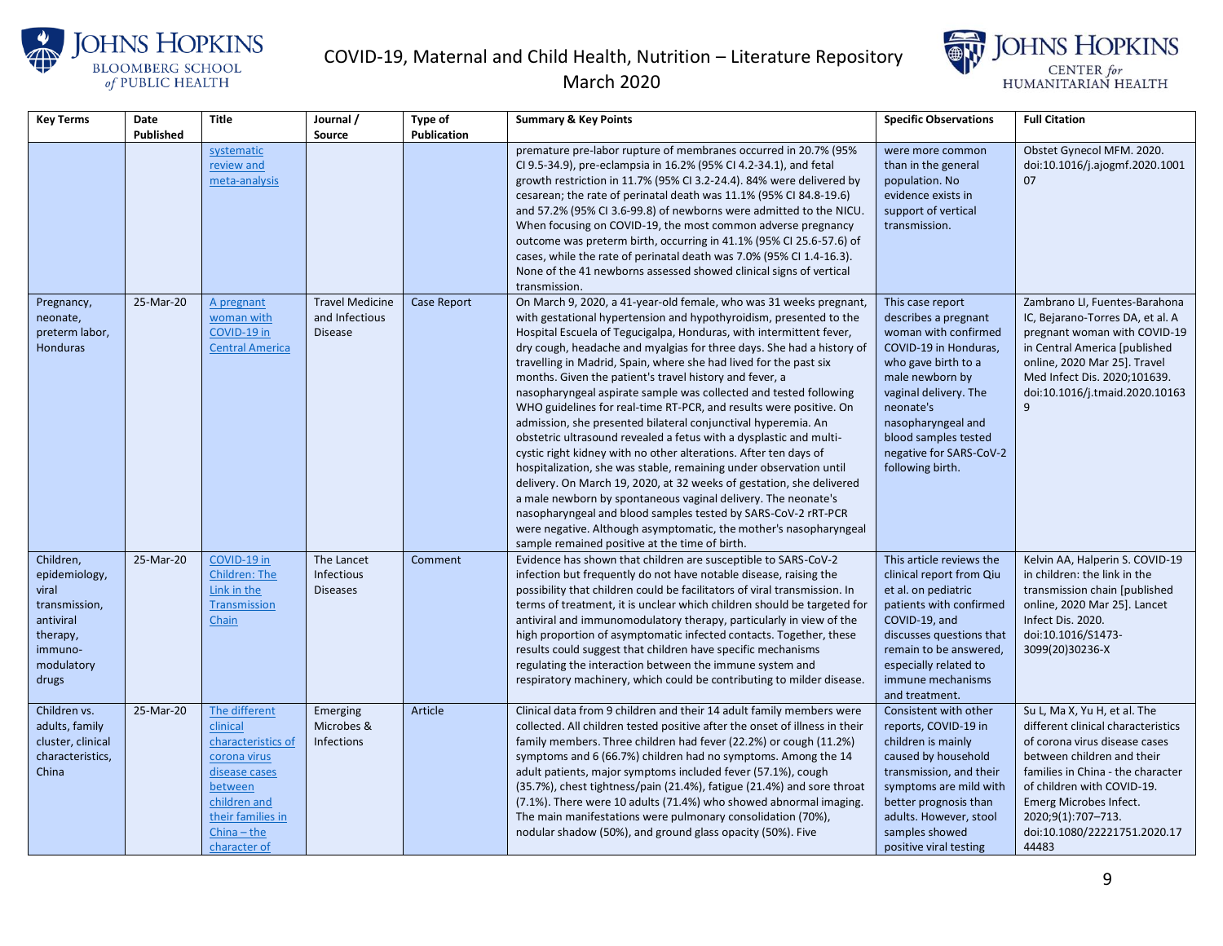



| Key Terms                                                                                                       | Date      | <b>Title</b>                                                                                                                                                      | Journal /                                                  | <b>Type of</b>     | <b>Summary &amp; Key Points</b>                                                                                                                                                                                                                                                                                                                                                                                                                                                                                                                                                                                                                                                                                                                                                                                                                                                                                                                                                                                                                                                                                                                                                       | <b>Specific Observations</b>                                                                                                                                                                                                                                           | <b>Full Citation</b>                                                                                                                                                                                                                                                                          |
|-----------------------------------------------------------------------------------------------------------------|-----------|-------------------------------------------------------------------------------------------------------------------------------------------------------------------|------------------------------------------------------------|--------------------|---------------------------------------------------------------------------------------------------------------------------------------------------------------------------------------------------------------------------------------------------------------------------------------------------------------------------------------------------------------------------------------------------------------------------------------------------------------------------------------------------------------------------------------------------------------------------------------------------------------------------------------------------------------------------------------------------------------------------------------------------------------------------------------------------------------------------------------------------------------------------------------------------------------------------------------------------------------------------------------------------------------------------------------------------------------------------------------------------------------------------------------------------------------------------------------|------------------------------------------------------------------------------------------------------------------------------------------------------------------------------------------------------------------------------------------------------------------------|-----------------------------------------------------------------------------------------------------------------------------------------------------------------------------------------------------------------------------------------------------------------------------------------------|
|                                                                                                                 | Published |                                                                                                                                                                   | Source                                                     | Publication        |                                                                                                                                                                                                                                                                                                                                                                                                                                                                                                                                                                                                                                                                                                                                                                                                                                                                                                                                                                                                                                                                                                                                                                                       |                                                                                                                                                                                                                                                                        |                                                                                                                                                                                                                                                                                               |
|                                                                                                                 |           | systematic<br>review and<br>meta-analysis                                                                                                                         |                                                            |                    | premature pre-labor rupture of membranes occurred in 20.7% (95%<br>CI 9.5-34.9), pre-eclampsia in 16.2% (95% CI 4.2-34.1), and fetal<br>growth restriction in 11.7% (95% CI 3.2-24.4). 84% were delivered by<br>cesarean; the rate of perinatal death was 11.1% (95% CI 84.8-19.6)<br>and 57.2% (95% CI 3.6-99.8) of newborns were admitted to the NICU.<br>When focusing on COVID-19, the most common adverse pregnancy<br>outcome was preterm birth, occurring in 41.1% (95% CI 25.6-57.6) of<br>cases, while the rate of perinatal death was 7.0% (95% CI 1.4-16.3).<br>None of the 41 newborns assessed showed clinical signs of vertical<br>transmission.                                                                                                                                                                                                                                                                                                                                                                                                                                                                                                                        | were more common<br>than in the general<br>population. No<br>evidence exists in<br>support of vertical<br>transmission.                                                                                                                                                | Obstet Gynecol MFM. 2020.<br>doi:10.1016/j.ajogmf.2020.1001<br>07                                                                                                                                                                                                                             |
| Pregnancy,<br>neonate,<br>preterm labor,<br><b>Honduras</b>                                                     | 25-Mar-20 | A pregnant<br>woman with<br>COVID-19 in<br><b>Central America</b>                                                                                                 | <b>Travel Medicine</b><br>and Infectious<br><b>Disease</b> | <b>Case Report</b> | On March 9, 2020, a 41-year-old female, who was 31 weeks pregnant,<br>with gestational hypertension and hypothyroidism, presented to the<br>Hospital Escuela of Tegucigalpa, Honduras, with intermittent fever,<br>dry cough, headache and myalgias for three days. She had a history of<br>travelling in Madrid, Spain, where she had lived for the past six<br>months. Given the patient's travel history and fever, a<br>nasopharyngeal aspirate sample was collected and tested following<br>WHO guidelines for real-time RT-PCR, and results were positive. On<br>admission, she presented bilateral conjunctival hyperemia. An<br>obstetric ultrasound revealed a fetus with a dysplastic and multi-<br>cystic right kidney with no other alterations. After ten days of<br>hospitalization, she was stable, remaining under observation until<br>delivery. On March 19, 2020, at 32 weeks of gestation, she delivered<br>a male newborn by spontaneous vaginal delivery. The neonate's<br>nasopharyngeal and blood samples tested by SARS-CoV-2 rRT-PCR<br>were negative. Although asymptomatic, the mother's nasopharyngeal<br>sample remained positive at the time of birth. | This case report<br>describes a pregnant<br>woman with confirmed<br>COVID-19 in Honduras,<br>who gave birth to a<br>male newborn by<br>vaginal delivery. The<br>neonate's<br>nasopharyngeal and<br>blood samples tested<br>negative for SARS-CoV-2<br>following birth. | Zambrano LI, Fuentes-Barahona<br>IC, Bejarano-Torres DA, et al. A<br>pregnant woman with COVID-19<br>in Central America [published<br>online, 2020 Mar 25]. Travel<br>Med Infect Dis. 2020;101639.<br>doi:10.1016/j.tmaid.2020.10163<br>9                                                     |
| Children,<br>epidemiology,<br>viral<br>transmission,<br>antiviral<br>therapy,<br>immuno-<br>modulatory<br>drugs | 25-Mar-20 | COVID-19 in<br><b>Children: The</b><br>Link in the<br>Transmission<br>Chain                                                                                       | The Lancet<br>Infectious<br><b>Diseases</b>                | Comment            | Evidence has shown that children are susceptible to SARS-CoV-2<br>infection but frequently do not have notable disease, raising the<br>possibility that children could be facilitators of viral transmission. In<br>terms of treatment, it is unclear which children should be targeted for<br>antiviral and immunomodulatory therapy, particularly in view of the<br>high proportion of asymptomatic infected contacts. Together, these<br>results could suggest that children have specific mechanisms<br>regulating the interaction between the immune system and<br>respiratory machinery, which could be contributing to milder disease.                                                                                                                                                                                                                                                                                                                                                                                                                                                                                                                                         | This article reviews the<br>clinical report from Qiu<br>et al. on pediatric<br>patients with confirmed<br>COVID-19, and<br>discusses questions that<br>remain to be answered,<br>especially related to<br>immune mechanisms<br>and treatment.                          | Kelvin AA, Halperin S. COVID-19<br>in children: the link in the<br>transmission chain [published<br>online, 2020 Mar 25]. Lancet<br>Infect Dis. 2020.<br>doi:10.1016/S1473-<br>3099(20)30236-X                                                                                                |
| Children vs.<br>adults, family<br>cluster, clinical<br>characteristics,<br>China                                | 25-Mar-20 | The different<br>clinical<br>characteristics of<br>corona virus<br>disease cases<br>between<br>children and<br>their families in<br>$China - the$<br>character of | Emerging<br>Microbes &<br>Infections                       | Article            | Clinical data from 9 children and their 14 adult family members were<br>collected. All children tested positive after the onset of illness in their<br>family members. Three children had fever (22.2%) or cough (11.2%)<br>symptoms and 6 (66.7%) children had no symptoms. Among the 14<br>adult patients, major symptoms included fever (57.1%), cough<br>(35.7%), chest tightness/pain (21.4%), fatigue (21.4%) and sore throat<br>(7.1%). There were 10 adults (71.4%) who showed abnormal imaging.<br>The main manifestations were pulmonary consolidation (70%),<br>nodular shadow (50%), and ground glass opacity (50%). Five                                                                                                                                                                                                                                                                                                                                                                                                                                                                                                                                                 | Consistent with other<br>reports, COVID-19 in<br>children is mainly<br>caused by household<br>transmission, and their<br>symptoms are mild with<br>better prognosis than<br>adults. However, stool<br>samples showed<br>positive viral testing                         | Su L, Ma X, Yu H, et al. The<br>different clinical characteristics<br>of corona virus disease cases<br>between children and their<br>families in China - the character<br>of children with COVID-19.<br>Emerg Microbes Infect.<br>2020;9(1):707-713.<br>doi:10.1080/22221751.2020.17<br>44483 |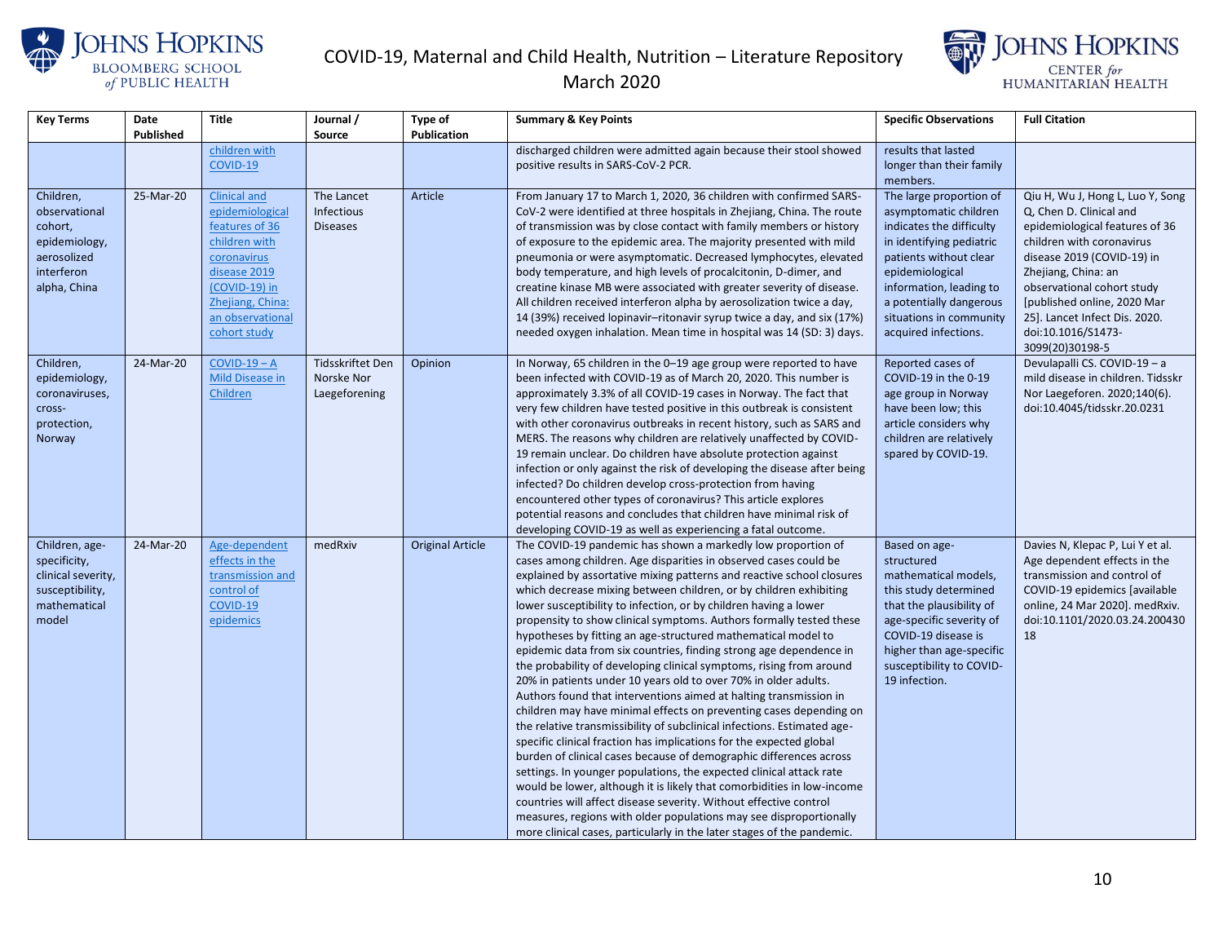



| <b>Key Terms</b>                                                                                    | Date<br>Published | <b>Title</b>                                                                                                                                                                      | Journal /<br>Source                                    | <b>Type of</b><br>Publication | <b>Summary &amp; Key Points</b>                                                                                                                                                                                                                                                                                                                                                                                                                                                                                                                                                                                                                                                                                                                                                                                                                                                                                                                                                                                                                                                                                                                                                                                                                                                                                                                                                                                                                     | <b>Specific Observations</b>                                                                                                                                                                                                                                   | <b>Full Citation</b>                                                                                                                                                                                                                                                                                                   |
|-----------------------------------------------------------------------------------------------------|-------------------|-----------------------------------------------------------------------------------------------------------------------------------------------------------------------------------|--------------------------------------------------------|-------------------------------|-----------------------------------------------------------------------------------------------------------------------------------------------------------------------------------------------------------------------------------------------------------------------------------------------------------------------------------------------------------------------------------------------------------------------------------------------------------------------------------------------------------------------------------------------------------------------------------------------------------------------------------------------------------------------------------------------------------------------------------------------------------------------------------------------------------------------------------------------------------------------------------------------------------------------------------------------------------------------------------------------------------------------------------------------------------------------------------------------------------------------------------------------------------------------------------------------------------------------------------------------------------------------------------------------------------------------------------------------------------------------------------------------------------------------------------------------------|----------------------------------------------------------------------------------------------------------------------------------------------------------------------------------------------------------------------------------------------------------------|------------------------------------------------------------------------------------------------------------------------------------------------------------------------------------------------------------------------------------------------------------------------------------------------------------------------|
|                                                                                                     |                   | children with<br>COVID-19                                                                                                                                                         |                                                        |                               | discharged children were admitted again because their stool showed<br>positive results in SARS-CoV-2 PCR.                                                                                                                                                                                                                                                                                                                                                                                                                                                                                                                                                                                                                                                                                                                                                                                                                                                                                                                                                                                                                                                                                                                                                                                                                                                                                                                                           | results that lasted<br>longer than their family<br>members.                                                                                                                                                                                                    |                                                                                                                                                                                                                                                                                                                        |
| Children,<br>observational<br>cohort,<br>epidemiology,<br>aerosolized<br>interferon<br>alpha, China | 25-Mar-20         | <b>Clinical and</b><br>epidemiological<br>features of 36<br>children with<br>coronavirus<br>disease 2019<br>(COVID-19) in<br>Zhejiang, China:<br>an observational<br>cohort study | The Lancet<br>Infectious<br><b>Diseases</b>            | Article                       | From January 17 to March 1, 2020, 36 children with confirmed SARS-<br>CoV-2 were identified at three hospitals in Zhejiang, China. The route<br>of transmission was by close contact with family members or history<br>of exposure to the epidemic area. The majority presented with mild<br>pneumonia or were asymptomatic. Decreased lymphocytes, elevated<br>body temperature, and high levels of procalcitonin, D-dimer, and<br>creatine kinase MB were associated with greater severity of disease.<br>All children received interferon alpha by aerosolization twice a day,<br>14 (39%) received lopinavir-ritonavir syrup twice a day, and six (17%)<br>needed oxygen inhalation. Mean time in hospital was 14 (SD: 3) days.                                                                                                                                                                                                                                                                                                                                                                                                                                                                                                                                                                                                                                                                                                                 | The large proportion of<br>asymptomatic children<br>indicates the difficulty<br>in identifying pediatric<br>patients without clear<br>epidemiological<br>information, leading to<br>a potentially dangerous<br>situations in community<br>acquired infections. | Qiu H, Wu J, Hong L, Luo Y, Song<br>Q, Chen D. Clinical and<br>epidemiological features of 36<br>children with coronavirus<br>disease 2019 (COVID-19) in<br>Zhejiang, China: an<br>observational cohort study<br>[published online, 2020 Mar<br>25]. Lancet Infect Dis. 2020.<br>doi:10.1016/S1473-<br>3099(20)30198-5 |
| Children,<br>epidemiology,<br>coronaviruses,<br>cross-<br>protection,<br>Norway                     | 24-Mar-20         | $COVID-19 - A$<br>Mild Disease in<br>Children                                                                                                                                     | <b>Tidsskriftet Den</b><br>Norske Nor<br>Laegeforening | Opinion                       | In Norway, 65 children in the 0-19 age group were reported to have<br>been infected with COVID-19 as of March 20, 2020. This number is<br>approximately 3.3% of all COVID-19 cases in Norway. The fact that<br>very few children have tested positive in this outbreak is consistent<br>with other coronavirus outbreaks in recent history, such as SARS and<br>MERS. The reasons why children are relatively unaffected by COVID-<br>19 remain unclear. Do children have absolute protection against<br>infection or only against the risk of developing the disease after being<br>infected? Do children develop cross-protection from having<br>encountered other types of coronavirus? This article explores<br>potential reasons and concludes that children have minimal risk of<br>developing COVID-19 as well as experiencing a fatal outcome.                                                                                                                                                                                                                                                                                                                                                                                                                                                                                                                                                                                              | Reported cases of<br>COVID-19 in the 0-19<br>age group in Norway<br>have been low; this<br>article considers why<br>children are relatively<br>spared by COVID-19.                                                                                             | Devulapalli CS. COVID-19 - a<br>mild disease in children. Tidsskr<br>Nor Laegeforen. 2020;140(6).<br>doi:10.4045/tidsskr.20.0231                                                                                                                                                                                       |
| Children, age-<br>specificity,<br>clinical severity,<br>susceptibility,<br>mathematical<br>model    | 24-Mar-20         | Age-dependent<br>effects in the<br>transmission and<br>control of<br>COVID-19<br>epidemics                                                                                        | medRxiv                                                | <b>Original Article</b>       | The COVID-19 pandemic has shown a markedly low proportion of<br>cases among children. Age disparities in observed cases could be<br>explained by assortative mixing patterns and reactive school closures<br>which decrease mixing between children, or by children exhibiting<br>lower susceptibility to infection, or by children having a lower<br>propensity to show clinical symptoms. Authors formally tested these<br>hypotheses by fitting an age-structured mathematical model to<br>epidemic data from six countries, finding strong age dependence in<br>the probability of developing clinical symptoms, rising from around<br>20% in patients under 10 years old to over 70% in older adults.<br>Authors found that interventions aimed at halting transmission in<br>children may have minimal effects on preventing cases depending on<br>the relative transmissibility of subclinical infections. Estimated age-<br>specific clinical fraction has implications for the expected global<br>burden of clinical cases because of demographic differences across<br>settings. In younger populations, the expected clinical attack rate<br>would be lower, although it is likely that comorbidities in low-income<br>countries will affect disease severity. Without effective control<br>measures, regions with older populations may see disproportionally<br>more clinical cases, particularly in the later stages of the pandemic. | Based on age-<br>structured<br>mathematical models,<br>this study determined<br>that the plausibility of<br>age-specific severity of<br>COVID-19 disease is<br>higher than age-specific<br>susceptibility to COVID-<br>19 infection.                           | Davies N, Klepac P, Lui Y et al.<br>Age dependent effects in the<br>transmission and control of<br>COVID-19 epidemics [available<br>online, 24 Mar 2020]. medRxiv.<br>doi:10.1101/2020.03.24.200430<br>18                                                                                                              |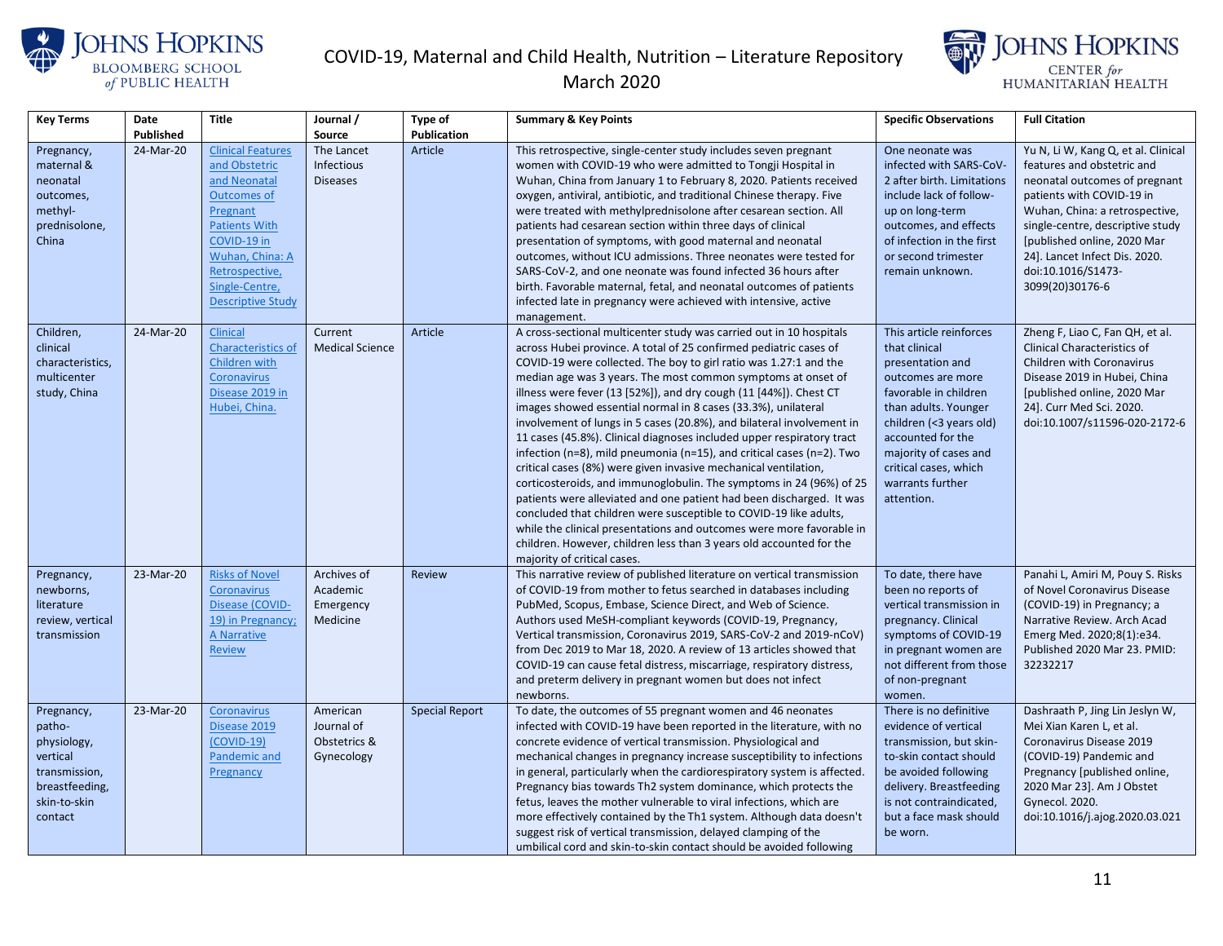



| <b>Key Terms</b>                                                                                              | Date      | <b>Title</b>                                                                                                                                                                                                          | Journal /                                            | Type of               | <b>Summary &amp; Key Points</b>                                                                                                                                                                                                                                                                                                                                                                                                                                                                                                                                                                                                                                                                                                                                                                                                                                                                                                                                                                                                                                                                                                 | <b>Specific Observations</b>                                                                                                                                                                                                                                           | <b>Full Citation</b>                                                                                                                                                                                                                                                                                           |
|---------------------------------------------------------------------------------------------------------------|-----------|-----------------------------------------------------------------------------------------------------------------------------------------------------------------------------------------------------------------------|------------------------------------------------------|-----------------------|---------------------------------------------------------------------------------------------------------------------------------------------------------------------------------------------------------------------------------------------------------------------------------------------------------------------------------------------------------------------------------------------------------------------------------------------------------------------------------------------------------------------------------------------------------------------------------------------------------------------------------------------------------------------------------------------------------------------------------------------------------------------------------------------------------------------------------------------------------------------------------------------------------------------------------------------------------------------------------------------------------------------------------------------------------------------------------------------------------------------------------|------------------------------------------------------------------------------------------------------------------------------------------------------------------------------------------------------------------------------------------------------------------------|----------------------------------------------------------------------------------------------------------------------------------------------------------------------------------------------------------------------------------------------------------------------------------------------------------------|
|                                                                                                               | Published |                                                                                                                                                                                                                       | Source                                               | Publication           |                                                                                                                                                                                                                                                                                                                                                                                                                                                                                                                                                                                                                                                                                                                                                                                                                                                                                                                                                                                                                                                                                                                                 |                                                                                                                                                                                                                                                                        |                                                                                                                                                                                                                                                                                                                |
| Pregnancy,<br>maternal &<br>neonatal<br>outcomes,<br>methyl-<br>prednisolone,<br>China                        | 24-Mar-20 | <b>Clinical Features</b><br>and Obstetric<br>and Neonatal<br><b>Outcomes of</b><br>Pregnant<br><b>Patients With</b><br>COVID-19 in<br>Wuhan, China: A<br>Retrospective,<br>Single-Centre,<br><b>Descriptive Study</b> | The Lancet<br>Infectious<br><b>Diseases</b>          | Article               | This retrospective, single-center study includes seven pregnant<br>women with COVID-19 who were admitted to Tongji Hospital in<br>Wuhan, China from January 1 to February 8, 2020. Patients received<br>oxygen, antiviral, antibiotic, and traditional Chinese therapy. Five<br>were treated with methylprednisolone after cesarean section. All<br>patients had cesarean section within three days of clinical<br>presentation of symptoms, with good maternal and neonatal<br>outcomes, without ICU admissions. Three neonates were tested for<br>SARS-CoV-2, and one neonate was found infected 36 hours after<br>birth. Favorable maternal, fetal, and neonatal outcomes of patients<br>infected late in pregnancy were achieved with intensive, active<br>management.                                                                                                                                                                                                                                                                                                                                                      | One neonate was<br>infected with SARS-CoV-<br>2 after birth. Limitations<br>include lack of follow-<br>up on long-term<br>outcomes, and effects<br>of infection in the first<br>or second trimester<br>remain unknown.                                                 | Yu N, Li W, Kang Q, et al. Clinical<br>features and obstetric and<br>neonatal outcomes of pregnant<br>patients with COVID-19 in<br>Wuhan, China: a retrospective,<br>single-centre, descriptive study<br>[published online, 2020 Mar<br>24]. Lancet Infect Dis. 2020.<br>doi:10.1016/S1473-<br>3099(20)30176-6 |
| Children,<br>clinical<br>characteristics,<br>multicenter<br>study, China                                      | 24-Mar-20 | Clinical<br>Characteristics of<br>Children with<br><b>Coronavirus</b><br>Disease 2019 in<br>Hubei, China.                                                                                                             | Current<br><b>Medical Science</b>                    | Article               | A cross-sectional multicenter study was carried out in 10 hospitals<br>across Hubei province. A total of 25 confirmed pediatric cases of<br>COVID-19 were collected. The boy to girl ratio was 1.27:1 and the<br>median age was 3 years. The most common symptoms at onset of<br>illness were fever (13 [52%]), and dry cough (11 [44%]). Chest CT<br>images showed essential normal in 8 cases (33.3%), unilateral<br>involvement of lungs in 5 cases (20.8%), and bilateral involvement in<br>11 cases (45.8%). Clinical diagnoses included upper respiratory tract<br>infection ( $n=8$ ), mild pneumonia ( $n=15$ ), and critical cases ( $n=2$ ). Two<br>critical cases (8%) were given invasive mechanical ventilation,<br>corticosteroids, and immunoglobulin. The symptoms in 24 (96%) of 25<br>patients were alleviated and one patient had been discharged. It was<br>concluded that children were susceptible to COVID-19 like adults,<br>while the clinical presentations and outcomes were more favorable in<br>children. However, children less than 3 years old accounted for the<br>majority of critical cases. | This article reinforces<br>that clinical<br>presentation and<br>outcomes are more<br>favorable in children<br>than adults. Younger<br>children (<3 years old)<br>accounted for the<br>majority of cases and<br>critical cases, which<br>warrants further<br>attention. | Zheng F, Liao C, Fan QH, et al.<br><b>Clinical Characteristics of</b><br>Children with Coronavirus<br>Disease 2019 in Hubei, China<br>[published online, 2020 Mar<br>24]. Curr Med Sci. 2020.<br>doi:10.1007/s11596-020-2172-6                                                                                 |
| Pregnancy,<br>newborns,<br>literature<br>review, vertical<br>transmission                                     | 23-Mar-20 | <b>Risks of Novel</b><br>Coronavirus<br>Disease (COVID-<br>19) in Pregnancy;<br>A Narrative<br><b>Review</b>                                                                                                          | Archives of<br>Academic<br>Emergency<br>Medicine     | <b>Review</b>         | This narrative review of published literature on vertical transmission<br>of COVID-19 from mother to fetus searched in databases including<br>PubMed, Scopus, Embase, Science Direct, and Web of Science.<br>Authors used MeSH-compliant keywords (COVID-19, Pregnancy,<br>Vertical transmission, Coronavirus 2019, SARS-CoV-2 and 2019-nCoV)<br>from Dec 2019 to Mar 18, 2020. A review of 13 articles showed that<br>COVID-19 can cause fetal distress, miscarriage, respiratory distress,<br>and preterm delivery in pregnant women but does not infect<br>newborns.                                                                                                                                                                                                                                                                                                                                                                                                                                                                                                                                                         | To date, there have<br>been no reports of<br>vertical transmission in<br>pregnancy. Clinical<br>symptoms of COVID-19<br>in pregnant women are<br>not different from those<br>of non-pregnant<br>women.                                                                 | Panahi L, Amiri M, Pouy S. Risks<br>of Novel Coronavirus Disease<br>(COVID-19) in Pregnancy; a<br>Narrative Review. Arch Acad<br>Emerg Med. 2020;8(1):e34.<br>Published 2020 Mar 23. PMID:<br>32232217                                                                                                         |
| Pregnancy,<br>patho-<br>physiology,<br>vertical<br>transmission,<br>breastfeeding,<br>skin-to-skin<br>contact | 23-Mar-20 | Coronavirus<br>Disease 2019<br>$(COVID-19)$<br>Pandemic and<br>Pregnancy                                                                                                                                              | American<br>Journal of<br>Obstetrics &<br>Gynecology | <b>Special Report</b> | To date, the outcomes of 55 pregnant women and 46 neonates<br>infected with COVID-19 have been reported in the literature, with no<br>concrete evidence of vertical transmission. Physiological and<br>mechanical changes in pregnancy increase susceptibility to infections<br>in general, particularly when the cardiorespiratory system is affected.<br>Pregnancy bias towards Th2 system dominance, which protects the<br>fetus, leaves the mother vulnerable to viral infections, which are<br>more effectively contained by the Th1 system. Although data doesn't<br>suggest risk of vertical transmission, delayed clamping of the<br>umbilical cord and skin-to-skin contact should be avoided following                                                                                                                                                                                                                                                                                                                                                                                                                | There is no definitive<br>evidence of vertical<br>transmission, but skin-<br>to-skin contact should<br>be avoided following<br>delivery. Breastfeeding<br>is not contraindicated,<br>but a face mask should<br>be worn.                                                | Dashraath P, Jing Lin Jeslyn W,<br>Mei Xian Karen L, et al.<br>Coronavirus Disease 2019<br>(COVID-19) Pandemic and<br>Pregnancy [published online,<br>2020 Mar 23]. Am J Obstet<br><b>Gynecol. 2020.</b><br>doi:10.1016/j.ajog.2020.03.021                                                                     |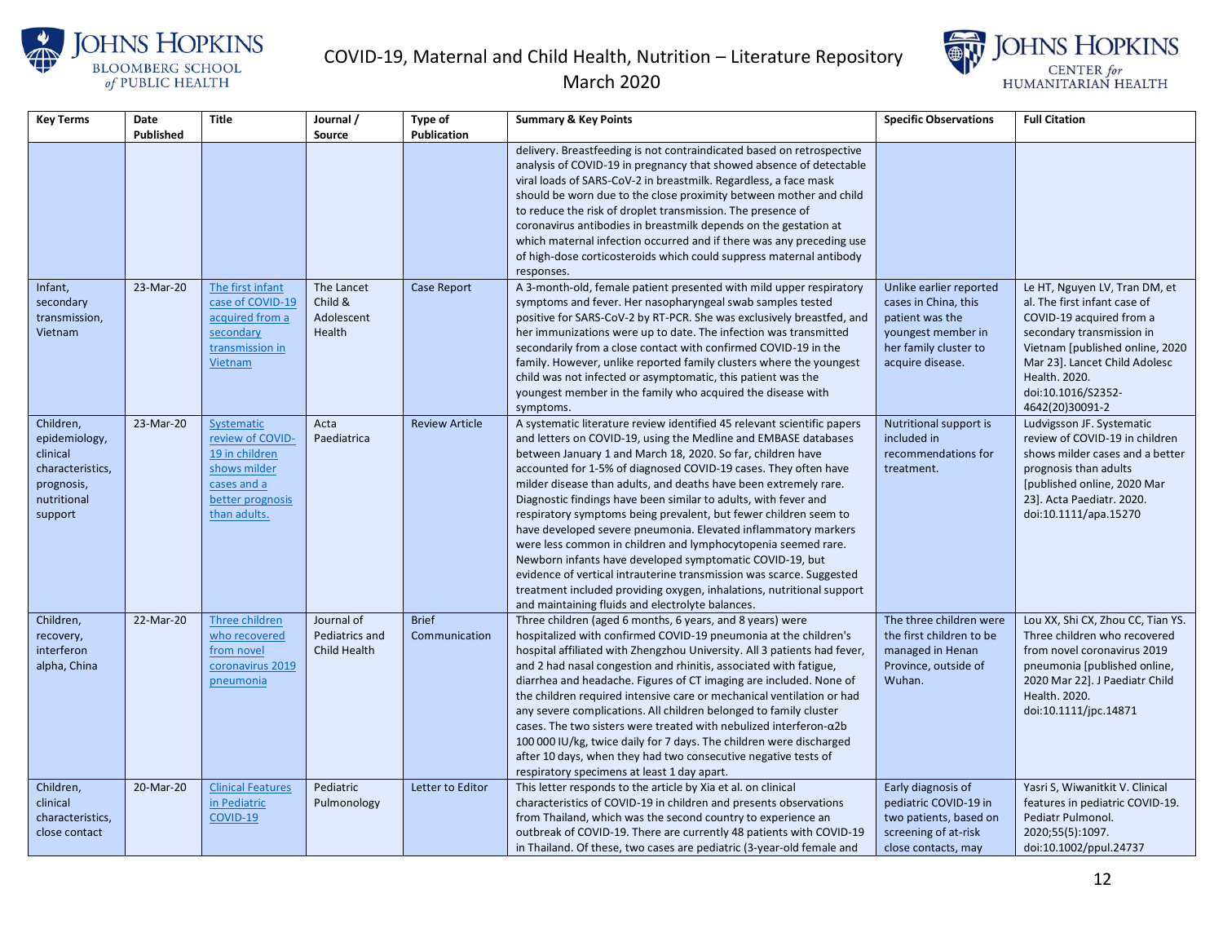

#### March 2020



| <b>Key Terms</b>                                                                                   | Date<br>Published | <b>Title</b>                                                                                                        | Journal /<br><b>Source</b>                    | <b>Type of</b><br><b>Publication</b> | <b>Summary &amp; Key Points</b>                                                                                                                                                                                                                                                                                                                                                                                                                                                                                                                                                                                                                                                                                                                                                                                                                                                             | <b>Specific Observations</b>                                                                                                          | <b>Full Citation</b>                                                                                                                                                                                                                                 |
|----------------------------------------------------------------------------------------------------|-------------------|---------------------------------------------------------------------------------------------------------------------|-----------------------------------------------|--------------------------------------|---------------------------------------------------------------------------------------------------------------------------------------------------------------------------------------------------------------------------------------------------------------------------------------------------------------------------------------------------------------------------------------------------------------------------------------------------------------------------------------------------------------------------------------------------------------------------------------------------------------------------------------------------------------------------------------------------------------------------------------------------------------------------------------------------------------------------------------------------------------------------------------------|---------------------------------------------------------------------------------------------------------------------------------------|------------------------------------------------------------------------------------------------------------------------------------------------------------------------------------------------------------------------------------------------------|
|                                                                                                    |                   |                                                                                                                     |                                               |                                      | delivery. Breastfeeding is not contraindicated based on retrospective<br>analysis of COVID-19 in pregnancy that showed absence of detectable<br>viral loads of SARS-CoV-2 in breastmilk. Regardless, a face mask<br>should be worn due to the close proximity between mother and child<br>to reduce the risk of droplet transmission. The presence of<br>coronavirus antibodies in breastmilk depends on the gestation at<br>which maternal infection occurred and if there was any preceding use<br>of high-dose corticosteroids which could suppress maternal antibody<br>responses.                                                                                                                                                                                                                                                                                                      |                                                                                                                                       |                                                                                                                                                                                                                                                      |
| Infant,<br>secondary<br>transmission,<br>Vietnam                                                   | 23-Mar-20         | The first infant<br>case of COVID-19<br>acquired from a<br>secondary<br>transmission in<br>Vietnam                  | The Lancet<br>Child &<br>Adolescent<br>Health | <b>Case Report</b>                   | A 3-month-old, female patient presented with mild upper respiratory<br>symptoms and fever. Her nasopharyngeal swab samples tested<br>positive for SARS-CoV-2 by RT-PCR. She was exclusively breastfed, and<br>her immunizations were up to date. The infection was transmitted<br>secondarily from a close contact with confirmed COVID-19 in the<br>family. However, unlike reported family clusters where the youngest<br>child was not infected or asymptomatic, this patient was the<br>youngest member in the family who acquired the disease with<br>symptoms.                                                                                                                                                                                                                                                                                                                        | Unlike earlier reported<br>cases in China, this<br>patient was the<br>youngest member in<br>her family cluster to<br>acquire disease. | Le HT, Nguyen LV, Tran DM, et<br>al. The first infant case of<br>COVID-19 acquired from a<br>secondary transmission in<br>Vietnam [published online, 2020<br>Mar 23]. Lancet Child Adolesc<br>Health. 2020.<br>doi:10.1016/S2352-<br>4642(20)30091-2 |
| Children,<br>epidemiology,<br>clinical<br>characteristics,<br>prognosis,<br>nutritional<br>support | 23-Mar-20         | Systematic<br>review of COVID-<br>19 in children<br>shows milder<br>cases and a<br>better prognosis<br>than adults. | Acta<br>Paediatrica                           | <b>Review Article</b>                | A systematic literature review identified 45 relevant scientific papers<br>and letters on COVID-19, using the Medline and EMBASE databases<br>between January 1 and March 18, 2020. So far, children have<br>accounted for 1-5% of diagnosed COVID-19 cases. They often have<br>milder disease than adults, and deaths have been extremely rare.<br>Diagnostic findings have been similar to adults, with fever and<br>respiratory symptoms being prevalent, but fewer children seem to<br>have developed severe pneumonia. Elevated inflammatory markers<br>were less common in children and lymphocytopenia seemed rare.<br>Newborn infants have developed symptomatic COVID-19, but<br>evidence of vertical intrauterine transmission was scarce. Suggested<br>treatment included providing oxygen, inhalations, nutritional support<br>and maintaining fluids and electrolyte balances. | Nutritional support is<br>included in<br>recommendations for<br>treatment.                                                            | Ludvigsson JF. Systematic<br>review of COVID-19 in children<br>shows milder cases and a better<br>prognosis than adults<br>[published online, 2020 Mar<br>23]. Acta Paediatr. 2020.<br>doi:10.1111/apa.15270                                         |
| Children,<br>recovery,<br>interferon<br>alpha, China                                               | 22-Mar-20         | Three children<br>who recovered<br>from novel<br>coronavirus 2019<br>pneumonia                                      | Journal of<br>Pediatrics and<br>Child Health  | <b>Brief</b><br>Communication        | Three children (aged 6 months, 6 years, and 8 years) were<br>hospitalized with confirmed COVID-19 pneumonia at the children's<br>hospital affiliated with Zhengzhou University. All 3 patients had fever,<br>and 2 had nasal congestion and rhinitis, associated with fatigue,<br>diarrhea and headache. Figures of CT imaging are included. None of<br>the children required intensive care or mechanical ventilation or had<br>any severe complications. All children belonged to family cluster<br>cases. The two sisters were treated with nebulized interferon- $\alpha$ 2b<br>100 000 IU/kg, twice daily for 7 days. The children were discharged<br>after 10 days, when they had two consecutive negative tests of<br>respiratory specimens at least 1 day apart.                                                                                                                    | The three children were<br>the first children to be<br>managed in Henan<br>Province, outside of<br>Wuhan.                             | Lou XX, Shi CX, Zhou CC, Tian YS.<br>Three children who recovered<br>from novel coronavirus 2019<br>pneumonia [published online,<br>2020 Mar 22]. J Paediatr Child<br>Health, 2020.<br>doi:10.1111/jpc.14871                                         |
| Children,<br>clinical<br>characteristics,<br>close contact                                         | 20-Mar-20         | <b>Clinical Features</b><br>in Pediatric<br>COVID-19                                                                | Pediatric<br>Pulmonology                      | Letter to Editor                     | This letter responds to the article by Xia et al. on clinical<br>characteristics of COVID-19 in children and presents observations<br>from Thailand, which was the second country to experience an<br>outbreak of COVID-19. There are currently 48 patients with COVID-19<br>in Thailand. Of these, two cases are pediatric (3-year-old female and                                                                                                                                                                                                                                                                                                                                                                                                                                                                                                                                          | Early diagnosis of<br>pediatric COVID-19 in<br>two patients, based on<br>screening of at-risk<br>close contacts, may                  | Yasri S, Wiwanitkit V. Clinical<br>features in pediatric COVID-19.<br>Pediatr Pulmonol.<br>2020;55(5):1097.<br>doi:10.1002/ppul.24737                                                                                                                |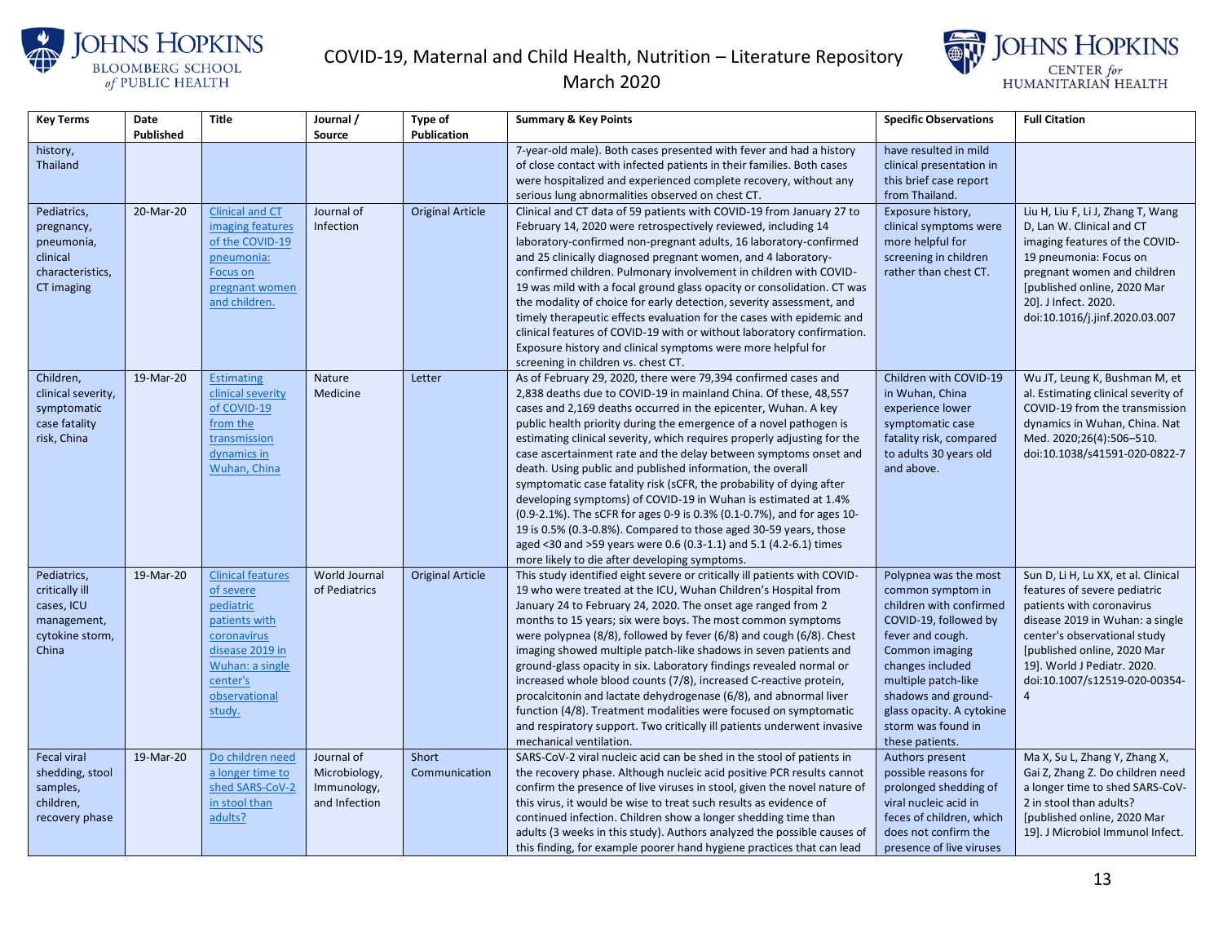



| <b>Key Terms</b>             | Date      | <b>Title</b>             | Journal /     | <b>Type of</b>          | <b>Summary &amp; Key Points</b>                                                                                                            | <b>Specific Observations</b>                   | <b>Full Citation</b>                                  |
|------------------------------|-----------|--------------------------|---------------|-------------------------|--------------------------------------------------------------------------------------------------------------------------------------------|------------------------------------------------|-------------------------------------------------------|
|                              | Published |                          | Source        | Publication             |                                                                                                                                            |                                                |                                                       |
| history,                     |           |                          |               |                         | 7-year-old male). Both cases presented with fever and had a history                                                                        | have resulted in mild                          |                                                       |
| <b>Thailand</b>              |           |                          |               |                         | of close contact with infected patients in their families. Both cases                                                                      | clinical presentation in                       |                                                       |
|                              |           |                          |               |                         | were hospitalized and experienced complete recovery, without any                                                                           | this brief case report                         |                                                       |
|                              |           |                          |               |                         | serious lung abnormalities observed on chest CT.                                                                                           | from Thailand.                                 |                                                       |
| Pediatrics,                  | 20-Mar-20 | <b>Clinical and CT</b>   | Journal of    | <b>Original Article</b> | Clinical and CT data of 59 patients with COVID-19 from January 27 to                                                                       | Exposure history,                              | Liu H, Liu F, Li J, Zhang T, Wang                     |
| pregnancy,                   |           | imaging features         | Infection     |                         | February 14, 2020 were retrospectively reviewed, including 14                                                                              | clinical symptoms were                         | D, Lan W. Clinical and CT                             |
| pneumonia,                   |           | of the COVID-19          |               |                         | laboratory-confirmed non-pregnant adults, 16 laboratory-confirmed                                                                          | more helpful for                               | imaging features of the COVID-                        |
| clinical<br>characteristics, |           | pneumonia:<br>Focus on   |               |                         | and 25 clinically diagnosed pregnant women, and 4 laboratory-<br>confirmed children. Pulmonary involvement in children with COVID-         | screening in children<br>rather than chest CT. | 19 pneumonia: Focus on<br>pregnant women and children |
| CT imaging                   |           | pregnant women           |               |                         | 19 was mild with a focal ground glass opacity or consolidation. CT was                                                                     |                                                | [published online, 2020 Mar                           |
|                              |           | and children.            |               |                         | the modality of choice for early detection, severity assessment, and                                                                       |                                                | 20]. J Infect. 2020.                                  |
|                              |           |                          |               |                         | timely therapeutic effects evaluation for the cases with epidemic and                                                                      |                                                | doi:10.1016/j.jinf.2020.03.007                        |
|                              |           |                          |               |                         | clinical features of COVID-19 with or without laboratory confirmation.                                                                     |                                                |                                                       |
|                              |           |                          |               |                         | Exposure history and clinical symptoms were more helpful for                                                                               |                                                |                                                       |
|                              |           |                          |               |                         | screening in children vs. chest CT.                                                                                                        |                                                |                                                       |
| Children,                    | 19-Mar-20 | <b>Estimating</b>        | Nature        | Letter                  | As of February 29, 2020, there were 79,394 confirmed cases and                                                                             | Children with COVID-19                         | Wu JT, Leung K, Bushman M, et                         |
| clinical severity,           |           | clinical severity        | Medicine      |                         | 2,838 deaths due to COVID-19 in mainland China. Of these, 48,557                                                                           | in Wuhan, China                                | al. Estimating clinical severity of                   |
| symptomatic                  |           | of COVID-19              |               |                         | cases and 2,169 deaths occurred in the epicenter, Wuhan. A key                                                                             | experience lower                               | COVID-19 from the transmission                        |
| case fatality                |           | from the                 |               |                         | public health priority during the emergence of a novel pathogen is                                                                         | symptomatic case                               | dynamics in Wuhan, China. Nat                         |
| risk, China                  |           | transmission             |               |                         | estimating clinical severity, which requires properly adjusting for the                                                                    | fatality risk, compared                        | Med. 2020;26(4):506-510.                              |
|                              |           | dynamics in              |               |                         | case ascertainment rate and the delay between symptoms onset and                                                                           | to adults 30 years old                         | doi:10.1038/s41591-020-0822-7                         |
|                              |           | Wuhan, China             |               |                         | death. Using public and published information, the overall                                                                                 | and above.                                     |                                                       |
|                              |           |                          |               |                         | symptomatic case fatality risk (sCFR, the probability of dying after                                                                       |                                                |                                                       |
|                              |           |                          |               |                         | developing symptoms) of COVID-19 in Wuhan is estimated at 1.4%                                                                             |                                                |                                                       |
|                              |           |                          |               |                         | (0.9-2.1%). The sCFR for ages 0-9 is 0.3% (0.1-0.7%), and for ages 10-<br>19 is 0.5% (0.3-0.8%). Compared to those aged 30-59 years, those |                                                |                                                       |
|                              |           |                          |               |                         | aged <30 and >59 years were 0.6 (0.3-1.1) and 5.1 (4.2-6.1) times                                                                          |                                                |                                                       |
|                              |           |                          |               |                         | more likely to die after developing symptoms.                                                                                              |                                                |                                                       |
| Pediatrics,                  | 19-Mar-20 | <b>Clinical features</b> | World Journal | <b>Original Article</b> | This study identified eight severe or critically ill patients with COVID-                                                                  | Polypnea was the most                          | Sun D, Li H, Lu XX, et al. Clinical                   |
| critically ill               |           | of severe                | of Pediatrics |                         | 19 who were treated at the ICU, Wuhan Children's Hospital from                                                                             | common symptom in                              | features of severe pediatric                          |
| cases, ICU                   |           | pediatric                |               |                         | January 24 to February 24, 2020. The onset age ranged from 2                                                                               | children with confirmed                        | patients with coronavirus                             |
| management,                  |           | patients with            |               |                         | months to 15 years; six were boys. The most common symptoms                                                                                | COVID-19, followed by                          | disease 2019 in Wuhan: a single                       |
| cytokine storm,              |           | coronavirus              |               |                         | were polypnea (8/8), followed by fever (6/8) and cough (6/8). Chest                                                                        | fever and cough.                               | center's observational study                          |
| China                        |           | disease 2019 in          |               |                         | imaging showed multiple patch-like shadows in seven patients and                                                                           | Common imaging                                 | [published online, 2020 Mar                           |
|                              |           | Wuhan: a single          |               |                         | ground-glass opacity in six. Laboratory findings revealed normal or                                                                        | changes included                               | 19]. World J Pediatr. 2020.                           |
|                              |           | center's                 |               |                         | increased whole blood counts (7/8), increased C-reactive protein,                                                                          | multiple patch-like                            | doi:10.1007/s12519-020-00354-                         |
|                              |           | observational            |               |                         | procalcitonin and lactate dehydrogenase (6/8), and abnormal liver                                                                          | shadows and ground-                            | 4                                                     |
|                              |           | study.                   |               |                         | function (4/8). Treatment modalities were focused on symptomatic                                                                           | glass opacity. A cytokine                      |                                                       |
|                              |           |                          |               |                         | and respiratory support. Two critically ill patients underwent invasive                                                                    | storm was found in                             |                                                       |
| <b>Fecal viral</b>           | 19-Mar-20 | Do children need         | Journal of    | Short                   | mechanical ventilation.<br>SARS-CoV-2 viral nucleic acid can be shed in the stool of patients in                                           | these patients.<br>Authors present             | Ma X, Su L, Zhang Y, Zhang X,                         |
| shedding, stool              |           | a longer time to         | Microbiology, | Communication           | the recovery phase. Although nucleic acid positive PCR results cannot                                                                      | possible reasons for                           | Gai Z, Zhang Z. Do children need                      |
| samples,                     |           | shed SARS-CoV-2          | Immunology,   |                         | confirm the presence of live viruses in stool, given the novel nature of                                                                   | prolonged shedding of                          | a longer time to shed SARS-CoV-                       |
| children,                    |           | in stool than            | and Infection |                         | this virus, it would be wise to treat such results as evidence of                                                                          | viral nucleic acid in                          | 2 in stool than adults?                               |
| recovery phase               |           | adults?                  |               |                         | continued infection. Children show a longer shedding time than                                                                             | feces of children, which                       | [published online, 2020 Mar                           |
|                              |           |                          |               |                         | adults (3 weeks in this study). Authors analyzed the possible causes of                                                                    | does not confirm the                           | 19]. J Microbiol Immunol Infect.                      |
|                              |           |                          |               |                         | this finding, for example poorer hand hygiene practices that can lead                                                                      | presence of live viruses                       |                                                       |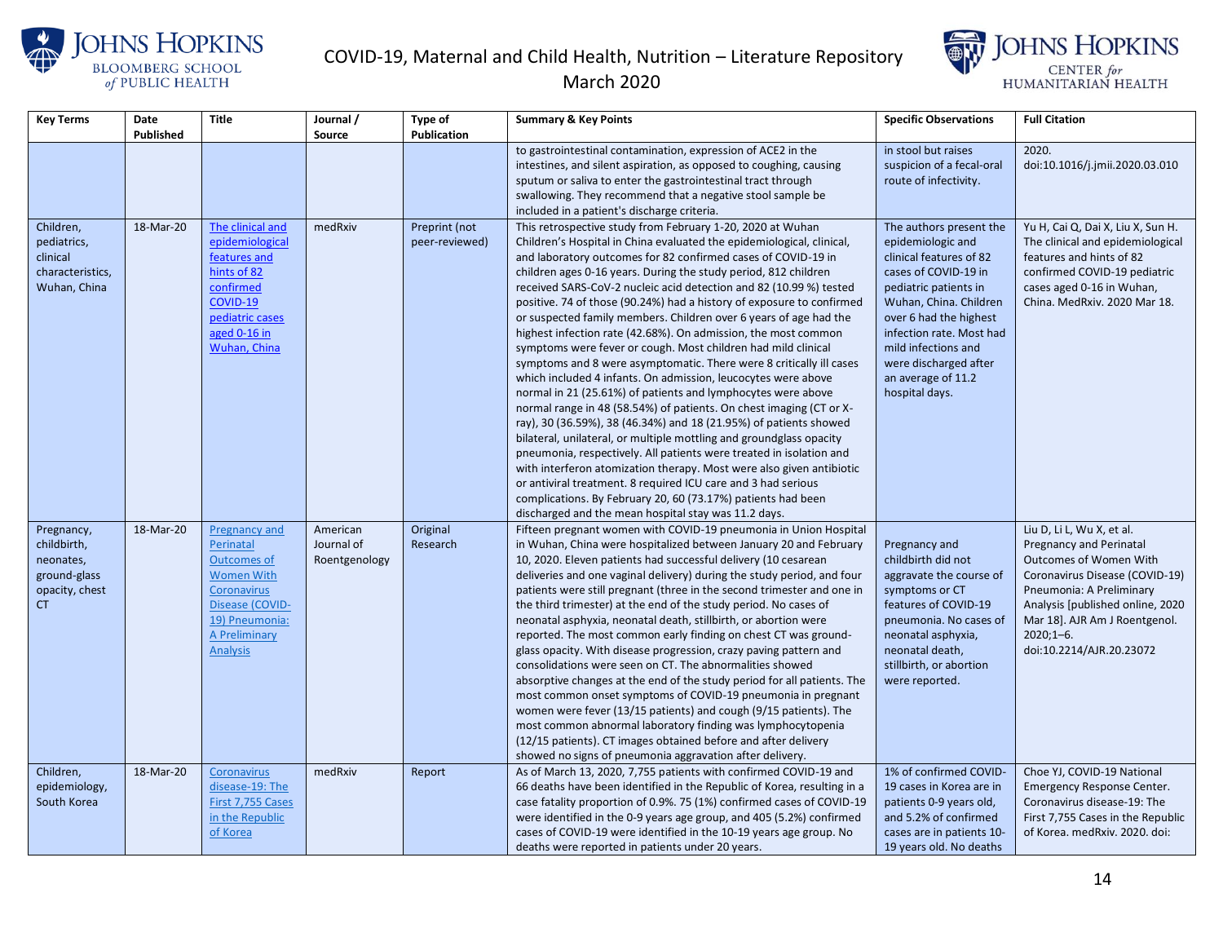



| <b>Key Terms</b>                                                         | Date      | <b>Title</b>                                                                                                                                   | Journal /     | Type of                         | <b>Summary &amp; Key Points</b>                                                                                                                                                                                                                                                                                                                                                                                                                                                                                                                                                                                                                                                                       | <b>Specific Observations</b>                                                                                                                                                                                                                             | <b>Full Citation</b>                                                                                                                                                                           |
|--------------------------------------------------------------------------|-----------|------------------------------------------------------------------------------------------------------------------------------------------------|---------------|---------------------------------|-------------------------------------------------------------------------------------------------------------------------------------------------------------------------------------------------------------------------------------------------------------------------------------------------------------------------------------------------------------------------------------------------------------------------------------------------------------------------------------------------------------------------------------------------------------------------------------------------------------------------------------------------------------------------------------------------------|----------------------------------------------------------------------------------------------------------------------------------------------------------------------------------------------------------------------------------------------------------|------------------------------------------------------------------------------------------------------------------------------------------------------------------------------------------------|
|                                                                          | Published |                                                                                                                                                | Source        | <b>Publication</b>              |                                                                                                                                                                                                                                                                                                                                                                                                                                                                                                                                                                                                                                                                                                       |                                                                                                                                                                                                                                                          |                                                                                                                                                                                                |
|                                                                          |           |                                                                                                                                                |               |                                 | to gastrointestinal contamination, expression of ACE2 in the                                                                                                                                                                                                                                                                                                                                                                                                                                                                                                                                                                                                                                          | in stool but raises                                                                                                                                                                                                                                      | 2020.                                                                                                                                                                                          |
|                                                                          |           |                                                                                                                                                |               |                                 | intestines, and silent aspiration, as opposed to coughing, causing                                                                                                                                                                                                                                                                                                                                                                                                                                                                                                                                                                                                                                    | suspicion of a fecal-oral                                                                                                                                                                                                                                | doi:10.1016/j.jmii.2020.03.010                                                                                                                                                                 |
|                                                                          |           |                                                                                                                                                |               |                                 | sputum or saliva to enter the gastrointestinal tract through                                                                                                                                                                                                                                                                                                                                                                                                                                                                                                                                                                                                                                          | route of infectivity.                                                                                                                                                                                                                                    |                                                                                                                                                                                                |
|                                                                          |           |                                                                                                                                                |               |                                 | swallowing. They recommend that a negative stool sample be                                                                                                                                                                                                                                                                                                                                                                                                                                                                                                                                                                                                                                            |                                                                                                                                                                                                                                                          |                                                                                                                                                                                                |
|                                                                          |           |                                                                                                                                                |               |                                 | included in a patient's discharge criteria.                                                                                                                                                                                                                                                                                                                                                                                                                                                                                                                                                                                                                                                           |                                                                                                                                                                                                                                                          |                                                                                                                                                                                                |
| Children,<br>pediatrics,<br>clinical<br>characteristics,<br>Wuhan, China | 18-Mar-20 | The clinical and<br>epidemiological<br>features and<br>hints of 82<br>confirmed<br>COVID-19<br>pediatric cases<br>aged 0-16 in<br>Wuhan, China | medRxiv       | Preprint (not<br>peer-reviewed) | This retrospective study from February 1-20, 2020 at Wuhan<br>Children's Hospital in China evaluated the epidemiological, clinical,<br>and laboratory outcomes for 82 confirmed cases of COVID-19 in<br>children ages 0-16 years. During the study period, 812 children<br>received SARS-CoV-2 nucleic acid detection and 82 (10.99 %) tested<br>positive. 74 of those (90.24%) had a history of exposure to confirmed<br>or suspected family members. Children over 6 years of age had the<br>highest infection rate (42.68%). On admission, the most common<br>symptoms were fever or cough. Most children had mild clinical<br>symptoms and 8 were asymptomatic. There were 8 critically ill cases | The authors present the<br>epidemiologic and<br>clinical features of 82<br>cases of COVID-19 in<br>pediatric patients in<br>Wuhan, China. Children<br>over 6 had the highest<br>infection rate. Most had<br>mild infections and<br>were discharged after | Yu H, Cai Q, Dai X, Liu X, Sun H.<br>The clinical and epidemiological<br>features and hints of 82<br>confirmed COVID-19 pediatric<br>cases aged 0-16 in Wuhan,<br>China. MedRxiv. 2020 Mar 18. |
|                                                                          |           |                                                                                                                                                |               |                                 | which included 4 infants. On admission, leucocytes were above<br>normal in 21 (25.61%) of patients and lymphocytes were above<br>normal range in 48 (58.54%) of patients. On chest imaging (CT or X-<br>ray), 30 (36.59%), 38 (46.34%) and 18 (21.95%) of patients showed<br>bilateral, unilateral, or multiple mottling and groundglass opacity<br>pneumonia, respectively. All patients were treated in isolation and<br>with interferon atomization therapy. Most were also given antibiotic<br>or antiviral treatment. 8 required ICU care and 3 had serious<br>complications. By February 20, 60 (73.17%) patients had been<br>discharged and the mean hospital stay was 11.2 days.              | an average of 11.2<br>hospital days.                                                                                                                                                                                                                     |                                                                                                                                                                                                |
| Pregnancy,                                                               | 18-Mar-20 | Pregnancy and                                                                                                                                  | American      | Original                        | Fifteen pregnant women with COVID-19 pneumonia in Union Hospital                                                                                                                                                                                                                                                                                                                                                                                                                                                                                                                                                                                                                                      |                                                                                                                                                                                                                                                          | Liu D, Li L, Wu X, et al.                                                                                                                                                                      |
| childbirth,                                                              |           | Perinatal                                                                                                                                      | Journal of    | Research                        | in Wuhan, China were hospitalized between January 20 and February                                                                                                                                                                                                                                                                                                                                                                                                                                                                                                                                                                                                                                     | Pregnancy and                                                                                                                                                                                                                                            | <b>Pregnancy and Perinatal</b>                                                                                                                                                                 |
| neonates,                                                                |           | <b>Outcomes of</b>                                                                                                                             | Roentgenology |                                 | 10, 2020. Eleven patients had successful delivery (10 cesarean                                                                                                                                                                                                                                                                                                                                                                                                                                                                                                                                                                                                                                        | childbirth did not                                                                                                                                                                                                                                       | <b>Outcomes of Women With</b>                                                                                                                                                                  |
| ground-glass                                                             |           | <b>Women With</b>                                                                                                                              |               |                                 | deliveries and one vaginal delivery) during the study period, and four                                                                                                                                                                                                                                                                                                                                                                                                                                                                                                                                                                                                                                | aggravate the course of                                                                                                                                                                                                                                  | Coronavirus Disease (COVID-19)                                                                                                                                                                 |
| opacity, chest                                                           |           | <b>Coronavirus</b>                                                                                                                             |               |                                 | patients were still pregnant (three in the second trimester and one in                                                                                                                                                                                                                                                                                                                                                                                                                                                                                                                                                                                                                                | symptoms or CT                                                                                                                                                                                                                                           | Pneumonia: A Preliminary                                                                                                                                                                       |
| <b>CT</b>                                                                |           | Disease (COVID-<br>19) Pneumonia:                                                                                                              |               |                                 | the third trimester) at the end of the study period. No cases of                                                                                                                                                                                                                                                                                                                                                                                                                                                                                                                                                                                                                                      | features of COVID-19                                                                                                                                                                                                                                     | Analysis [published online, 2020                                                                                                                                                               |
|                                                                          |           | <b>A Preliminary</b>                                                                                                                           |               |                                 | neonatal asphyxia, neonatal death, stillbirth, or abortion were<br>reported. The most common early finding on chest CT was ground-                                                                                                                                                                                                                                                                                                                                                                                                                                                                                                                                                                    | pneumonia. No cases of<br>neonatal asphyxia,                                                                                                                                                                                                             | Mar 18]. AJR Am J Roentgenol.<br>$2020;1-6.$                                                                                                                                                   |
|                                                                          |           | <b>Analysis</b>                                                                                                                                |               |                                 | glass opacity. With disease progression, crazy paving pattern and                                                                                                                                                                                                                                                                                                                                                                                                                                                                                                                                                                                                                                     | neonatal death,                                                                                                                                                                                                                                          | doi:10.2214/AJR.20.23072                                                                                                                                                                       |
|                                                                          |           |                                                                                                                                                |               |                                 | consolidations were seen on CT. The abnormalities showed                                                                                                                                                                                                                                                                                                                                                                                                                                                                                                                                                                                                                                              | stillbirth, or abortion                                                                                                                                                                                                                                  |                                                                                                                                                                                                |
|                                                                          |           |                                                                                                                                                |               |                                 | absorptive changes at the end of the study period for all patients. The                                                                                                                                                                                                                                                                                                                                                                                                                                                                                                                                                                                                                               | were reported.                                                                                                                                                                                                                                           |                                                                                                                                                                                                |
|                                                                          |           |                                                                                                                                                |               |                                 | most common onset symptoms of COVID-19 pneumonia in pregnant                                                                                                                                                                                                                                                                                                                                                                                                                                                                                                                                                                                                                                          |                                                                                                                                                                                                                                                          |                                                                                                                                                                                                |
|                                                                          |           |                                                                                                                                                |               |                                 | women were fever (13/15 patients) and cough (9/15 patients). The                                                                                                                                                                                                                                                                                                                                                                                                                                                                                                                                                                                                                                      |                                                                                                                                                                                                                                                          |                                                                                                                                                                                                |
|                                                                          |           |                                                                                                                                                |               |                                 | most common abnormal laboratory finding was lymphocytopenia                                                                                                                                                                                                                                                                                                                                                                                                                                                                                                                                                                                                                                           |                                                                                                                                                                                                                                                          |                                                                                                                                                                                                |
|                                                                          |           |                                                                                                                                                |               |                                 | (12/15 patients). CT images obtained before and after delivery                                                                                                                                                                                                                                                                                                                                                                                                                                                                                                                                                                                                                                        |                                                                                                                                                                                                                                                          |                                                                                                                                                                                                |
|                                                                          |           |                                                                                                                                                |               |                                 | showed no signs of pneumonia aggravation after delivery.                                                                                                                                                                                                                                                                                                                                                                                                                                                                                                                                                                                                                                              |                                                                                                                                                                                                                                                          |                                                                                                                                                                                                |
| Children,                                                                | 18-Mar-20 | Coronavirus                                                                                                                                    | medRxiv       | Report                          | As of March 13, 2020, 7,755 patients with confirmed COVID-19 and                                                                                                                                                                                                                                                                                                                                                                                                                                                                                                                                                                                                                                      | 1% of confirmed COVID-                                                                                                                                                                                                                                   | Choe YJ, COVID-19 National                                                                                                                                                                     |
| epidemiology,                                                            |           | disease-19: The                                                                                                                                |               |                                 | 66 deaths have been identified in the Republic of Korea, resulting in a                                                                                                                                                                                                                                                                                                                                                                                                                                                                                                                                                                                                                               | 19 cases in Korea are in                                                                                                                                                                                                                                 | Emergency Response Center.                                                                                                                                                                     |
| South Korea                                                              |           | First 7,755 Cases                                                                                                                              |               |                                 | case fatality proportion of 0.9%. 75 (1%) confirmed cases of COVID-19                                                                                                                                                                                                                                                                                                                                                                                                                                                                                                                                                                                                                                 | patients 0-9 years old,                                                                                                                                                                                                                                  | Coronavirus disease-19: The                                                                                                                                                                    |
|                                                                          |           | in the Republic                                                                                                                                |               |                                 | were identified in the 0-9 years age group, and 405 (5.2%) confirmed                                                                                                                                                                                                                                                                                                                                                                                                                                                                                                                                                                                                                                  | and 5.2% of confirmed                                                                                                                                                                                                                                    | First 7,755 Cases in the Republic                                                                                                                                                              |
|                                                                          |           | of Korea                                                                                                                                       |               |                                 | cases of COVID-19 were identified in the 10-19 years age group. No                                                                                                                                                                                                                                                                                                                                                                                                                                                                                                                                                                                                                                    | cases are in patients 10-                                                                                                                                                                                                                                | of Korea. medRxiv. 2020. doi:                                                                                                                                                                  |
|                                                                          |           |                                                                                                                                                |               |                                 | deaths were reported in patients under 20 years.                                                                                                                                                                                                                                                                                                                                                                                                                                                                                                                                                                                                                                                      | 19 years old. No deaths                                                                                                                                                                                                                                  |                                                                                                                                                                                                |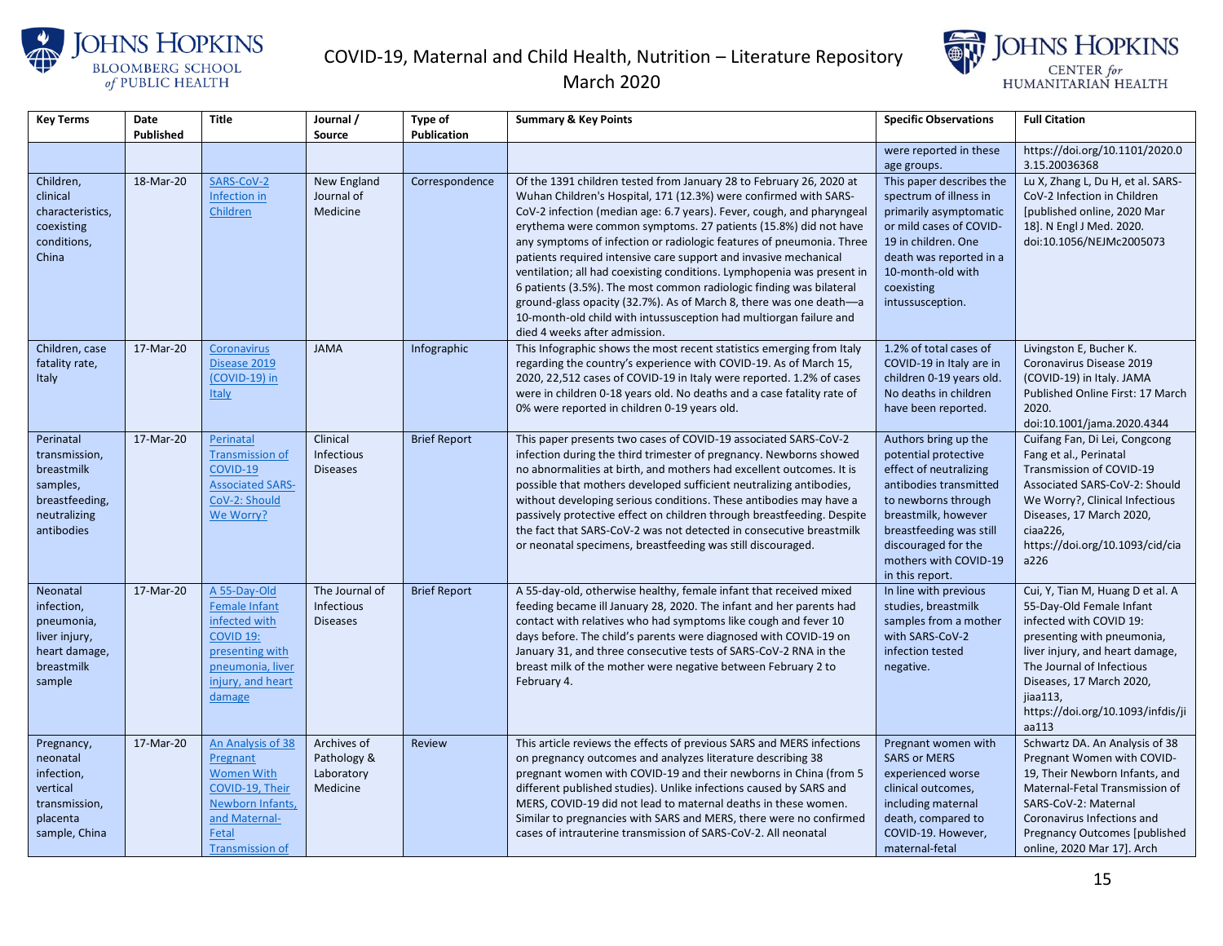



| <b>Key Terms</b>                                                                                     | Date<br>Published | <b>Title</b>                                                                                                                                        | Journal /<br>Source                                    | Type of<br><b>Publication</b> | <b>Summary &amp; Key Points</b>                                                                                                                                                                                                                                                                                                                                                                                                                                                                                                                                                                                                                                                                                                                               | <b>Specific Observations</b>                                                                                                                                                                                                                 | <b>Full Citation</b>                                                                                                                                                                                                                                                        |
|------------------------------------------------------------------------------------------------------|-------------------|-----------------------------------------------------------------------------------------------------------------------------------------------------|--------------------------------------------------------|-------------------------------|---------------------------------------------------------------------------------------------------------------------------------------------------------------------------------------------------------------------------------------------------------------------------------------------------------------------------------------------------------------------------------------------------------------------------------------------------------------------------------------------------------------------------------------------------------------------------------------------------------------------------------------------------------------------------------------------------------------------------------------------------------------|----------------------------------------------------------------------------------------------------------------------------------------------------------------------------------------------------------------------------------------------|-----------------------------------------------------------------------------------------------------------------------------------------------------------------------------------------------------------------------------------------------------------------------------|
|                                                                                                      |                   |                                                                                                                                                     |                                                        |                               |                                                                                                                                                                                                                                                                                                                                                                                                                                                                                                                                                                                                                                                                                                                                                               | were reported in these<br>age groups.                                                                                                                                                                                                        | https://doi.org/10.1101/2020.0<br>3.15.20036368                                                                                                                                                                                                                             |
| Children,<br>clinical<br>characteristics,<br>coexisting<br>conditions,<br>China                      | 18-Mar-20         | SARS-CoV-2<br>Infection in<br>Children                                                                                                              | New England<br>Journal of<br>Medicine                  | Correspondence                | Of the 1391 children tested from January 28 to February 26, 2020 at<br>Wuhan Children's Hospital, 171 (12.3%) were confirmed with SARS-<br>CoV-2 infection (median age: 6.7 years). Fever, cough, and pharyngeal<br>erythema were common symptoms. 27 patients (15.8%) did not have<br>any symptoms of infection or radiologic features of pneumonia. Three<br>patients required intensive care support and invasive mechanical<br>ventilation; all had coexisting conditions. Lymphopenia was present in<br>6 patients (3.5%). The most common radiologic finding was bilateral<br>ground-glass opacity (32.7%). As of March 8, there was one death-a<br>10-month-old child with intussusception had multiorgan failure and<br>died 4 weeks after admission. | This paper describes the<br>spectrum of illness in<br>primarily asymptomatic<br>or mild cases of COVID-<br>19 in children. One<br>death was reported in a<br>10-month-old with<br>coexisting<br>intussusception.                             | Lu X, Zhang L, Du H, et al. SARS-<br>CoV-2 Infection in Children<br>[published online, 2020 Mar<br>18]. N Engl J Med. 2020.<br>doi:10.1056/NEJMc2005073                                                                                                                     |
| Children, case<br>fatality rate,<br><b>Italy</b>                                                     | 17-Mar-20         | <b>Coronavirus</b><br>Disease 2019<br>(COVID-19) in<br><b>Italy</b>                                                                                 | <b>JAMA</b>                                            | Infographic                   | This Infographic shows the most recent statistics emerging from Italy<br>regarding the country's experience with COVID-19. As of March 15,<br>2020, 22,512 cases of COVID-19 in Italy were reported. 1.2% of cases<br>were in children 0-18 years old. No deaths and a case fatality rate of<br>0% were reported in children 0-19 years old.                                                                                                                                                                                                                                                                                                                                                                                                                  | 1.2% of total cases of<br>COVID-19 in Italy are in<br>children 0-19 years old.<br>No deaths in children<br>have been reported.                                                                                                               | Livingston E, Bucher K.<br>Coronavirus Disease 2019<br>(COVID-19) in Italy. JAMA<br>Published Online First: 17 March<br>2020.<br>doi:10.1001/jama.2020.4344                                                                                                                 |
| Perinatal<br>transmission,<br>breastmilk<br>samples,<br>breastfeeding,<br>neutralizing<br>antibodies | 17-Mar-20         | Perinatal<br><b>Transmission of</b><br>COVID-19<br><b>Associated SARS-</b><br>CoV-2: Should<br>We Worry?                                            | Clinical<br>Infectious<br><b>Diseases</b>              | <b>Brief Report</b>           | This paper presents two cases of COVID-19 associated SARS-CoV-2<br>infection during the third trimester of pregnancy. Newborns showed<br>no abnormalities at birth, and mothers had excellent outcomes. It is<br>possible that mothers developed sufficient neutralizing antibodies,<br>without developing serious conditions. These antibodies may have a<br>passively protective effect on children through breastfeeding. Despite<br>the fact that SARS-CoV-2 was not detected in consecutive breastmilk<br>or neonatal specimens, breastfeeding was still discouraged.                                                                                                                                                                                    | Authors bring up the<br>potential protective<br>effect of neutralizing<br>antibodies transmitted<br>to newborns through<br>breastmilk, however<br>breastfeeding was still<br>discouraged for the<br>mothers with COVID-19<br>in this report. | Cuifang Fan, Di Lei, Congcong<br>Fang et al., Perinatal<br>Transmission of COVID-19<br>Associated SARS-CoV-2: Should<br>We Worry?, Clinical Infectious<br>Diseases, 17 March 2020,<br>ciaa226,<br>https://doi.org/10.1093/cid/cia<br>a226                                   |
| Neonatal<br>infection,<br>pneumonia,<br>liver injury,<br>heart damage,<br>breastmilk<br>sample       | 17-Mar-20         | A 55-Day-Old<br><b>Female Infant</b><br>infected with<br>COVID <sub>19:</sub><br>presenting with<br>pneumonia, liver<br>injury, and heart<br>damage | The Journal of<br><b>Infectious</b><br><b>Diseases</b> | <b>Brief Report</b>           | A 55-day-old, otherwise healthy, female infant that received mixed<br>feeding became ill January 28, 2020. The infant and her parents had<br>contact with relatives who had symptoms like cough and fever 10<br>days before. The child's parents were diagnosed with COVID-19 on<br>January 31, and three consecutive tests of SARS-CoV-2 RNA in the<br>breast milk of the mother were negative between February 2 to<br>February 4.                                                                                                                                                                                                                                                                                                                          | In line with previous<br>studies, breastmilk<br>samples from a mother<br>with SARS-CoV-2<br>infection tested<br>negative.                                                                                                                    | Cui, Y, Tian M, Huang D et al. A<br>55-Day-Old Female Infant<br>infected with COVID 19:<br>presenting with pneumonia,<br>liver injury, and heart damage,<br>The Journal of Infectious<br>Diseases, 17 March 2020,<br>jiaa113,<br>https://doi.org/10.1093/infdis/ji<br>aa113 |
| Pregnancy,<br>neonatal<br>infection,<br>vertical<br>transmission,<br>placenta<br>sample, China       | 17-Mar-20         | An Analysis of 38<br>Pregnant<br><b>Women With</b><br>COVID-19, Their<br>Newborn Infants<br>and Maternal-<br>Fetal<br><b>Transmission of</b>        | Archives of<br>Pathology &<br>Laboratory<br>Medicine   | Review                        | This article reviews the effects of previous SARS and MERS infections<br>on pregnancy outcomes and analyzes literature describing 38<br>pregnant women with COVID-19 and their newborns in China (from 5<br>different published studies). Unlike infections caused by SARS and<br>MERS, COVID-19 did not lead to maternal deaths in these women.<br>Similar to pregnancies with SARS and MERS, there were no confirmed<br>cases of intrauterine transmission of SARS-CoV-2. All neonatal                                                                                                                                                                                                                                                                      | Pregnant women with<br><b>SARS or MERS</b><br>experienced worse<br>clinical outcomes,<br>including maternal<br>death, compared to<br>COVID-19. However,<br>maternal-fetal                                                                    | Schwartz DA. An Analysis of 38<br>Pregnant Women with COVID-<br>19, Their Newborn Infants, and<br>Maternal-Fetal Transmission of<br>SARS-CoV-2: Maternal<br>Coronavirus Infections and<br>Pregnancy Outcomes [published<br>online, 2020 Mar 17]. Arch                       |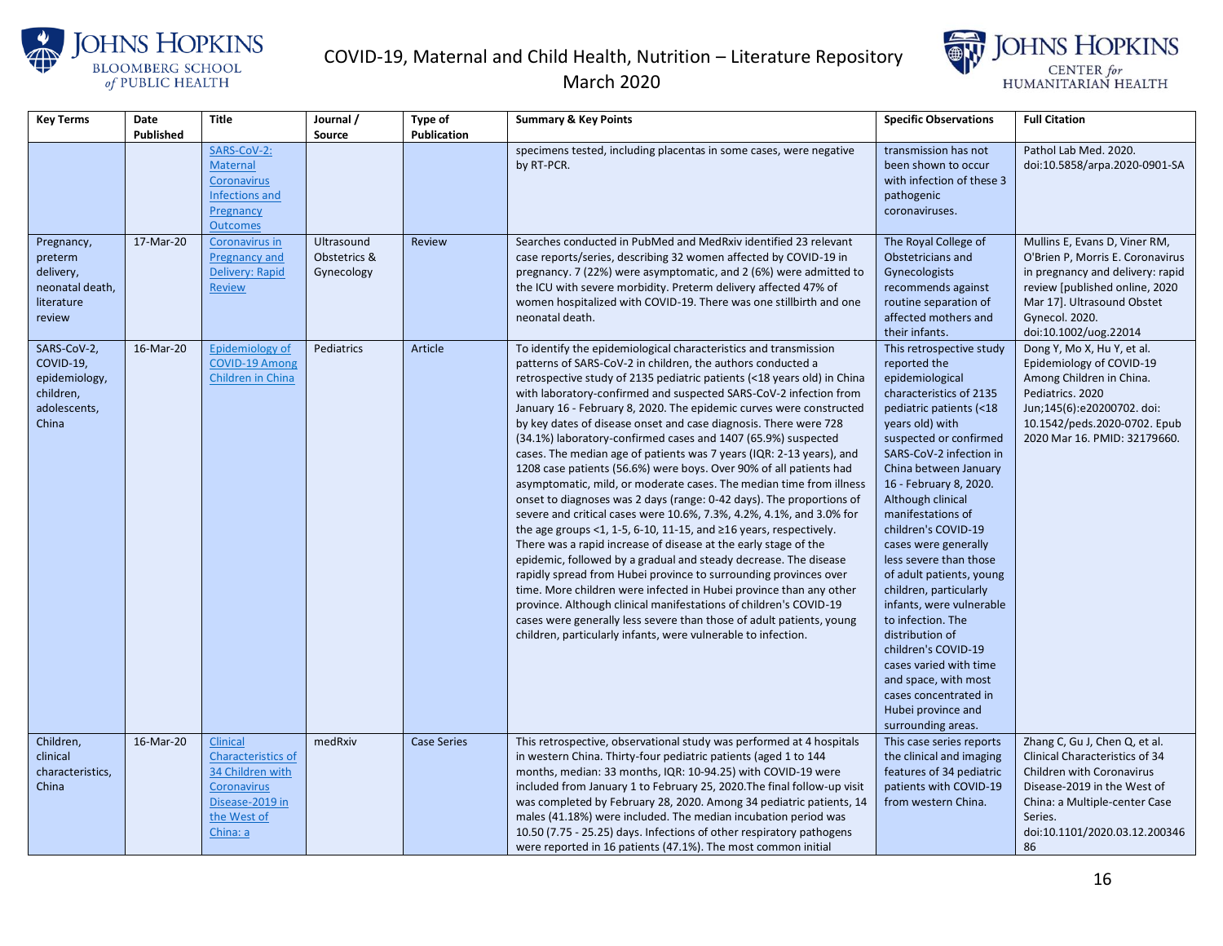





| <b>Key Terms</b>                                                                | Date<br>Published | <b>Title</b>                                                                                                           | Journal /                                | Type of<br><b>Publication</b> | <b>Summary &amp; Key Points</b>                                                                                                                                                                                                                                                                                                                                                                                                                                                                                                                                                                                                                                                                                                                                                                                                                                                                                                                                                                                                                                                                                                                                                                                                                                                                                                                                                                                                               | <b>Specific Observations</b>                                                                                                                                                                                                                                                                                                                                                                                                                                                                                                                                                                                                            | <b>Full Citation</b>                                                                                                                                                                                             |
|---------------------------------------------------------------------------------|-------------------|------------------------------------------------------------------------------------------------------------------------|------------------------------------------|-------------------------------|-----------------------------------------------------------------------------------------------------------------------------------------------------------------------------------------------------------------------------------------------------------------------------------------------------------------------------------------------------------------------------------------------------------------------------------------------------------------------------------------------------------------------------------------------------------------------------------------------------------------------------------------------------------------------------------------------------------------------------------------------------------------------------------------------------------------------------------------------------------------------------------------------------------------------------------------------------------------------------------------------------------------------------------------------------------------------------------------------------------------------------------------------------------------------------------------------------------------------------------------------------------------------------------------------------------------------------------------------------------------------------------------------------------------------------------------------|-----------------------------------------------------------------------------------------------------------------------------------------------------------------------------------------------------------------------------------------------------------------------------------------------------------------------------------------------------------------------------------------------------------------------------------------------------------------------------------------------------------------------------------------------------------------------------------------------------------------------------------------|------------------------------------------------------------------------------------------------------------------------------------------------------------------------------------------------------------------|
|                                                                                 |                   | SARS-CoV-2:<br><b>Maternal</b><br>Coronavirus<br>Infections and<br>Pregnancy<br><b>Outcomes</b>                        | Source                                   |                               | specimens tested, including placentas in some cases, were negative<br>by RT-PCR.                                                                                                                                                                                                                                                                                                                                                                                                                                                                                                                                                                                                                                                                                                                                                                                                                                                                                                                                                                                                                                                                                                                                                                                                                                                                                                                                                              | transmission has not<br>been shown to occur<br>with infection of these 3<br>pathogenic<br>coronaviruses.                                                                                                                                                                                                                                                                                                                                                                                                                                                                                                                                | Pathol Lab Med. 2020.<br>doi:10.5858/arpa.2020-0901-SA                                                                                                                                                           |
| Pregnancy,<br>preterm<br>delivery,<br>neonatal death,<br>literature<br>review   | 17-Mar-20         | Coronavirus in<br>Pregnancy and<br>Delivery: Rapid<br><b>Review</b>                                                    | Ultrasound<br>Obstetrics &<br>Gynecology | <b>Review</b>                 | Searches conducted in PubMed and MedRxiv identified 23 relevant<br>case reports/series, describing 32 women affected by COVID-19 in<br>pregnancy. 7 (22%) were asymptomatic, and 2 (6%) were admitted to<br>the ICU with severe morbidity. Preterm delivery affected 47% of<br>women hospitalized with COVID-19. There was one stillbirth and one<br>neonatal death.                                                                                                                                                                                                                                                                                                                                                                                                                                                                                                                                                                                                                                                                                                                                                                                                                                                                                                                                                                                                                                                                          | The Royal College of<br>Obstetricians and<br>Gynecologists<br>recommends against<br>routine separation of<br>affected mothers and<br>their infants.                                                                                                                                                                                                                                                                                                                                                                                                                                                                                     | Mullins E, Evans D, Viner RM,<br>O'Brien P, Morris E. Coronavirus<br>in pregnancy and delivery: rapid<br>review [published online, 2020<br>Mar 17]. Ultrasound Obstet<br>Gynecol. 2020.<br>doi:10.1002/uog.22014 |
| SARS-CoV-2,<br>COVID-19,<br>epidemiology,<br>children,<br>adolescents,<br>China | 16-Mar-20         | Epidemiology of<br><b>COVID-19 Among</b><br>Children in China                                                          | Pediatrics                               | Article                       | To identify the epidemiological characteristics and transmission<br>patterns of SARS-CoV-2 in children, the authors conducted a<br>retrospective study of 2135 pediatric patients (<18 years old) in China<br>with laboratory-confirmed and suspected SARS-CoV-2 infection from<br>January 16 - February 8, 2020. The epidemic curves were constructed<br>by key dates of disease onset and case diagnosis. There were 728<br>(34.1%) laboratory-confirmed cases and 1407 (65.9%) suspected<br>cases. The median age of patients was 7 years (IQR: 2-13 years), and<br>1208 case patients (56.6%) were boys. Over 90% of all patients had<br>asymptomatic, mild, or moderate cases. The median time from illness<br>onset to diagnoses was 2 days (range: 0-42 days). The proportions of<br>severe and critical cases were 10.6%, 7.3%, 4.2%, 4.1%, and 3.0% for<br>the age groups $<$ 1, 1-5, 6-10, 11-15, and $\geq$ 16 years, respectively.<br>There was a rapid increase of disease at the early stage of the<br>epidemic, followed by a gradual and steady decrease. The disease<br>rapidly spread from Hubei province to surrounding provinces over<br>time. More children were infected in Hubei province than any other<br>province. Although clinical manifestations of children's COVID-19<br>cases were generally less severe than those of adult patients, young<br>children, particularly infants, were vulnerable to infection. | This retrospective study<br>reported the<br>epidemiological<br>characteristics of 2135<br>pediatric patients (<18<br>years old) with<br>suspected or confirmed<br>SARS-CoV-2 infection in<br>China between January<br>16 - February 8, 2020.<br>Although clinical<br>manifestations of<br>children's COVID-19<br>cases were generally<br>less severe than those<br>of adult patients, young<br>children, particularly<br>infants, were vulnerable<br>to infection. The<br>distribution of<br>children's COVID-19<br>cases varied with time<br>and space, with most<br>cases concentrated in<br>Hubei province and<br>surrounding areas. | Dong Y, Mo X, Hu Y, et al.<br>Epidemiology of COVID-19<br>Among Children in China.<br>Pediatrics. 2020<br>Jun;145(6):e20200702. doi:<br>10.1542/peds.2020-0702. Epub<br>2020 Mar 16. PMID: 32179660.             |
| Children,<br>clinical<br>characteristics,<br>China                              | 16-Mar-20         | <b>Clinical</b><br>Characteristics of<br>34 Children with<br>Coronavirus<br>Disease-2019 in<br>the West of<br>China: a | medRxiv                                  | <b>Case Series</b>            | This retrospective, observational study was performed at 4 hospitals<br>in western China. Thirty-four pediatric patients (aged 1 to 144<br>months, median: 33 months, IQR: 10-94.25) with COVID-19 were<br>included from January 1 to February 25, 2020. The final follow-up visit<br>was completed by February 28, 2020. Among 34 pediatric patients, 14<br>males (41.18%) were included. The median incubation period was<br>10.50 (7.75 - 25.25) days. Infections of other respiratory pathogens<br>were reported in 16 patients (47.1%). The most common initial                                                                                                                                                                                                                                                                                                                                                                                                                                                                                                                                                                                                                                                                                                                                                                                                                                                                          | This case series reports<br>the clinical and imaging<br>features of 34 pediatric<br>patients with COVID-19<br>from western China.                                                                                                                                                                                                                                                                                                                                                                                                                                                                                                       | Zhang C, Gu J, Chen Q, et al.<br>Clinical Characteristics of 34<br>Children with Coronavirus<br>Disease-2019 in the West of<br>China: a Multiple-center Case<br>Series.<br>doi:10.1101/2020.03.12.200346<br>86   |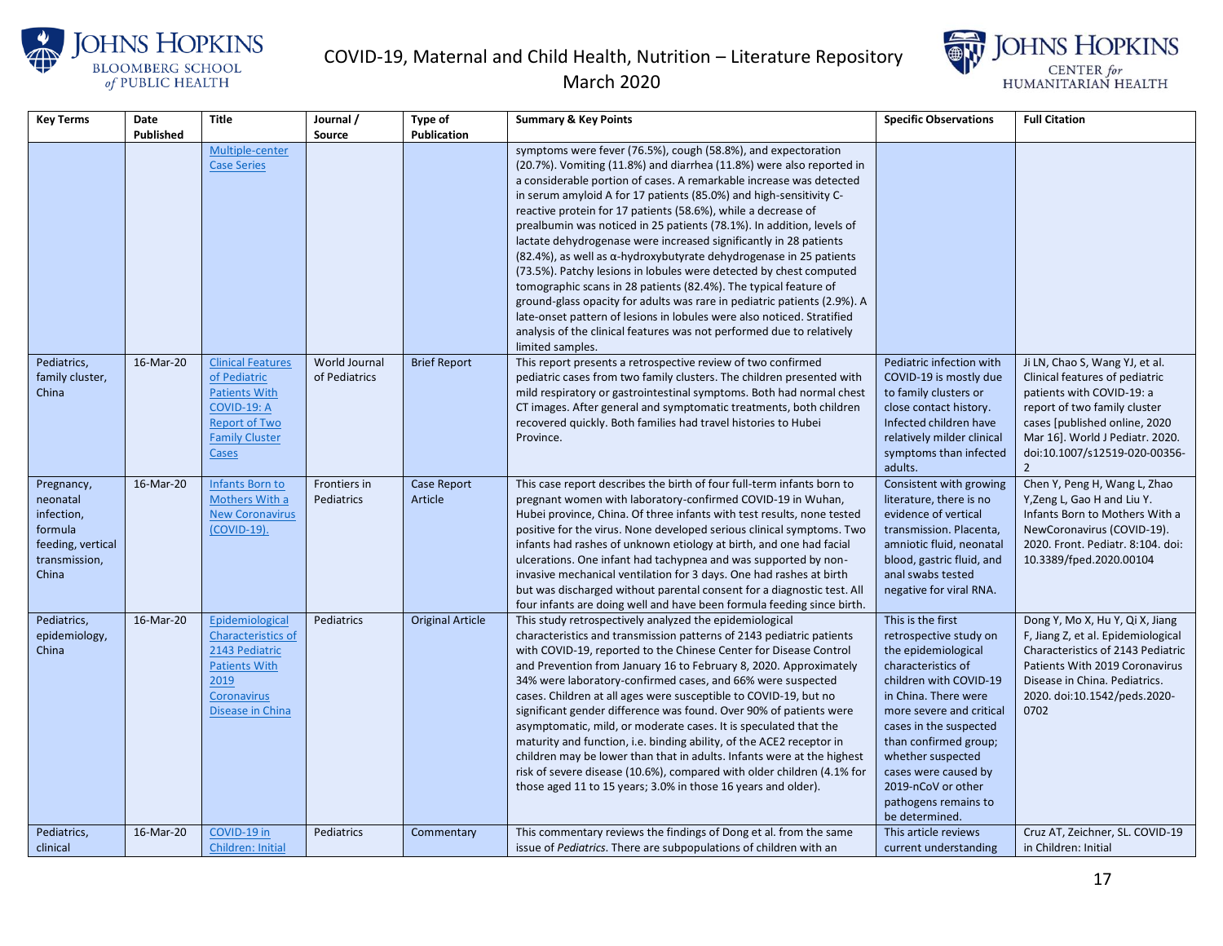





| <b>Key Terms</b>  | Date      | Title                                         | Journal /     | <b>Type of</b>          | <b>Summary &amp; Key Points</b>                                               | <b>Specific Observations</b>                     | <b>Full Citation</b>                                             |
|-------------------|-----------|-----------------------------------------------|---------------|-------------------------|-------------------------------------------------------------------------------|--------------------------------------------------|------------------------------------------------------------------|
|                   | Published |                                               | Source        | <b>Publication</b>      |                                                                               |                                                  |                                                                  |
|                   |           | Multiple-center                               |               |                         | symptoms were fever (76.5%), cough (58.8%), and expectoration                 |                                                  |                                                                  |
|                   |           | <b>Case Series</b>                            |               |                         | (20.7%). Vomiting (11.8%) and diarrhea (11.8%) were also reported in          |                                                  |                                                                  |
|                   |           |                                               |               |                         | a considerable portion of cases. A remarkable increase was detected           |                                                  |                                                                  |
|                   |           |                                               |               |                         | in serum amyloid A for 17 patients (85.0%) and high-sensitivity C-            |                                                  |                                                                  |
|                   |           |                                               |               |                         | reactive protein for 17 patients (58.6%), while a decrease of                 |                                                  |                                                                  |
|                   |           |                                               |               |                         | prealbumin was noticed in 25 patients (78.1%). In addition, levels of         |                                                  |                                                                  |
|                   |           |                                               |               |                         | lactate dehydrogenase were increased significantly in 28 patients             |                                                  |                                                                  |
|                   |           |                                               |               |                         | $(82.4%)$ , as well as $\alpha$ -hydroxybutyrate dehydrogenase in 25 patients |                                                  |                                                                  |
|                   |           |                                               |               |                         | (73.5%). Patchy lesions in lobules were detected by chest computed            |                                                  |                                                                  |
|                   |           |                                               |               |                         | tomographic scans in 28 patients (82.4%). The typical feature of              |                                                  |                                                                  |
|                   |           |                                               |               |                         | ground-glass opacity for adults was rare in pediatric patients (2.9%). A      |                                                  |                                                                  |
|                   |           |                                               |               |                         | late-onset pattern of lesions in lobules were also noticed. Stratified        |                                                  |                                                                  |
|                   |           |                                               |               |                         | analysis of the clinical features was not performed due to relatively         |                                                  |                                                                  |
|                   |           |                                               |               |                         | limited samples.                                                              |                                                  |                                                                  |
| Pediatrics,       | 16-Mar-20 | <b>Clinical Features</b>                      | World Journal | <b>Brief Report</b>     | This report presents a retrospective review of two confirmed                  | Pediatric infection with                         | Ji LN, Chao S, Wang YJ, et al.                                   |
| family cluster,   |           | of Pediatric                                  | of Pediatrics |                         | pediatric cases from two family clusters. The children presented with         | COVID-19 is mostly due                           | Clinical features of pediatric                                   |
| China             |           | <b>Patients With</b>                          |               |                         | mild respiratory or gastrointestinal symptoms. Both had normal chest          | to family clusters or                            | patients with COVID-19: a                                        |
|                   |           | COVID-19: A                                   |               |                         | CT images. After general and symptomatic treatments, both children            | close contact history.<br>Infected children have | report of two family cluster                                     |
|                   |           | <b>Report of Two</b><br><b>Family Cluster</b> |               |                         | recovered quickly. Both families had travel histories to Hubei<br>Province.   | relatively milder clinical                       | cases [published online, 2020<br>Mar 16]. World J Pediatr. 2020. |
|                   |           | Cases                                         |               |                         |                                                                               | symptoms than infected                           | doi:10.1007/s12519-020-00356-                                    |
|                   |           |                                               |               |                         |                                                                               | adults.                                          | $\mathcal{P}$                                                    |
| Pregnancy,        | 16-Mar-20 | Infants Born to                               | Frontiers in  | Case Report             | This case report describes the birth of four full-term infants born to        | Consistent with growing                          | Chen Y, Peng H, Wang L, Zhao                                     |
| neonatal          |           | Mothers With a                                | Pediatrics    | Article                 | pregnant women with laboratory-confirmed COVID-19 in Wuhan,                   | literature, there is no                          | Y, Zeng L, Gao H and Liu Y.                                      |
| infection,        |           | <b>New Coronavirus</b>                        |               |                         | Hubei province, China. Of three infants with test results, none tested        | evidence of vertical                             | Infants Born to Mothers With a                                   |
| formula           |           | (COVID-19).                                   |               |                         | positive for the virus. None developed serious clinical symptoms. Two         | transmission. Placenta,                          | NewCoronavirus (COVID-19).                                       |
| feeding, vertical |           |                                               |               |                         | infants had rashes of unknown etiology at birth, and one had facial           | amniotic fluid, neonatal                         | 2020. Front. Pediatr. 8:104. doi:                                |
| transmission,     |           |                                               |               |                         | ulcerations. One infant had tachypnea and was supported by non-               | blood, gastric fluid, and                        | 10.3389/fped.2020.00104                                          |
| China             |           |                                               |               |                         | invasive mechanical ventilation for 3 days. One had rashes at birth           | anal swabs tested                                |                                                                  |
|                   |           |                                               |               |                         | but was discharged without parental consent for a diagnostic test. All        | negative for viral RNA.                          |                                                                  |
|                   |           |                                               |               |                         | four infants are doing well and have been formula feeding since birth.        |                                                  |                                                                  |
| Pediatrics,       | 16-Mar-20 | Epidemiological                               | Pediatrics    | <b>Original Article</b> | This study retrospectively analyzed the epidemiological                       | This is the first                                | Dong Y, Mo X, Hu Y, Qi X, Jiang                                  |
| epidemiology,     |           | Characteristics of                            |               |                         | characteristics and transmission patterns of 2143 pediatric patients          | retrospective study on                           | F, Jiang Z, et al. Epidemiological                               |
| China             |           | 2143 Pediatric                                |               |                         | with COVID-19, reported to the Chinese Center for Disease Control             | the epidemiological                              | Characteristics of 2143 Pediatric                                |
|                   |           | <b>Patients With</b>                          |               |                         | and Prevention from January 16 to February 8, 2020. Approximately             | characteristics of                               | Patients With 2019 Coronavirus                                   |
|                   |           | 2019                                          |               |                         | 34% were laboratory-confirmed cases, and 66% were suspected                   | children with COVID-19                           | Disease in China. Pediatrics.                                    |
|                   |           | <b>Coronavirus</b>                            |               |                         | cases. Children at all ages were susceptible to COVID-19, but no              | in China. There were                             | 2020. doi:10.1542/peds.2020-                                     |
|                   |           | <b>Disease in China</b>                       |               |                         | significant gender difference was found. Over 90% of patients were            | more severe and critical                         | 0702                                                             |
|                   |           |                                               |               |                         | asymptomatic, mild, or moderate cases. It is speculated that the              | cases in the suspected                           |                                                                  |
|                   |           |                                               |               |                         | maturity and function, i.e. binding ability, of the ACE2 receptor in          | than confirmed group;                            |                                                                  |
|                   |           |                                               |               |                         | children may be lower than that in adults. Infants were at the highest        | whether suspected                                |                                                                  |
|                   |           |                                               |               |                         | risk of severe disease (10.6%), compared with older children (4.1% for        | cases were caused by                             |                                                                  |
|                   |           |                                               |               |                         | those aged 11 to 15 years; 3.0% in those 16 years and older).                 | 2019-nCoV or other                               |                                                                  |
|                   |           |                                               |               |                         |                                                                               | pathogens remains to                             |                                                                  |
|                   |           |                                               |               |                         |                                                                               | be determined.                                   |                                                                  |
| Pediatrics,       | 16-Mar-20 | COVID-19 in                                   | Pediatrics    | Commentary              | This commentary reviews the findings of Dong et al. from the same             | This article reviews                             | Cruz AT, Zeichner, SL. COVID-19                                  |
| clinical          |           | Children: Initial                             |               |                         | issue of Pediatrics. There are subpopulations of children with an             | current understanding                            | in Children: Initial                                             |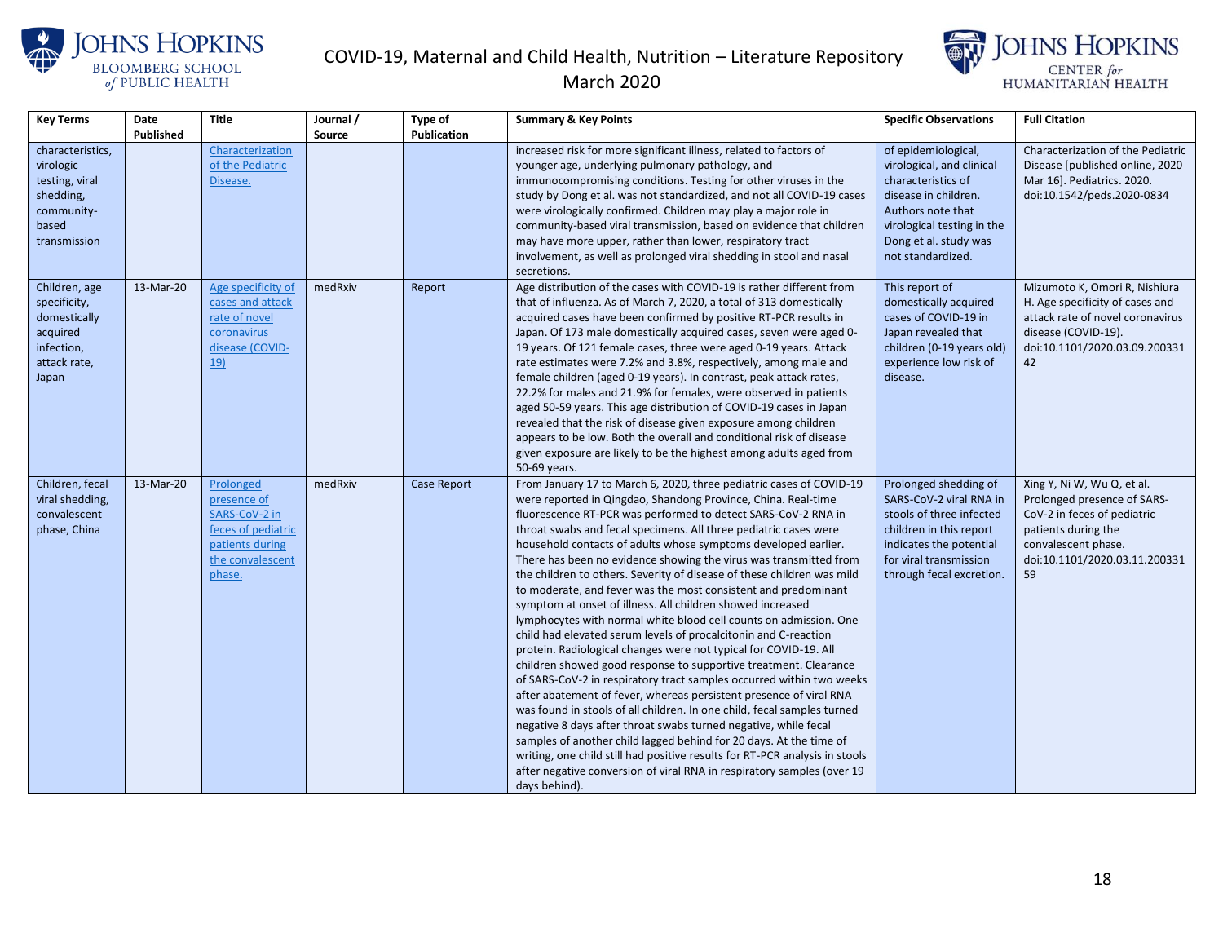



| <b>Key Terms</b>              | Date      | Title              | Journal / | <b>Type of</b>     | <b>Summary &amp; Key Points</b>                                                                                              | <b>Specific Observations</b> | <b>Full Citation</b>              |
|-------------------------------|-----------|--------------------|-----------|--------------------|------------------------------------------------------------------------------------------------------------------------------|------------------------------|-----------------------------------|
|                               | Published |                    | Source    | <b>Publication</b> |                                                                                                                              |                              |                                   |
| characteristics,              |           | Characterization   |           |                    | increased risk for more significant illness, related to factors of                                                           | of epidemiological,          | Characterization of the Pediatric |
| virologic                     |           | of the Pediatric   |           |                    | younger age, underlying pulmonary pathology, and                                                                             | virological, and clinical    | Disease [published online, 2020   |
| testing, viral                |           | Disease.           |           |                    | immunocompromising conditions. Testing for other viruses in the                                                              | characteristics of           | Mar 16]. Pediatrics. 2020.        |
| shedding,                     |           |                    |           |                    | study by Dong et al. was not standardized, and not all COVID-19 cases                                                        | disease in children.         | doi:10.1542/peds.2020-0834        |
| community-                    |           |                    |           |                    | were virologically confirmed. Children may play a major role in                                                              | Authors note that            |                                   |
| based                         |           |                    |           |                    | community-based viral transmission, based on evidence that children                                                          | virological testing in the   |                                   |
| transmission                  |           |                    |           |                    | may have more upper, rather than lower, respiratory tract                                                                    | Dong et al. study was        |                                   |
|                               |           |                    |           |                    | involvement, as well as prolonged viral shedding in stool and nasal                                                          | not standardized.            |                                   |
|                               | 13-Mar-20 | Age specificity of | medRxiv   | Report             | secretions.<br>Age distribution of the cases with COVID-19 is rather different from                                          | This report of               | Mizumoto K, Omori R, Nishiura     |
| Children, age<br>specificity, |           | cases and attack   |           |                    | that of influenza. As of March 7, 2020, a total of 313 domestically                                                          | domestically acquired        | H. Age specificity of cases and   |
| domestically                  |           | rate of novel      |           |                    | acquired cases have been confirmed by positive RT-PCR results in                                                             | cases of COVID-19 in         | attack rate of novel coronavirus  |
| acquired                      |           | coronavirus        |           |                    | Japan. Of 173 male domestically acquired cases, seven were aged 0-                                                           | Japan revealed that          | disease (COVID-19).               |
| infection,                    |           | disease (COVID-    |           |                    | 19 years. Of 121 female cases, three were aged 0-19 years. Attack                                                            | children (0-19 years old)    | doi:10.1101/2020.03.09.200331     |
| attack rate,                  |           | <u>19)</u>         |           |                    | rate estimates were 7.2% and 3.8%, respectively, among male and                                                              | experience low risk of       | 42                                |
| Japan                         |           |                    |           |                    | female children (aged 0-19 years). In contrast, peak attack rates,                                                           | disease.                     |                                   |
|                               |           |                    |           |                    | 22.2% for males and 21.9% for females, were observed in patients                                                             |                              |                                   |
|                               |           |                    |           |                    | aged 50-59 years. This age distribution of COVID-19 cases in Japan                                                           |                              |                                   |
|                               |           |                    |           |                    | revealed that the risk of disease given exposure among children                                                              |                              |                                   |
|                               |           |                    |           |                    | appears to be low. Both the overall and conditional risk of disease                                                          |                              |                                   |
|                               |           |                    |           |                    | given exposure are likely to be the highest among adults aged from                                                           |                              |                                   |
|                               |           |                    |           |                    | 50-69 years.                                                                                                                 |                              |                                   |
| Children, fecal               | 13-Mar-20 | Prolonged          | medRxiv   | Case Report        | From January 17 to March 6, 2020, three pediatric cases of COVID-19                                                          | Prolonged shedding of        | Xing Y, Ni W, Wu Q, et al.        |
| viral shedding,               |           | presence of        |           |                    | were reported in Qingdao, Shandong Province, China. Real-time                                                                | SARS-CoV-2 viral RNA in      | Prolonged presence of SARS-       |
| convalescent                  |           | SARS-CoV-2 in      |           |                    | fluorescence RT-PCR was performed to detect SARS-CoV-2 RNA in                                                                | stools of three infected     | CoV-2 in feces of pediatric       |
| phase, China                  |           | feces of pediatric |           |                    | throat swabs and fecal specimens. All three pediatric cases were                                                             | children in this report      | patients during the               |
|                               |           | patients during    |           |                    | household contacts of adults whose symptoms developed earlier.                                                               | indicates the potential      | convalescent phase.               |
|                               |           | the convalescent   |           |                    | There has been no evidence showing the virus was transmitted from                                                            | for viral transmission       | doi:10.1101/2020.03.11.200331     |
|                               |           | phase.             |           |                    | the children to others. Severity of disease of these children was mild                                                       | through fecal excretion.     | 59                                |
|                               |           |                    |           |                    | to moderate, and fever was the most consistent and predominant<br>symptom at onset of illness. All children showed increased |                              |                                   |
|                               |           |                    |           |                    | lymphocytes with normal white blood cell counts on admission. One                                                            |                              |                                   |
|                               |           |                    |           |                    | child had elevated serum levels of procalcitonin and C-reaction                                                              |                              |                                   |
|                               |           |                    |           |                    | protein. Radiological changes were not typical for COVID-19. All                                                             |                              |                                   |
|                               |           |                    |           |                    | children showed good response to supportive treatment. Clearance                                                             |                              |                                   |
|                               |           |                    |           |                    | of SARS-CoV-2 in respiratory tract samples occurred within two weeks                                                         |                              |                                   |
|                               |           |                    |           |                    | after abatement of fever, whereas persistent presence of viral RNA                                                           |                              |                                   |
|                               |           |                    |           |                    | was found in stools of all children. In one child, fecal samples turned                                                      |                              |                                   |
|                               |           |                    |           |                    | negative 8 days after throat swabs turned negative, while fecal                                                              |                              |                                   |
|                               |           |                    |           |                    | samples of another child lagged behind for 20 days. At the time of                                                           |                              |                                   |
|                               |           |                    |           |                    | writing, one child still had positive results for RT-PCR analysis in stools                                                  |                              |                                   |
|                               |           |                    |           |                    | after negative conversion of viral RNA in respiratory samples (over 19                                                       |                              |                                   |
|                               |           |                    |           |                    | days behind).                                                                                                                |                              |                                   |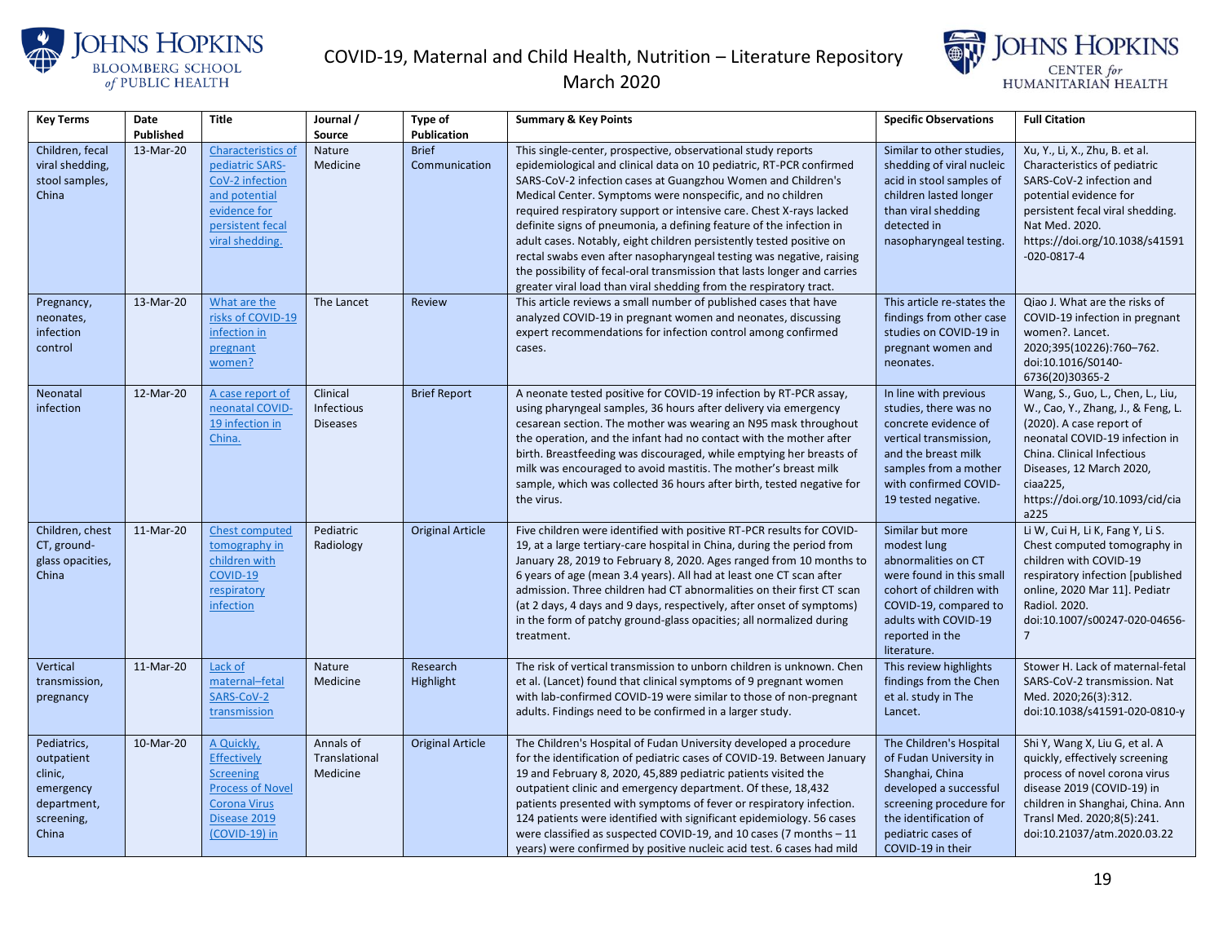



| <b>Key Terms</b>                                                                        | Date      | <b>Title</b>                                                                                                                            | Journal /                                 | Type of                       | <b>Summary &amp; Key Points</b>                                                                                                                                                                                                                                                                                                                                                                                                                                                                                                                                                                                                                                                                                   | <b>Specific Observations</b>                                                                                                                                                                     | <b>Full Citation</b>                                                                                                                                                                                                                                   |
|-----------------------------------------------------------------------------------------|-----------|-----------------------------------------------------------------------------------------------------------------------------------------|-------------------------------------------|-------------------------------|-------------------------------------------------------------------------------------------------------------------------------------------------------------------------------------------------------------------------------------------------------------------------------------------------------------------------------------------------------------------------------------------------------------------------------------------------------------------------------------------------------------------------------------------------------------------------------------------------------------------------------------------------------------------------------------------------------------------|--------------------------------------------------------------------------------------------------------------------------------------------------------------------------------------------------|--------------------------------------------------------------------------------------------------------------------------------------------------------------------------------------------------------------------------------------------------------|
|                                                                                         | Published |                                                                                                                                         | Source                                    | <b>Publication</b>            |                                                                                                                                                                                                                                                                                                                                                                                                                                                                                                                                                                                                                                                                                                                   |                                                                                                                                                                                                  |                                                                                                                                                                                                                                                        |
| Children, fecal<br>viral shedding,<br>stool samples,<br>China                           | 13-Mar-20 | Characteristics of<br>pediatric SARS-<br>CoV-2 infection<br>and potential<br>evidence for<br>persistent fecal<br>viral shedding.        | Nature<br>Medicine                        | <b>Brief</b><br>Communication | This single-center, prospective, observational study reports<br>epidemiological and clinical data on 10 pediatric, RT-PCR confirmed<br>SARS-CoV-2 infection cases at Guangzhou Women and Children's<br>Medical Center. Symptoms were nonspecific, and no children<br>required respiratory support or intensive care. Chest X-rays lacked<br>definite signs of pneumonia, a defining feature of the infection in<br>adult cases. Notably, eight children persistently tested positive on<br>rectal swabs even after nasopharyngeal testing was negative, raising<br>the possibility of fecal-oral transmission that lasts longer and carries<br>greater viral load than viral shedding from the respiratory tract. | Similar to other studies,<br>shedding of viral nucleic<br>acid in stool samples of<br>children lasted longer<br>than viral shedding<br>detected in<br>nasopharyngeal testing.                    | Xu, Y., Li, X., Zhu, B. et al.<br>Characteristics of pediatric<br>SARS-CoV-2 infection and<br>potential evidence for<br>persistent fecal viral shedding.<br>Nat Med. 2020.<br>https://doi.org/10.1038/s41591<br>$-020-0817-4$                          |
| Pregnancy,<br>neonates,<br>infection<br>control                                         | 13-Mar-20 | What are the<br>risks of COVID-19<br>infection in<br>pregnant<br>women?                                                                 | The Lancet                                | Review                        | This article reviews a small number of published cases that have<br>analyzed COVID-19 in pregnant women and neonates, discussing<br>expert recommendations for infection control among confirmed<br>cases.                                                                                                                                                                                                                                                                                                                                                                                                                                                                                                        | This article re-states the<br>findings from other case<br>studies on COVID-19 in<br>pregnant women and<br>neonates.                                                                              | Qiao J. What are the risks of<br>COVID-19 infection in pregnant<br>women?. Lancet.<br>2020;395(10226):760-762.<br>doi:10.1016/S0140-<br>6736(20)30365-2                                                                                                |
| Neonatal<br>infection                                                                   | 12-Mar-20 | A case report of<br>neonatal COVID-<br>19 infection in<br>China.                                                                        | Clinical<br>Infectious<br><b>Diseases</b> | <b>Brief Report</b>           | A neonate tested positive for COVID-19 infection by RT-PCR assay,<br>using pharyngeal samples, 36 hours after delivery via emergency<br>cesarean section. The mother was wearing an N95 mask throughout<br>the operation, and the infant had no contact with the mother after<br>birth. Breastfeeding was discouraged, while emptying her breasts of<br>milk was encouraged to avoid mastitis. The mother's breast milk<br>sample, which was collected 36 hours after birth, tested negative for<br>the virus.                                                                                                                                                                                                    | In line with previous<br>studies, there was no<br>concrete evidence of<br>vertical transmission,<br>and the breast milk<br>samples from a mother<br>with confirmed COVID-<br>19 tested negative. | Wang, S., Guo, L., Chen, L., Liu,<br>W., Cao, Y., Zhang, J., & Feng, L.<br>(2020). A case report of<br>neonatal COVID-19 infection in<br>China. Clinical Infectious<br>Diseases, 12 March 2020,<br>ciaa225,<br>https://doi.org/10.1093/cid/cia<br>a225 |
| Children, chest<br>CT, ground-<br>glass opacities,<br>China                             | 11-Mar-20 | Chest computed<br>tomography in<br>children with<br>COVID-19<br>respiratory<br>infection                                                | Pediatric<br>Radiology                    | <b>Original Article</b>       | Five children were identified with positive RT-PCR results for COVID-<br>19, at a large tertiary-care hospital in China, during the period from<br>January 28, 2019 to February 8, 2020. Ages ranged from 10 months to<br>6 years of age (mean 3.4 years). All had at least one CT scan after<br>admission. Three children had CT abnormalities on their first CT scan<br>(at 2 days, 4 days and 9 days, respectively, after onset of symptoms)<br>in the form of patchy ground-glass opacities; all normalized during<br>treatment.                                                                                                                                                                              | Similar but more<br>modest lung<br>abnormalities on CT<br>were found in this small<br>cohort of children with<br>COVID-19, compared to<br>adults with COVID-19<br>reported in the<br>literature. | Li W, Cui H, Li K, Fang Y, Li S.<br>Chest computed tomography in<br>children with COVID-19<br>respiratory infection [published<br>online, 2020 Mar 11]. Pediatr<br>Radiol. 2020.<br>doi:10.1007/s00247-020-04656-<br>$\overline{7}$                    |
| Vertical<br>transmission,<br>pregnancy                                                  | 11-Mar-20 | Lack of<br>maternal-fetal<br>SARS-CoV-2<br>transmission                                                                                 | <b>Nature</b><br>Medicine                 | Research<br>Highlight         | The risk of vertical transmission to unborn children is unknown. Chen<br>et al. (Lancet) found that clinical symptoms of 9 pregnant women<br>with lab-confirmed COVID-19 were similar to those of non-pregnant<br>adults. Findings need to be confirmed in a larger study.                                                                                                                                                                                                                                                                                                                                                                                                                                        | This review highlights<br>findings from the Chen<br>et al. study in The<br>Lancet.                                                                                                               | Stower H. Lack of maternal-fetal<br>SARS-CoV-2 transmission. Nat<br>Med. 2020;26(3):312.<br>doi:10.1038/s41591-020-0810-y                                                                                                                              |
| Pediatrics,<br>outpatient<br>clinic,<br>emergency<br>department,<br>screening,<br>China | 10-Mar-20 | A Quickly,<br><b>Effectively</b><br><b>Screening</b><br><b>Process of Novel</b><br><b>Corona Virus</b><br>Disease 2019<br>(COVID-19) in | Annals of<br>Translational<br>Medicine    | <b>Original Article</b>       | The Children's Hospital of Fudan University developed a procedure<br>for the identification of pediatric cases of COVID-19. Between January<br>19 and February 8, 2020, 45,889 pediatric patients visited the<br>outpatient clinic and emergency department. Of these, 18,432<br>patients presented with symptoms of fever or respiratory infection.<br>124 patients were identified with significant epidemiology. 56 cases<br>were classified as suspected COVID-19, and 10 cases (7 months - 11<br>years) were confirmed by positive nucleic acid test. 6 cases had mild                                                                                                                                       | The Children's Hospital<br>of Fudan University in<br>Shanghai, China<br>developed a successful<br>screening procedure for<br>the identification of<br>pediatric cases of<br>COVID-19 in their    | Shi Y, Wang X, Liu G, et al. A<br>quickly, effectively screening<br>process of novel corona virus<br>disease 2019 (COVID-19) in<br>children in Shanghai, China. Ann<br>Transl Med. 2020;8(5):241.<br>doi:10.21037/atm.2020.03.22                       |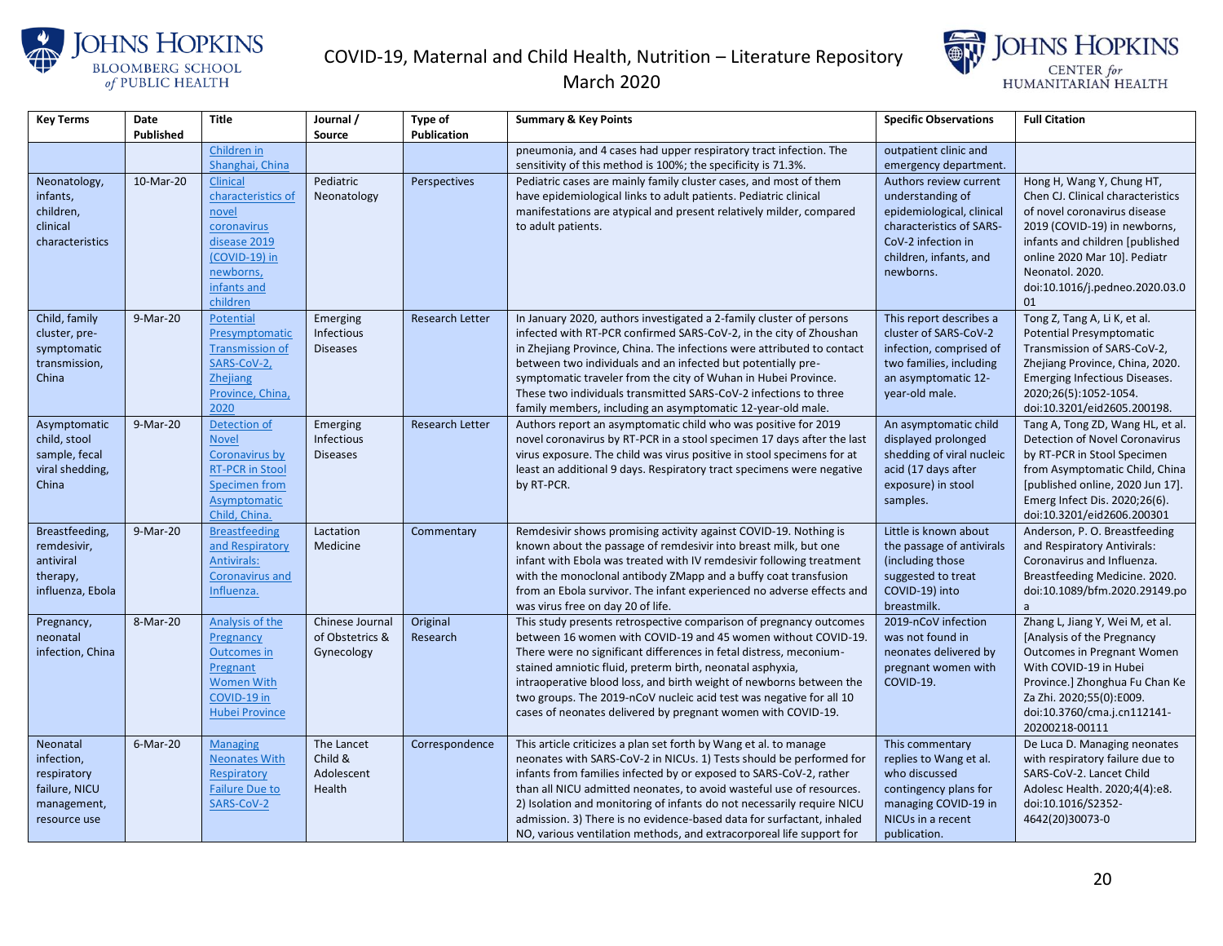

#### March 2020



| <b>Key Terms</b>             | Date      | <b>Title</b>                         | Journal /       | <b>Type of</b>         | <b>Summary &amp; Key Points</b>                                                                                                          | <b>Specific Observations</b>         | <b>Full Citation</b>                                           |
|------------------------------|-----------|--------------------------------------|-----------------|------------------------|------------------------------------------------------------------------------------------------------------------------------------------|--------------------------------------|----------------------------------------------------------------|
|                              | Published |                                      | Source          | Publication            |                                                                                                                                          |                                      |                                                                |
|                              |           | Children in                          |                 |                        | pneumonia, and 4 cases had upper respiratory tract infection. The                                                                        | outpatient clinic and                |                                                                |
|                              |           | Shanghai, China                      |                 |                        | sensitivity of this method is 100%; the specificity is 71.3%.                                                                            | emergency department.                |                                                                |
| Neonatology,                 | 10-Mar-20 | <b>Clinical</b>                      | Pediatric       | Perspectives           | Pediatric cases are mainly family cluster cases, and most of them                                                                        | Authors review current               | Hong H, Wang Y, Chung HT,                                      |
| infants,                     |           | characteristics of                   | Neonatology     |                        | have epidemiological links to adult patients. Pediatric clinical                                                                         | understanding of                     | Chen CJ. Clinical characteristics                              |
| children,                    |           | novel                                |                 |                        | manifestations are atypical and present relatively milder, compared                                                                      | epidemiological, clinical            | of novel coronavirus disease                                   |
| clinical                     |           | coronavirus                          |                 |                        | to adult patients.                                                                                                                       | characteristics of SARS-             | 2019 (COVID-19) in newborns,                                   |
| characteristics              |           | disease 2019                         |                 |                        |                                                                                                                                          | CoV-2 infection in                   | infants and children [published]                               |
|                              |           | (COVID-19) in                        |                 |                        |                                                                                                                                          | children, infants, and               | online 2020 Mar 10]. Pediatr                                   |
|                              |           | newborns,                            |                 |                        |                                                                                                                                          | newborns.                            | Neonatol. 2020.                                                |
|                              |           | infants and<br>children              |                 |                        |                                                                                                                                          |                                      | doi:10.1016/j.pedneo.2020.03.0<br>01                           |
| Child, family                | 9-Mar-20  | Potential                            | Emerging        | Research Letter        | In January 2020, authors investigated a 2-family cluster of persons                                                                      | This report describes a              | Tong Z, Tang A, Li K, et al.                                   |
| cluster, pre-                |           | Presymptomatic                       | Infectious      |                        | infected with RT-PCR confirmed SARS-CoV-2, in the city of Zhoushan                                                                       | cluster of SARS-CoV-2                | <b>Potential Presymptomatic</b>                                |
| symptomatic                  |           | <b>Transmission of</b>               | <b>Diseases</b> |                        | in Zhejiang Province, China. The infections were attributed to contact                                                                   | infection, comprised of              | Transmission of SARS-CoV-2,                                    |
| transmission,                |           | SARS-CoV-2,                          |                 |                        | between two individuals and an infected but potentially pre-                                                                             | two families, including              | Zhejiang Province, China, 2020.                                |
| China                        |           | <b>Zhejiang</b>                      |                 |                        | symptomatic traveler from the city of Wuhan in Hubei Province.                                                                           | an asymptomatic 12-                  | Emerging Infectious Diseases.                                  |
|                              |           | Province, China,                     |                 |                        | These two individuals transmitted SARS-CoV-2 infections to three                                                                         | year-old male.                       | 2020;26(5):1052-1054.                                          |
|                              |           | 2020                                 |                 |                        | family members, including an asymptomatic 12-year-old male.                                                                              |                                      | doi:10.3201/eid2605.200198.                                    |
| Asymptomatic                 | 9-Mar-20  | Detection of                         | Emerging        | <b>Research Letter</b> | Authors report an asymptomatic child who was positive for 2019                                                                           | An asymptomatic child                | Tang A, Tong ZD, Wang HL, et al.                               |
| child, stool                 |           | <b>Novel</b>                         | Infectious      |                        | novel coronavirus by RT-PCR in a stool specimen 17 days after the last                                                                   | displayed prolonged                  | Detection of Novel Coronavirus                                 |
| sample, fecal                |           | Coronavirus by                       | <b>Diseases</b> |                        | virus exposure. The child was virus positive in stool specimens for at                                                                   | shedding of viral nucleic            | by RT-PCR in Stool Specimen                                    |
| viral shedding,              |           | <b>RT-PCR in Stool</b>               |                 |                        | least an additional 9 days. Respiratory tract specimens were negative                                                                    | acid (17 days after                  | from Asymptomatic Child, China                                 |
| China                        |           | <b>Specimen from</b>                 |                 |                        | by RT-PCR.                                                                                                                               | exposure) in stool                   | [published online, 2020 Jun 17].                               |
|                              |           | Asymptomatic                         |                 |                        |                                                                                                                                          | samples.                             | Emerg Infect Dis. 2020;26(6).                                  |
|                              |           | Child, China.                        |                 |                        |                                                                                                                                          |                                      | doi:10.3201/eid2606.200301                                     |
| Breastfeeding,               | 9-Mar-20  | <b>Breastfeeding</b>                 | Lactation       | Commentary             | Remdesivir shows promising activity against COVID-19. Nothing is                                                                         | Little is known about                | Anderson, P. O. Breastfeeding                                  |
| remdesivir,                  |           | and Respiratory                      | Medicine        |                        | known about the passage of remdesivir into breast milk, but one                                                                          | the passage of antivirals            | and Respiratory Antivirals:                                    |
| antiviral                    |           | <b>Antivirals:</b>                   |                 |                        | infant with Ebola was treated with IV remdesivir following treatment                                                                     | (including those                     | Coronavirus and Influenza.                                     |
| therapy,<br>influenza, Ebola |           | <b>Coronavirus and</b><br>Influenza. |                 |                        | with the monoclonal antibody ZMapp and a buffy coat transfusion<br>from an Ebola survivor. The infant experienced no adverse effects and | suggested to treat<br>COVID-19) into | Breastfeeding Medicine. 2020.<br>doi:10.1089/bfm.2020.29149.po |
|                              |           |                                      |                 |                        | was virus free on day 20 of life.                                                                                                        | breastmilk.                          | a                                                              |
| Pregnancy,                   | 8-Mar-20  | Analysis of the                      | Chinese Journal | Original               | This study presents retrospective comparison of pregnancy outcomes                                                                       | 2019-nCoV infection                  | Zhang L, Jiang Y, Wei M, et al.                                |
| neonatal                     |           | Pregnancy                            | of Obstetrics & | Research               | between 16 women with COVID-19 and 45 women without COVID-19.                                                                            | was not found in                     | [Analysis of the Pregnancy                                     |
| infection, China             |           | Outcomes in                          | Gynecology      |                        | There were no significant differences in fetal distress, meconium-                                                                       | neonates delivered by                | Outcomes in Pregnant Women                                     |
|                              |           | Pregnant                             |                 |                        | stained amniotic fluid, preterm birth, neonatal asphyxia,                                                                                | pregnant women with                  | With COVID-19 in Hubei                                         |
|                              |           | <b>Women With</b>                    |                 |                        | intraoperative blood loss, and birth weight of newborns between the                                                                      | COVID-19.                            | Province.] Zhonghua Fu Chan Ke                                 |
|                              |           | COVID-19 in                          |                 |                        | two groups. The 2019-nCoV nucleic acid test was negative for all 10                                                                      |                                      | Za Zhi. 2020;55(0):E009.                                       |
|                              |           | <b>Hubei Province</b>                |                 |                        | cases of neonates delivered by pregnant women with COVID-19.                                                                             |                                      | doi:10.3760/cma.j.cn112141-                                    |
|                              |           |                                      |                 |                        |                                                                                                                                          |                                      | 20200218-00111                                                 |
| Neonatal                     | 6-Mar-20  | <b>Managing</b>                      | The Lancet      | Correspondence         | This article criticizes a plan set forth by Wang et al. to manage                                                                        | This commentary                      | De Luca D. Managing neonates                                   |
| infection,                   |           | <b>Neonates With</b>                 | Child &         |                        | neonates with SARS-CoV-2 in NICUs. 1) Tests should be performed for                                                                      | replies to Wang et al.               | with respiratory failure due to                                |
| respiratory                  |           | Respiratory                          | Adolescent      |                        | infants from families infected by or exposed to SARS-CoV-2, rather                                                                       | who discussed                        | SARS-CoV-2. Lancet Child                                       |
| failure, NICU                |           | <b>Failure Due to</b>                | Health          |                        | than all NICU admitted neonates, to avoid wasteful use of resources.                                                                     | contingency plans for                | Adolesc Health. 2020;4(4):e8.                                  |
| management,                  |           | SARS-CoV-2                           |                 |                        | 2) Isolation and monitoring of infants do not necessarily require NICU                                                                   | managing COVID-19 in                 | doi:10.1016/S2352-                                             |
| resource use                 |           |                                      |                 |                        | admission. 3) There is no evidence-based data for surfactant, inhaled                                                                    | NICUs in a recent                    | 4642(20)30073-0                                                |
|                              |           |                                      |                 |                        | NO, various ventilation methods, and extracorporeal life support for                                                                     | publication.                         |                                                                |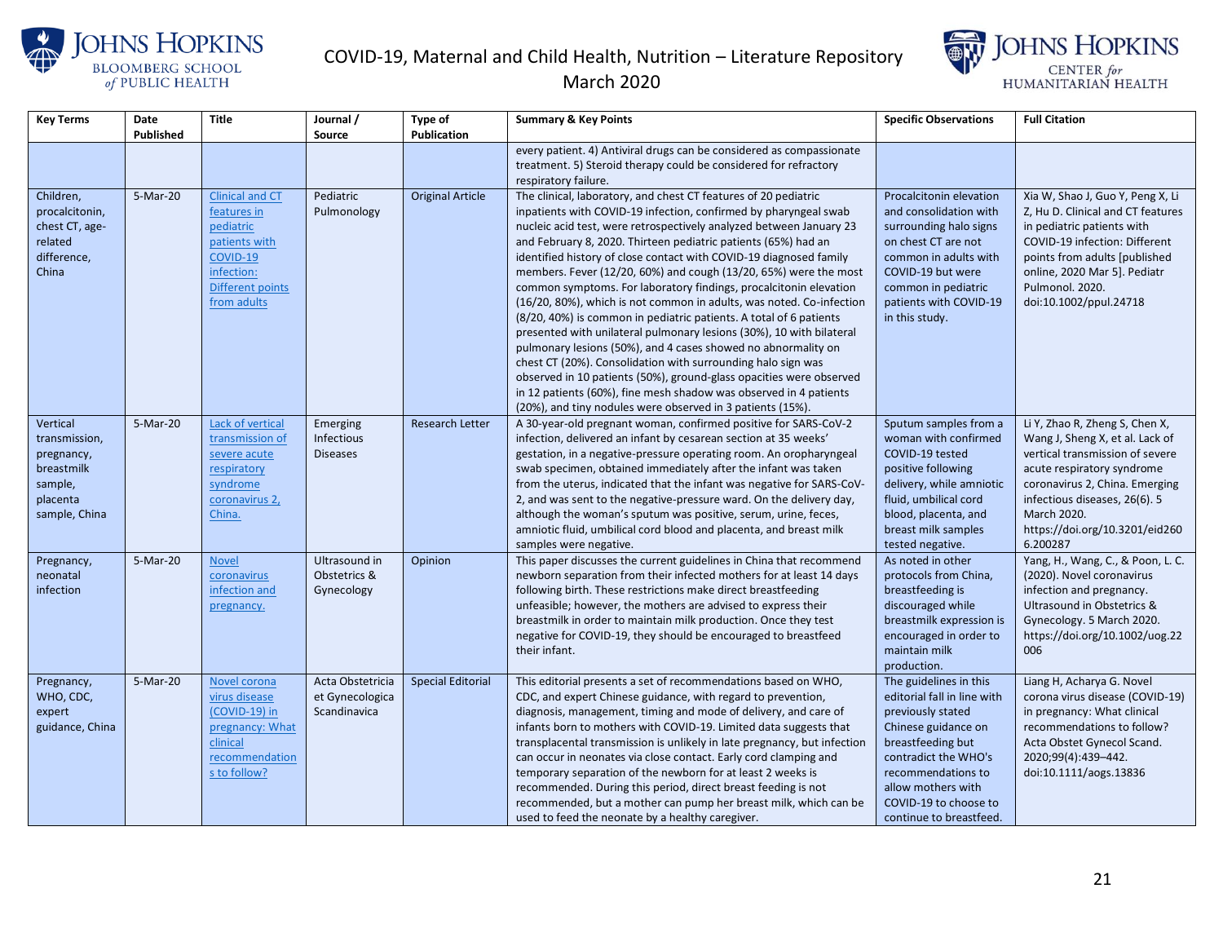



| <b>Key Terms</b>                                                                              | Date      | <b>Title</b>                                                                                                                            | Journal /                                           | Type of                  | <b>Summary &amp; Key Points</b>                                                                                                                                                                                                                                                                                                                                                                                                                                                                                                                                                                                                                                                                                                                                                                                                                                                                                                                                                                                                                              | <b>Specific Observations</b>                                                                                                                                                                                                                   | <b>Full Citation</b>                                                                                                                                                                                                                                               |
|-----------------------------------------------------------------------------------------------|-----------|-----------------------------------------------------------------------------------------------------------------------------------------|-----------------------------------------------------|--------------------------|--------------------------------------------------------------------------------------------------------------------------------------------------------------------------------------------------------------------------------------------------------------------------------------------------------------------------------------------------------------------------------------------------------------------------------------------------------------------------------------------------------------------------------------------------------------------------------------------------------------------------------------------------------------------------------------------------------------------------------------------------------------------------------------------------------------------------------------------------------------------------------------------------------------------------------------------------------------------------------------------------------------------------------------------------------------|------------------------------------------------------------------------------------------------------------------------------------------------------------------------------------------------------------------------------------------------|--------------------------------------------------------------------------------------------------------------------------------------------------------------------------------------------------------------------------------------------------------------------|
|                                                                                               | Published |                                                                                                                                         | <b>Source</b>                                       | <b>Publication</b>       |                                                                                                                                                                                                                                                                                                                                                                                                                                                                                                                                                                                                                                                                                                                                                                                                                                                                                                                                                                                                                                                              |                                                                                                                                                                                                                                                |                                                                                                                                                                                                                                                                    |
|                                                                                               |           |                                                                                                                                         |                                                     |                          | every patient. 4) Antiviral drugs can be considered as compassionate<br>treatment. 5) Steroid therapy could be considered for refractory<br>respiratory failure.                                                                                                                                                                                                                                                                                                                                                                                                                                                                                                                                                                                                                                                                                                                                                                                                                                                                                             |                                                                                                                                                                                                                                                |                                                                                                                                                                                                                                                                    |
| Children,<br>procalcitonin,<br>chest CT, age-<br>related<br>difference,<br>China              | 5-Mar-20  | <b>Clinical and CT</b><br>features in<br>pediatric<br>patients with<br>COVID-19<br>infection:<br><b>Different points</b><br>from adults | Pediatric<br>Pulmonology                            | <b>Original Article</b>  | The clinical, laboratory, and chest CT features of 20 pediatric<br>inpatients with COVID-19 infection, confirmed by pharyngeal swab<br>nucleic acid test, were retrospectively analyzed between January 23<br>and February 8, 2020. Thirteen pediatric patients (65%) had an<br>identified history of close contact with COVID-19 diagnosed family<br>members. Fever (12/20, 60%) and cough (13/20, 65%) were the most<br>common symptoms. For laboratory findings, procalcitonin elevation<br>(16/20, 80%), which is not common in adults, was noted. Co-infection<br>(8/20, 40%) is common in pediatric patients. A total of 6 patients<br>presented with unilateral pulmonary lesions (30%), 10 with bilateral<br>pulmonary lesions (50%), and 4 cases showed no abnormality on<br>chest CT (20%). Consolidation with surrounding halo sign was<br>observed in 10 patients (50%), ground-glass opacities were observed<br>in 12 patients (60%), fine mesh shadow was observed in 4 patients<br>(20%), and tiny nodules were observed in 3 patients (15%). | Procalcitonin elevation<br>and consolidation with<br>surrounding halo signs<br>on chest CT are not<br>common in adults with<br>COVID-19 but were<br>common in pediatric<br>patients with COVID-19<br>in this study.                            | Xia W, Shao J, Guo Y, Peng X, Li<br>Z, Hu D. Clinical and CT features<br>in pediatric patients with<br>COVID-19 infection: Different<br>points from adults [published<br>online, 2020 Mar 5]. Pediatr<br>Pulmonol. 2020.<br>doi:10.1002/ppul.24718                 |
| Vertical<br>transmission,<br>pregnancy,<br>breastmilk<br>sample,<br>placenta<br>sample, China | 5-Mar-20  | Lack of vertical<br>transmission of<br>severe acute<br>respiratory<br>syndrome<br>coronavirus 2,<br>China.                              | Emerging<br>Infectious<br><b>Diseases</b>           | <b>Research Letter</b>   | A 30-year-old pregnant woman, confirmed positive for SARS-CoV-2<br>infection, delivered an infant by cesarean section at 35 weeks'<br>gestation, in a negative-pressure operating room. An oropharyngeal<br>swab specimen, obtained immediately after the infant was taken<br>from the uterus, indicated that the infant was negative for SARS-CoV-<br>2, and was sent to the negative-pressure ward. On the delivery day,<br>although the woman's sputum was positive, serum, urine, feces,<br>amniotic fluid, umbilical cord blood and placenta, and breast milk<br>samples were negative.                                                                                                                                                                                                                                                                                                                                                                                                                                                                 | Sputum samples from a<br>woman with confirmed<br>COVID-19 tested<br>positive following<br>delivery, while amniotic<br>fluid, umbilical cord<br>blood, placenta, and<br>breast milk samples<br>tested negative.                                 | Li Y, Zhao R, Zheng S, Chen X,<br>Wang J, Sheng X, et al. Lack of<br>vertical transmission of severe<br>acute respiratory syndrome<br>coronavirus 2, China. Emerging<br>infectious diseases, 26(6). 5<br>March 2020.<br>https://doi.org/10.3201/eid260<br>6.200287 |
| Pregnancy,<br>neonatal<br>infection                                                           | 5-Mar-20  | <b>Novel</b><br>coronavirus<br>infection and<br>pregnancy.                                                                              | Ultrasound in<br>Obstetrics &<br>Gynecology         | Opinion                  | This paper discusses the current guidelines in China that recommend<br>newborn separation from their infected mothers for at least 14 days<br>following birth. These restrictions make direct breastfeeding<br>unfeasible; however, the mothers are advised to express their<br>breastmilk in order to maintain milk production. Once they test<br>negative for COVID-19, they should be encouraged to breastfeed<br>their infant.                                                                                                                                                                                                                                                                                                                                                                                                                                                                                                                                                                                                                           | As noted in other<br>protocols from China,<br>breastfeeding is<br>discouraged while<br>breastmilk expression is<br>encouraged in order to<br>maintain milk<br>production.                                                                      | Yang, H., Wang, C., & Poon, L. C.<br>(2020). Novel coronavirus<br>infection and pregnancy.<br>Ultrasound in Obstetrics &<br>Gynecology. 5 March 2020.<br>https://doi.org/10.1002/uog.22<br>006                                                                     |
| Pregnancy,<br>WHO, CDC,<br>expert<br>guidance, China                                          | 5-Mar-20  | Novel corona<br>virus disease<br>(COVID-19) in<br>pregnancy: What<br>clinical<br>recommendation<br>s to follow?                         | Acta Obstetricia<br>et Gynecologica<br>Scandinavica | <b>Special Editorial</b> | This editorial presents a set of recommendations based on WHO,<br>CDC, and expert Chinese guidance, with regard to prevention,<br>diagnosis, management, timing and mode of delivery, and care of<br>infants born to mothers with COVID-19. Limited data suggests that<br>transplacental transmission is unlikely in late pregnancy, but infection<br>can occur in neonates via close contact. Early cord clamping and<br>temporary separation of the newborn for at least 2 weeks is<br>recommended. During this period, direct breast feeding is not<br>recommended, but a mother can pump her breast milk, which can be<br>used to feed the neonate by a healthy caregiver.                                                                                                                                                                                                                                                                                                                                                                               | The guidelines in this<br>editorial fall in line with<br>previously stated<br>Chinese guidance on<br>breastfeeding but<br>contradict the WHO's<br>recommendations to<br>allow mothers with<br>COVID-19 to choose to<br>continue to breastfeed. | Liang H, Acharya G. Novel<br>corona virus disease (COVID-19)<br>in pregnancy: What clinical<br>recommendations to follow?<br>Acta Obstet Gynecol Scand.<br>2020;99(4):439-442.<br>doi:10.1111/aogs.13836                                                           |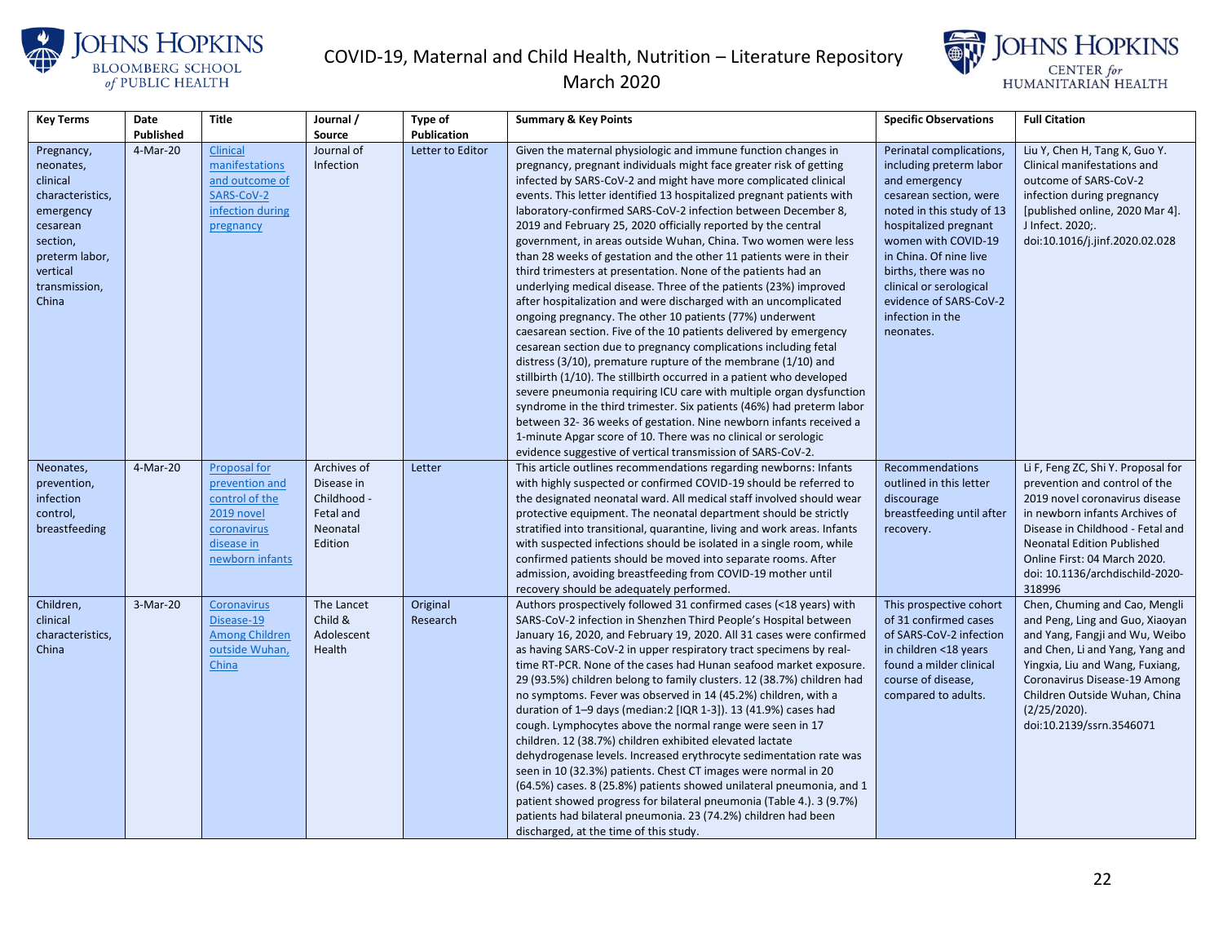



| <b>Key Terms</b> | Date      | <b>Title</b>          | Journal /   | Type of          | <b>Summary &amp; Key Points</b>                                          | <b>Specific Observations</b> | <b>Full Citation</b>               |
|------------------|-----------|-----------------------|-------------|------------------|--------------------------------------------------------------------------|------------------------------|------------------------------------|
|                  | Published |                       | Source      | Publication      |                                                                          |                              |                                    |
| Pregnancy,       | 4-Mar-20  | Clinical              | Journal of  | Letter to Editor | Given the maternal physiologic and immune function changes in            | Perinatal complications,     | Liu Y, Chen H, Tang K, Guo Y.      |
| neonates,        |           | manifestations        | Infection   |                  | pregnancy, pregnant individuals might face greater risk of getting       | including preterm labor      | Clinical manifestations and        |
| clinical         |           | and outcome of        |             |                  | infected by SARS-CoV-2 and might have more complicated clinical          | and emergency                | outcome of SARS-CoV-2              |
| characteristics, |           | SARS-CoV-2            |             |                  | events. This letter identified 13 hospitalized pregnant patients with    | cesarean section, were       | infection during pregnancy         |
| emergency        |           | infection during      |             |                  | laboratory-confirmed SARS-CoV-2 infection between December 8,            | noted in this study of 13    | [published online, 2020 Mar 4].    |
| cesarean         |           | pregnancy             |             |                  | 2019 and February 25, 2020 officially reported by the central            | hospitalized pregnant        | J Infect. 2020;.                   |
| section,         |           |                       |             |                  | government, in areas outside Wuhan, China. Two women were less           | women with COVID-19          | doi:10.1016/j.jinf.2020.02.028     |
| preterm labor,   |           |                       |             |                  | than 28 weeks of gestation and the other 11 patients were in their       | in China. Of nine live       |                                    |
| vertical         |           |                       |             |                  | third trimesters at presentation. None of the patients had an            | births, there was no         |                                    |
| transmission,    |           |                       |             |                  | underlying medical disease. Three of the patients (23%) improved         | clinical or serological      |                                    |
| China            |           |                       |             |                  | after hospitalization and were discharged with an uncomplicated          | evidence of SARS-CoV-2       |                                    |
|                  |           |                       |             |                  | ongoing pregnancy. The other 10 patients (77%) underwent                 | infection in the             |                                    |
|                  |           |                       |             |                  | caesarean section. Five of the 10 patients delivered by emergency        | neonates.                    |                                    |
|                  |           |                       |             |                  | cesarean section due to pregnancy complications including fetal          |                              |                                    |
|                  |           |                       |             |                  | distress $(3/10)$ , premature rupture of the membrane $(1/10)$ and       |                              |                                    |
|                  |           |                       |             |                  | stillbirth (1/10). The stillbirth occurred in a patient who developed    |                              |                                    |
|                  |           |                       |             |                  | severe pneumonia requiring ICU care with multiple organ dysfunction      |                              |                                    |
|                  |           |                       |             |                  | syndrome in the third trimester. Six patients (46%) had preterm labor    |                              |                                    |
|                  |           |                       |             |                  | between 32-36 weeks of gestation. Nine newborn infants received a        |                              |                                    |
|                  |           |                       |             |                  | 1-minute Apgar score of 10. There was no clinical or serologic           |                              |                                    |
|                  |           |                       |             |                  | evidence suggestive of vertical transmission of SARS-CoV-2.              |                              |                                    |
| Neonates,        | 4-Mar-20  | <b>Proposal for</b>   | Archives of | Letter           | This article outlines recommendations regarding newborns: Infants        | <b>Recommendations</b>       | Li F, Feng ZC, Shi Y. Proposal for |
| prevention,      |           | prevention and        | Disease in  |                  | with highly suspected or confirmed COVID-19 should be referred to        | outlined in this letter      | prevention and control of the      |
| infection        |           | control of the        | Childhood - |                  | the designated neonatal ward. All medical staff involved should wear     | discourage                   | 2019 novel coronavirus disease     |
| control,         |           | 2019 novel            | Fetal and   |                  | protective equipment. The neonatal department should be strictly         | breastfeeding until after    | in newborn infants Archives of     |
| breastfeeding    |           | coronavirus           | Neonatal    |                  | stratified into transitional, quarantine, living and work areas. Infants | recovery.                    | Disease in Childhood - Fetal and   |
|                  |           | disease in            | Edition     |                  | with suspected infections should be isolated in a single room, while     |                              | <b>Neonatal Edition Published</b>  |
|                  |           | newborn infants       |             |                  | confirmed patients should be moved into separate rooms. After            |                              | Online First: 04 March 2020.       |
|                  |           |                       |             |                  | admission, avoiding breastfeeding from COVID-19 mother until             |                              | doi: 10.1136/archdischild-2020-    |
|                  |           |                       |             |                  | recovery should be adequately performed.                                 |                              | 318996                             |
| Children,        | 3-Mar-20  | Coronavirus           | The Lancet  | Original         | Authors prospectively followed 31 confirmed cases (<18 years) with       | This prospective cohort      | Chen, Chuming and Cao, Mengli      |
| clinical         |           | Disease-19            | Child &     | Research         | SARS-CoV-2 infection in Shenzhen Third People's Hospital between         | of 31 confirmed cases        | and Peng, Ling and Guo, Xiaoyan    |
| characteristics, |           | <b>Among Children</b> | Adolescent  |                  | January 16, 2020, and February 19, 2020. All 31 cases were confirmed     | of SARS-CoV-2 infection      | and Yang, Fangji and Wu, Weibo     |
| China            |           | outside Wuhan,        | Health      |                  | as having SARS-CoV-2 in upper respiratory tract specimens by real-       | in children <18 years        | and Chen, Li and Yang, Yang and    |
|                  |           | China                 |             |                  | time RT-PCR. None of the cases had Hunan seafood market exposure.        | found a milder clinical      | Yingxia, Liu and Wang, Fuxiang,    |
|                  |           |                       |             |                  | 29 (93.5%) children belong to family clusters. 12 (38.7%) children had   | course of disease,           | Coronavirus Disease-19 Among       |
|                  |           |                       |             |                  | no symptoms. Fever was observed in 14 (45.2%) children, with a           | compared to adults.          | Children Outside Wuhan, China      |
|                  |           |                       |             |                  | duration of 1-9 days (median:2 [IQR 1-3]). 13 (41.9%) cases had          |                              | (2/25/2020).                       |
|                  |           |                       |             |                  | cough. Lymphocytes above the normal range were seen in 17                |                              | doi:10.2139/ssrn.3546071           |
|                  |           |                       |             |                  | children. 12 (38.7%) children exhibited elevated lactate                 |                              |                                    |
|                  |           |                       |             |                  | dehydrogenase levels. Increased erythrocyte sedimentation rate was       |                              |                                    |
|                  |           |                       |             |                  | seen in 10 (32.3%) patients. Chest CT images were normal in 20           |                              |                                    |
|                  |           |                       |             |                  | (64.5%) cases. 8 (25.8%) patients showed unilateral pneumonia, and 1     |                              |                                    |
|                  |           |                       |             |                  | patient showed progress for bilateral pneumonia (Table 4.). 3 (9.7%)     |                              |                                    |
|                  |           |                       |             |                  | patients had bilateral pneumonia. 23 (74.2%) children had been           |                              |                                    |
|                  |           |                       |             |                  | discharged, at the time of this study.                                   |                              |                                    |